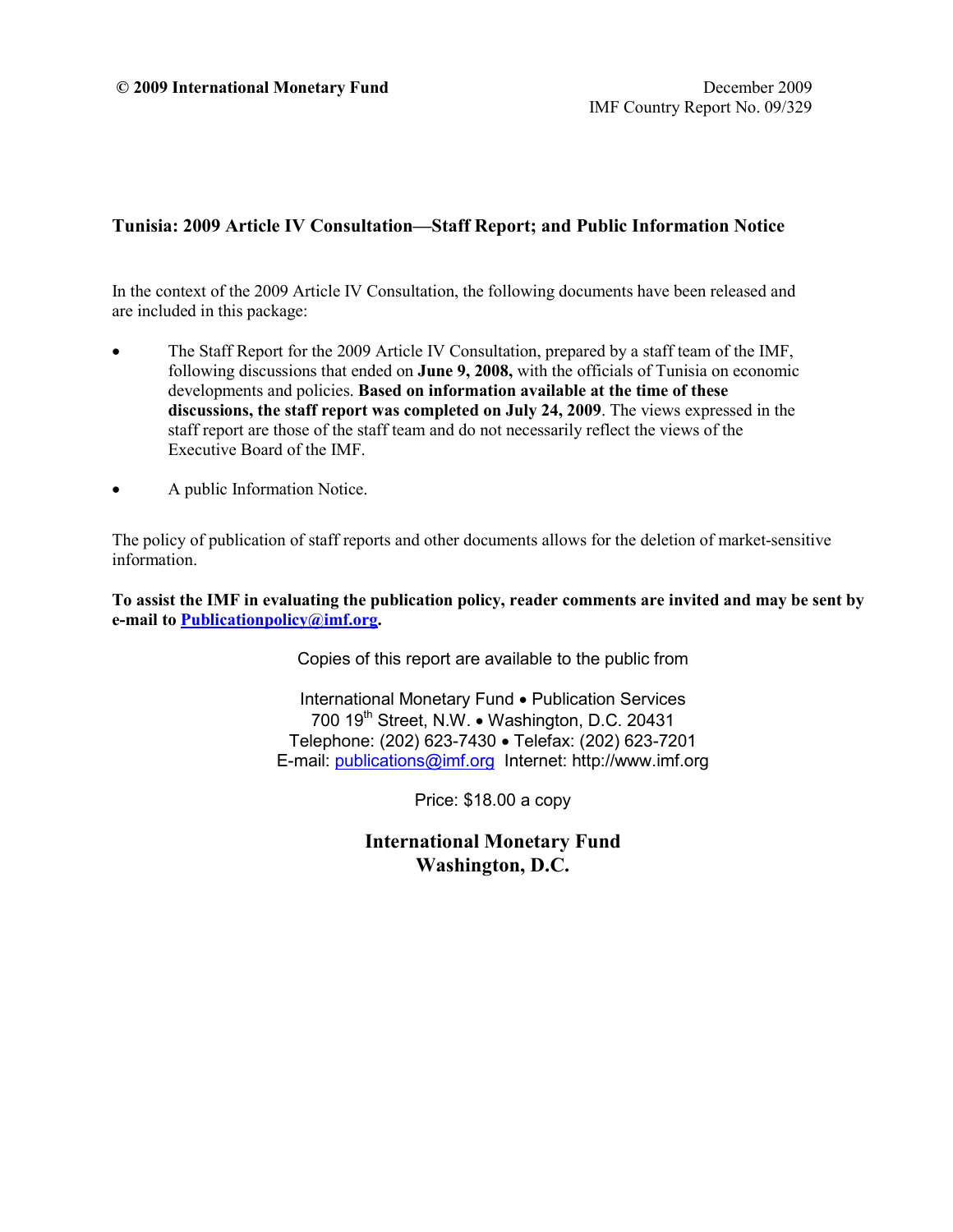#### **Tunisia: 2009 Article IV Consultation—Staff Report; and Public Information Notice**

In the context of the 2009 Article IV Consultation, the following documents have been released and are included in this package:

- The Staff Report for the 2009 Article IV Consultation, prepared by a staff team of the IMF, following discussions that ended on **June 9, 2008,** with the officials of Tunisia on economic developments and policies. **Based on information available at the time of these discussions, the staff report was completed on July 24, 2009**. The views expressed in the staff report are those of the staff team and do not necessarily reflect the views of the Executive Board of the IMF.
- A public Information Notice.

The policy of publication of staff reports and other documents allows for the deletion of market-sensitive information.

**To assist the IMF in evaluating the publication policy, reader comments are invited and may be sent by e-mail to [Publicationpolicy@imf.org.](mailto:Publicationpolicy@imf.org)**

Copies of this report are available to the public from

International Monetary Fund • Publication Services 700 19<sup>th</sup> Street, N.W. • Washington, D.C. 20431 Telephone: (202) 623-7430 • Telefax: (202) 623-7201 E-mail: [publications@imf.org](mailto:publications@imf.org) Internet: http://www.imf.org

Price: \$18.00 a copy

**International Monetary Fund Washington, D.C.**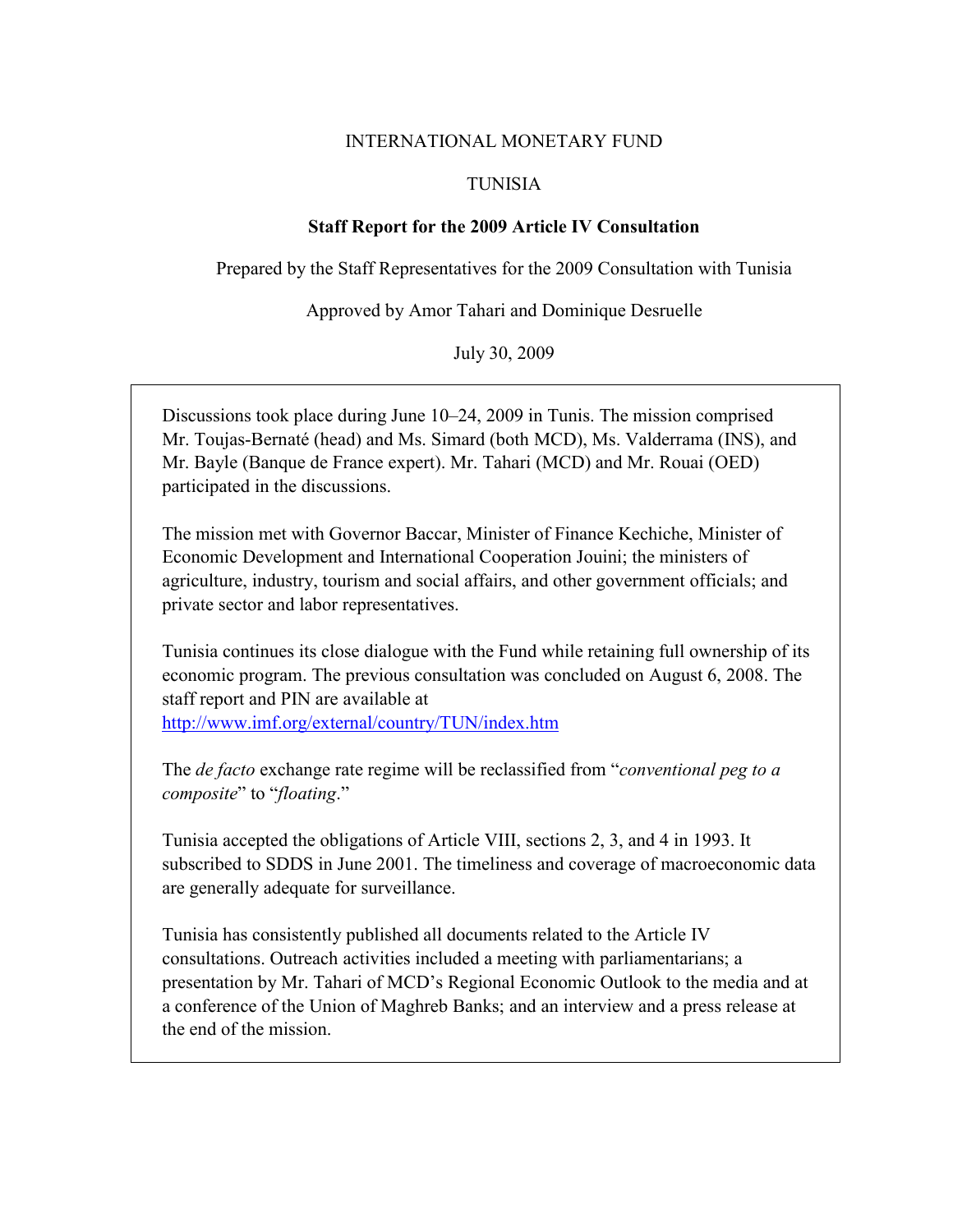#### INTERNATIONAL MONETARY FUND

#### TUNISIA

### **Staff Report for the 2009 Article IV Consultation**

Prepared by the Staff Representatives for the 2009 Consultation with Tunisia

Approved by Amor Tahari and Dominique Desruelle

July 30, 2009

Discussions took place during June 10–24, 2009 in Tunis. The mission comprised Mr. Toujas-Bernaté (head) and Ms. Simard (both MCD), Ms. Valderrama (INS), and Mr. Bayle (Banque de France expert). Mr. Tahari (MCD) and Mr. Rouai (OED) participated in the discussions.

The mission met with Governor Baccar, Minister of Finance Kechiche, Minister of Economic Development and International Cooperation Jouini; the ministers of agriculture, industry, tourism and social affairs, and other government officials; and private sector and labor representatives.

Tunisia continues its close dialogue with the Fund while retaining full ownership of its economic program. The previous consultation was concluded on August 6, 2008. The staff report and PIN are available at <http://www.imf.org/external/country/TUN/index.htm>

The *de facto* exchange rate regime will be reclassified from "*conventional peg to a composite*" to "*floating*."

Tunisia accepted the obligations of Article VIII, sections 2, 3, and 4 in 1993. It subscribed to SDDS in June 2001. The timeliness and coverage of macroeconomic data are generally adequate for surveillance.

Tunisia has consistently published all documents related to the Article IV consultations. Outreach activities included a meeting with parliamentarians; a presentation by Mr. Tahari of MCD's Regional Economic Outlook to the media and at a conference of the Union of Maghreb Banks; and an interview and a press release at the end of the mission.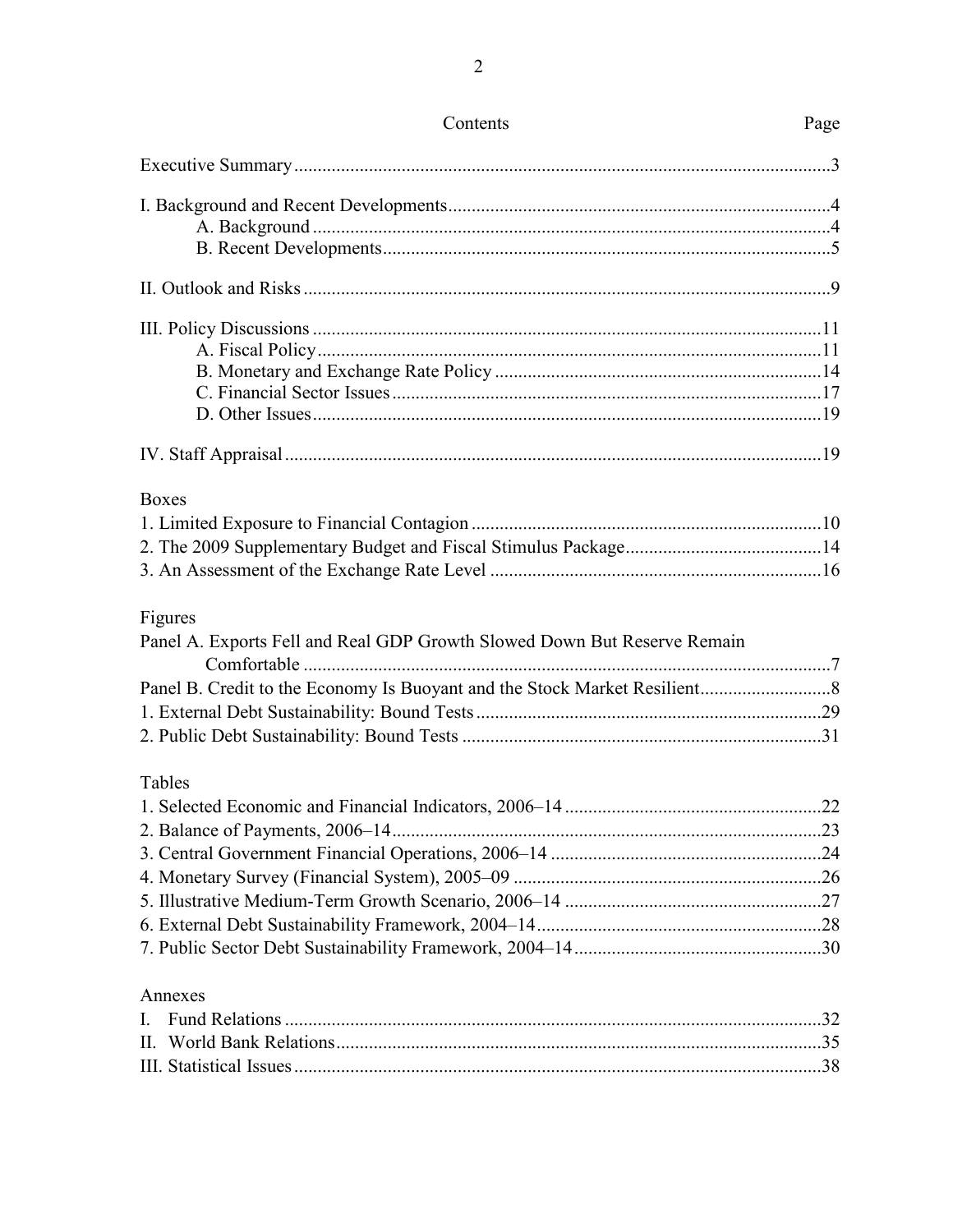| <b>Boxes</b>                                                             |  |
|--------------------------------------------------------------------------|--|
|                                                                          |  |
|                                                                          |  |
|                                                                          |  |
| Figures                                                                  |  |
| Panel A. Exports Fell and Real GDP Growth Slowed Down But Reserve Remain |  |
|                                                                          |  |
|                                                                          |  |
|                                                                          |  |
|                                                                          |  |
|                                                                          |  |
|                                                                          |  |
|                                                                          |  |
|                                                                          |  |
|                                                                          |  |
| Tables                                                                   |  |
|                                                                          |  |
|                                                                          |  |
| Annexes                                                                  |  |
|                                                                          |  |
|                                                                          |  |

 $\overline{2}$ 

# Page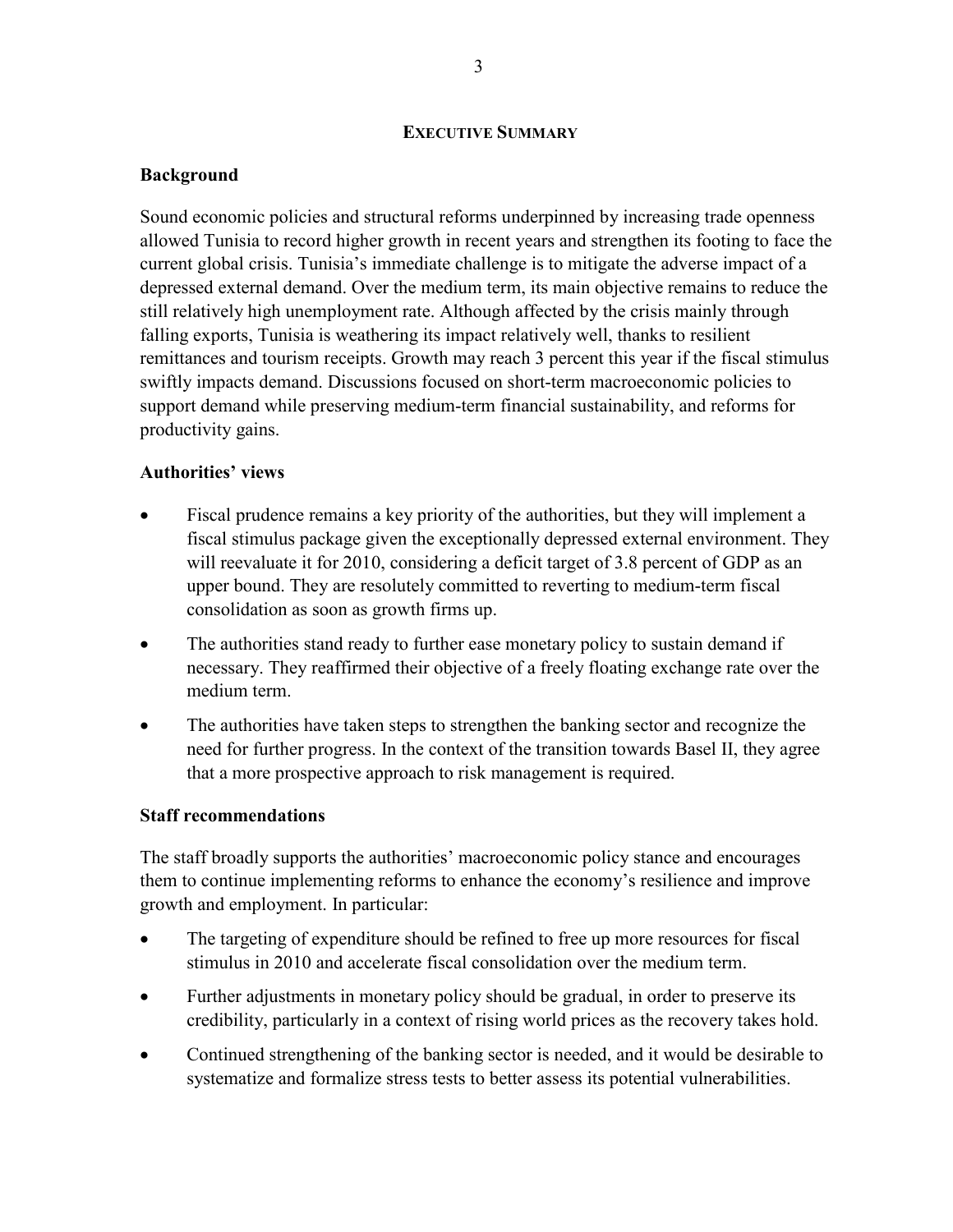#### **EXECUTIVE SUMMARY**

#### **Background**

Sound economic policies and structural reforms underpinned by increasing trade openness allowed Tunisia to record higher growth in recent years and strengthen its footing to face the current global crisis. Tunisia's immediate challenge is to mitigate the adverse impact of a depressed external demand. Over the medium term, its main objective remains to reduce the still relatively high unemployment rate. Although affected by the crisis mainly through falling exports, Tunisia is weathering its impact relatively well, thanks to resilient remittances and tourism receipts. Growth may reach 3 percent this year if the fiscal stimulus swiftly impacts demand. Discussions focused on short-term macroeconomic policies to support demand while preserving medium-term financial sustainability, and reforms for productivity gains.

### **Authorities' views**

- Fiscal prudence remains a key priority of the authorities, but they will implement a fiscal stimulus package given the exceptionally depressed external environment. They will reevaluate it for 2010, considering a deficit target of 3.8 percent of GDP as an upper bound. They are resolutely committed to reverting to medium-term fiscal consolidation as soon as growth firms up.
- The authorities stand ready to further ease monetary policy to sustain demand if necessary. They reaffirmed their objective of a freely floating exchange rate over the medium term.
- The authorities have taken steps to strengthen the banking sector and recognize the need for further progress. In the context of the transition towards Basel II, they agree that a more prospective approach to risk management is required.

#### **Staff recommendations**

The staff broadly supports the authorities' macroeconomic policy stance and encourages them to continue implementing reforms to enhance the economy's resilience and improve growth and employment. In particular:

- The targeting of expenditure should be refined to free up more resources for fiscal stimulus in 2010 and accelerate fiscal consolidation over the medium term.
- Further adjustments in monetary policy should be gradual, in order to preserve its credibility, particularly in a context of rising world prices as the recovery takes hold.
- Continued strengthening of the banking sector is needed, and it would be desirable to systematize and formalize stress tests to better assess its potential vulnerabilities.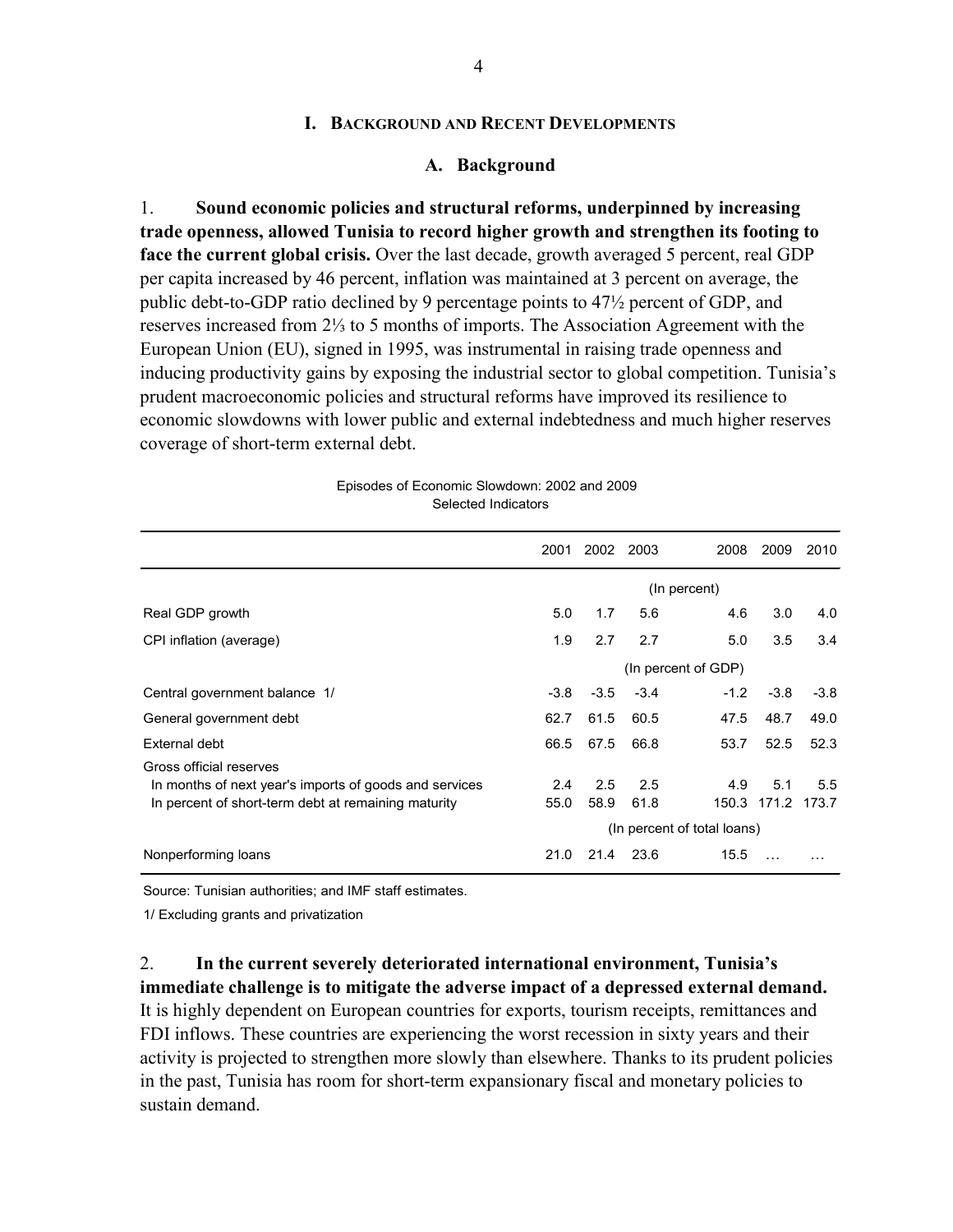4

#### **I. BACKGROUND AND RECENT DEVELOPMENTS**

#### **A. Background**

1. **Sound economic policies and structural reforms, underpinned by increasing trade openness, allowed Tunisia to record higher growth and strengthen its footing to face the current global crisis.** Over the last decade, growth averaged 5 percent, real GDP per capita increased by 46 percent, inflation was maintained at 3 percent on average, the public debt-to-GDP ratio declined by 9 percentage points to 47½ percent of GDP, and reserves increased from 2⅓ to 5 months of imports. The Association Agreement with the European Union (EU), signed in 1995, was instrumental in raising trade openness and inducing productivity gains by exposing the industrial sector to global competition. Tunisia's prudent macroeconomic policies and structural reforms have improved its resilience to economic slowdowns with lower public and external indebtedness and much higher reserves coverage of short-term external debt.

|                                                                                                                                          | 2001        | 2002 2003   |             | 2008                               | 2009                     | 2010   |
|------------------------------------------------------------------------------------------------------------------------------------------|-------------|-------------|-------------|------------------------------------|--------------------------|--------|
|                                                                                                                                          |             |             |             | (In percent)                       |                          |        |
| Real GDP growth                                                                                                                          | 5.0         | 1.7         | 5.6         | 4.6                                | 3.0                      | 4.0    |
| CPI inflation (average)                                                                                                                  | 1.9         | 2.7         | 2.7         | 5.0                                | 3.5                      | 3.4    |
|                                                                                                                                          |             |             |             | (In percent of GDP)                |                          |        |
| Central government balance 1/                                                                                                            | $-3.8$      | $-3.5$      | $-3.4$      | $-1.2$                             | $-3.8$                   | $-3.8$ |
| General government debt                                                                                                                  | 62.7        | 61.5        | 60.5        | 47.5                               | 48.7                     | 49.0   |
| External debt                                                                                                                            | 66.5        | 67.5        | 66.8        | 53.7                               | 52.5                     | 52.3   |
| Gross official reserves<br>In months of next year's imports of goods and services<br>In percent of short-term debt at remaining maturity | 2.4<br>55.0 | 2.5<br>58.9 | 2.5<br>61.8 | 4.9<br>(In percent of total loans) | 5.1<br>150.3 171.2 173.7 | 5.5    |
| Nonperforming loans                                                                                                                      | 21.0        | 21.4        | 23.6        | 15.5                               |                          |        |

Episodes of Economic Slowdown: 2002 and 2009 Selected Indicators

Source: Tunisian authorities; and IMF staff estimates.

1/ Excluding grants and privatization

2. **In the current severely deteriorated international environment, Tunisia's immediate challenge is to mitigate the adverse impact of a depressed external demand.** It is highly dependent on European countries for exports, tourism receipts, remittances and FDI inflows. These countries are experiencing the worst recession in sixty years and their activity is projected to strengthen more slowly than elsewhere. Thanks to its prudent policies in the past, Tunisia has room for short-term expansionary fiscal and monetary policies to sustain demand.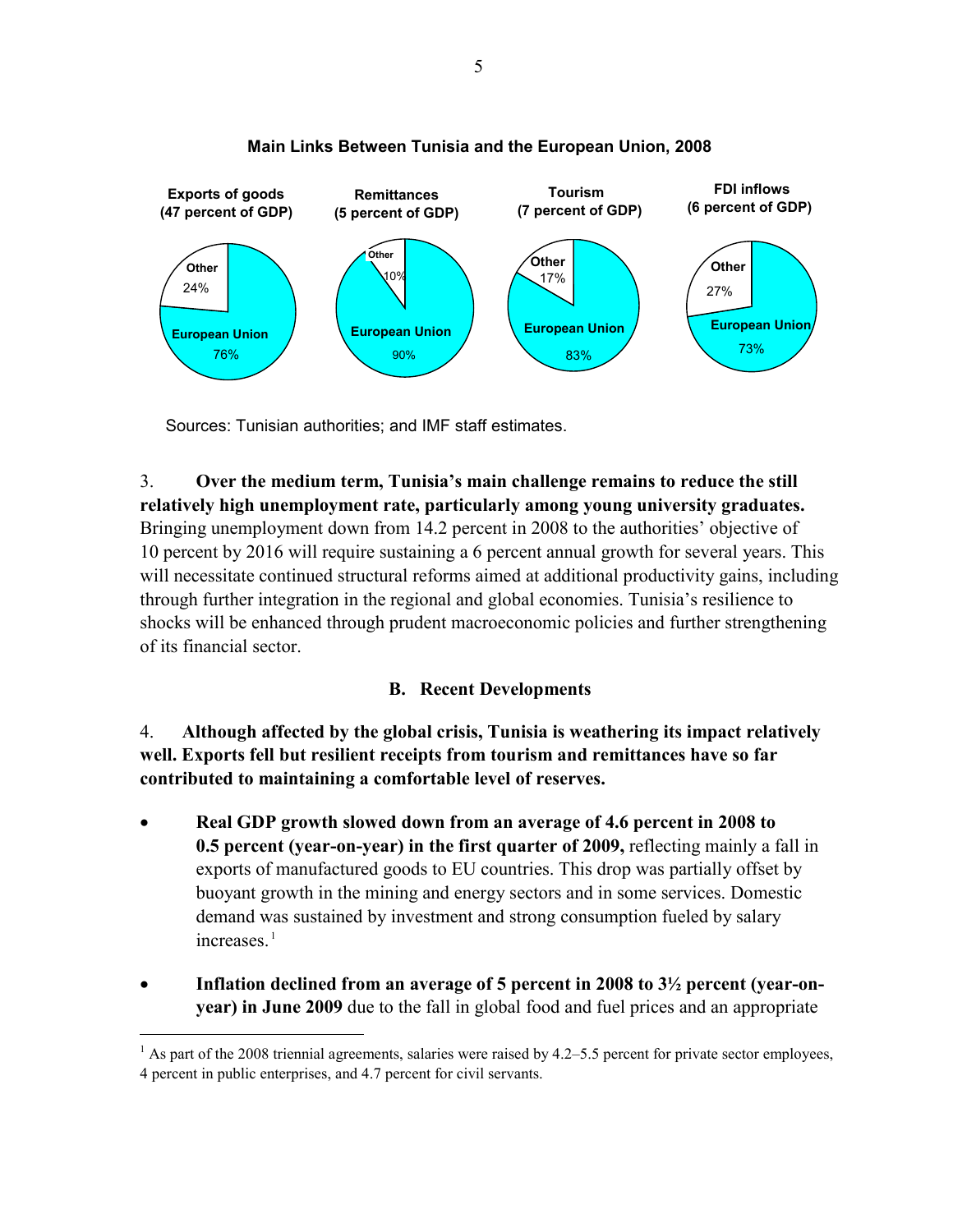

### **Main Links Between Tunisia and the European Union, 2008**

Sources: Tunisian authorities; and IMF staff estimates.

 $\overline{a}$ 

## 3. **Over the medium term, Tunisia's main challenge remains to reduce the still relatively high unemployment rate, particularly among young university graduates.** Bringing unemployment down from 14.2 percent in 2008 to the authorities' objective of 10 percent by 2016 will require sustaining a 6 percent annual growth for several years. This will necessitate continued structural reforms aimed at additional productivity gains, including through further integration in the regional and global economies. Tunisia's resilience to shocks will be enhanced through prudent macroeconomic policies and further strengthening of its financial sector.

## **B. Recent Developments**

4. **Although affected by the global crisis, Tunisia is weathering its impact relatively well. Exports fell but resilient receipts from tourism and remittances have so far contributed to maintaining a comfortable level of reserves.**

- **Real GDP growth slowed down from an average of 4.6 percent in 2008 to 0.5 percent (year-on-year) in the first quarter of 2009,** reflecting mainly a fall in exports of manufactured goods to EU countries. This drop was partially offset by buoyant growth in the mining and energy sectors and in some services. Domestic demand was sustained by investment and strong consumption fueled by salary increases.<sup>[1](#page-5-0)</sup>
- Inflation declined from an average of 5 percent in 2008 to 3<sup>1</sup>/<sub>2</sub> percent (year-on**year) in June 2009** due to the fall in global food and fuel prices and an appropriate

<span id="page-5-0"></span> $<sup>1</sup>$  As part of the 2008 triennial agreements, salaries were raised by 4.2–5.5 percent for private sector employees,</sup> 4 percent in public enterprises, and 4.7 percent for civil servants.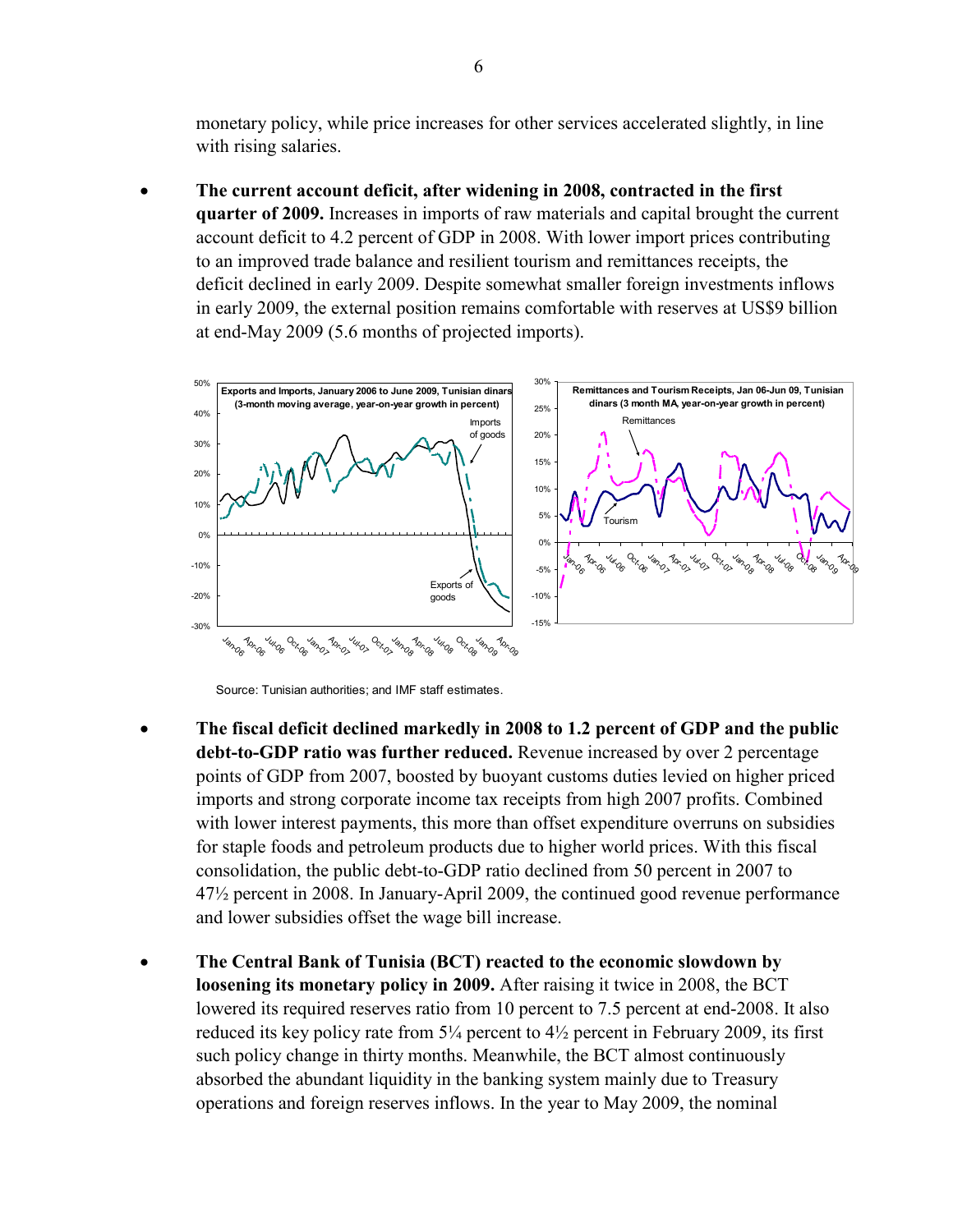monetary policy, while price increases for other services accelerated slightly, in line with rising salaries.

• **The current account deficit, after widening in 2008, contracted in the first quarter of 2009.** Increases in imports of raw materials and capital brought the current account deficit to 4.2 percent of GDP in 2008. With lower import prices contributing to an improved trade balance and resilient tourism and remittances receipts, the deficit declined in early 2009. Despite somewhat smaller foreign investments inflows in early 2009, the external position remains comfortable with reserves at US\$9 billion at end-May 2009 (5.6 months of projected imports).



Source: Tunisian authorities; and IMF staff estimates.

- **The fiscal deficit declined markedly in 2008 to 1.2 percent of GDP and the public debt-to-GDP ratio was further reduced.** Revenue increased by over 2 percentage points of GDP from 2007, boosted by buoyant customs duties levied on higher priced imports and strong corporate income tax receipts from high 2007 profits. Combined with lower interest payments, this more than offset expenditure overruns on subsidies for staple foods and petroleum products due to higher world prices. With this fiscal consolidation, the public debt-to-GDP ratio declined from 50 percent in 2007 to 47½ percent in 2008. In January-April 2009, the continued good revenue performance and lower subsidies offset the wage bill increase.
- **The Central Bank of Tunisia (BCT) reacted to the economic slowdown by loosening its monetary policy in 2009.** After raising it twice in 2008, the BCT lowered its required reserves ratio from 10 percent to 7.5 percent at end-2008. It also reduced its key policy rate from  $5\frac{1}{4}$  percent to  $4\frac{1}{2}$  percent in February 2009, its first such policy change in thirty months. Meanwhile, the BCT almost continuously absorbed the abundant liquidity in the banking system mainly due to Treasury operations and foreign reserves inflows. In the year to May 2009, the nominal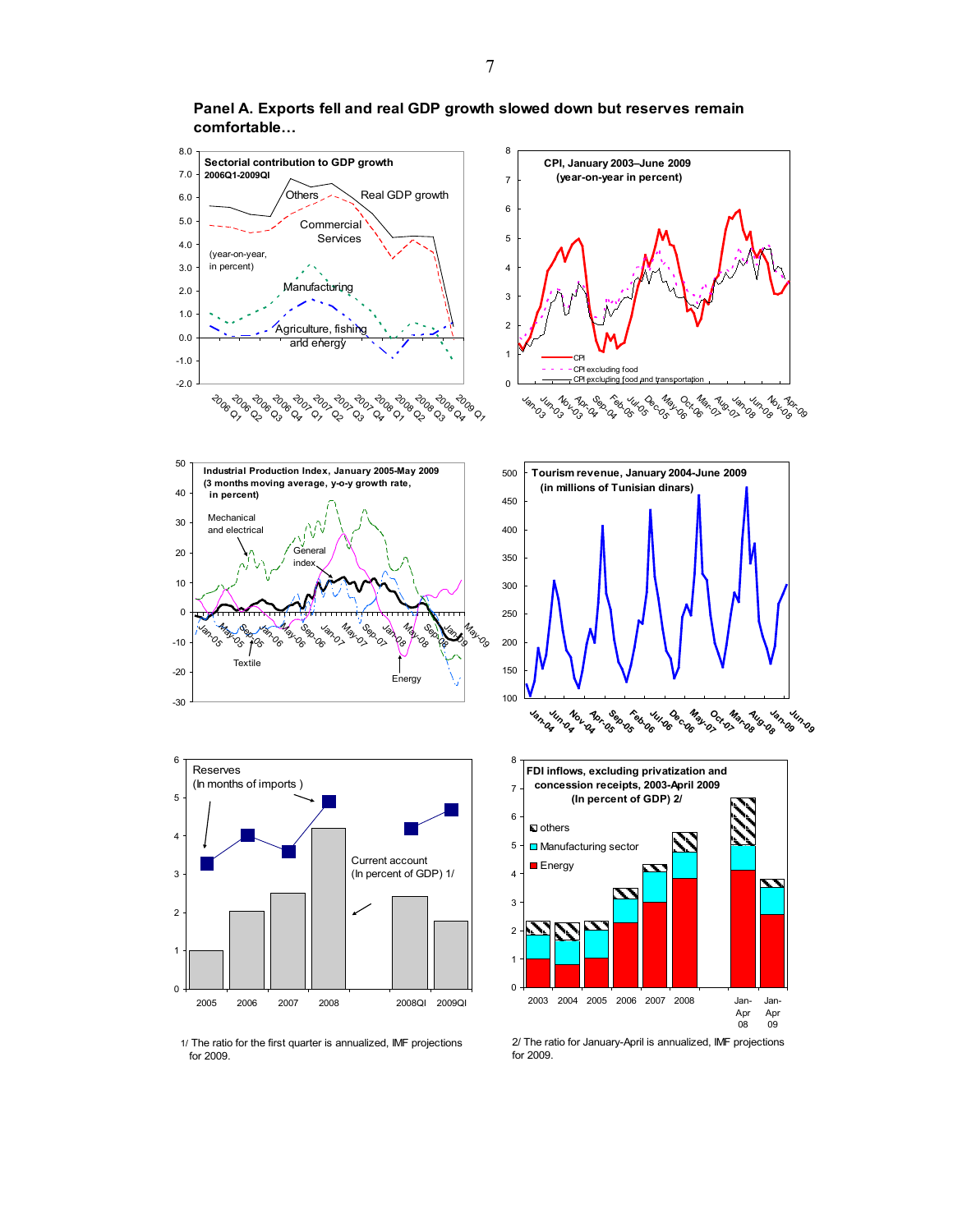

**Panel A. Exports fell and real GDP growth slowed down but reserves remain comfortable…**

1/ The ratio for the first quarter is annualized, IMF projections for 2009.

2/ The ratio for January-April is annualized, IMF projections for 2009.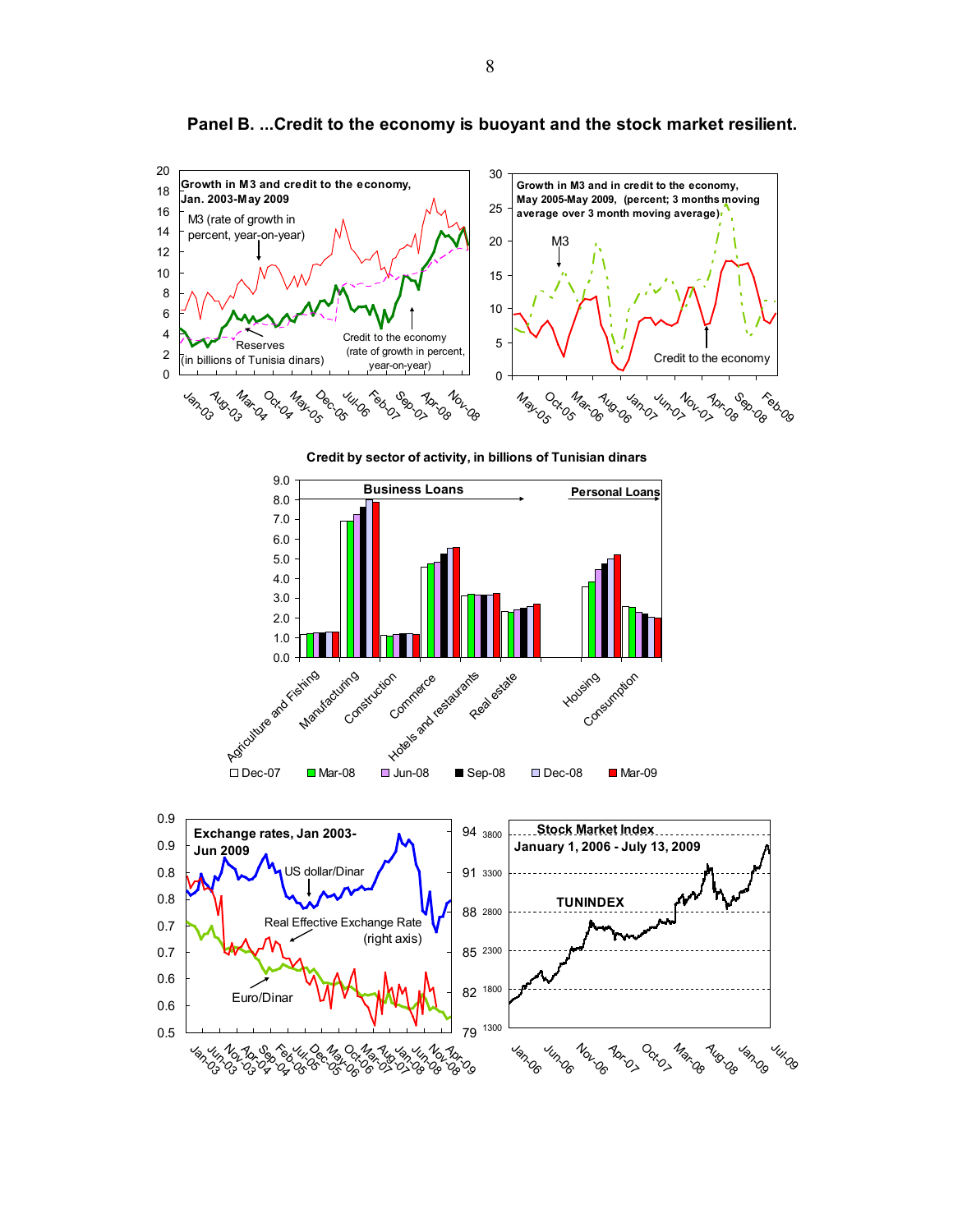

**Panel B. ...Credit to the economy is buoyant and the stock market resilient.**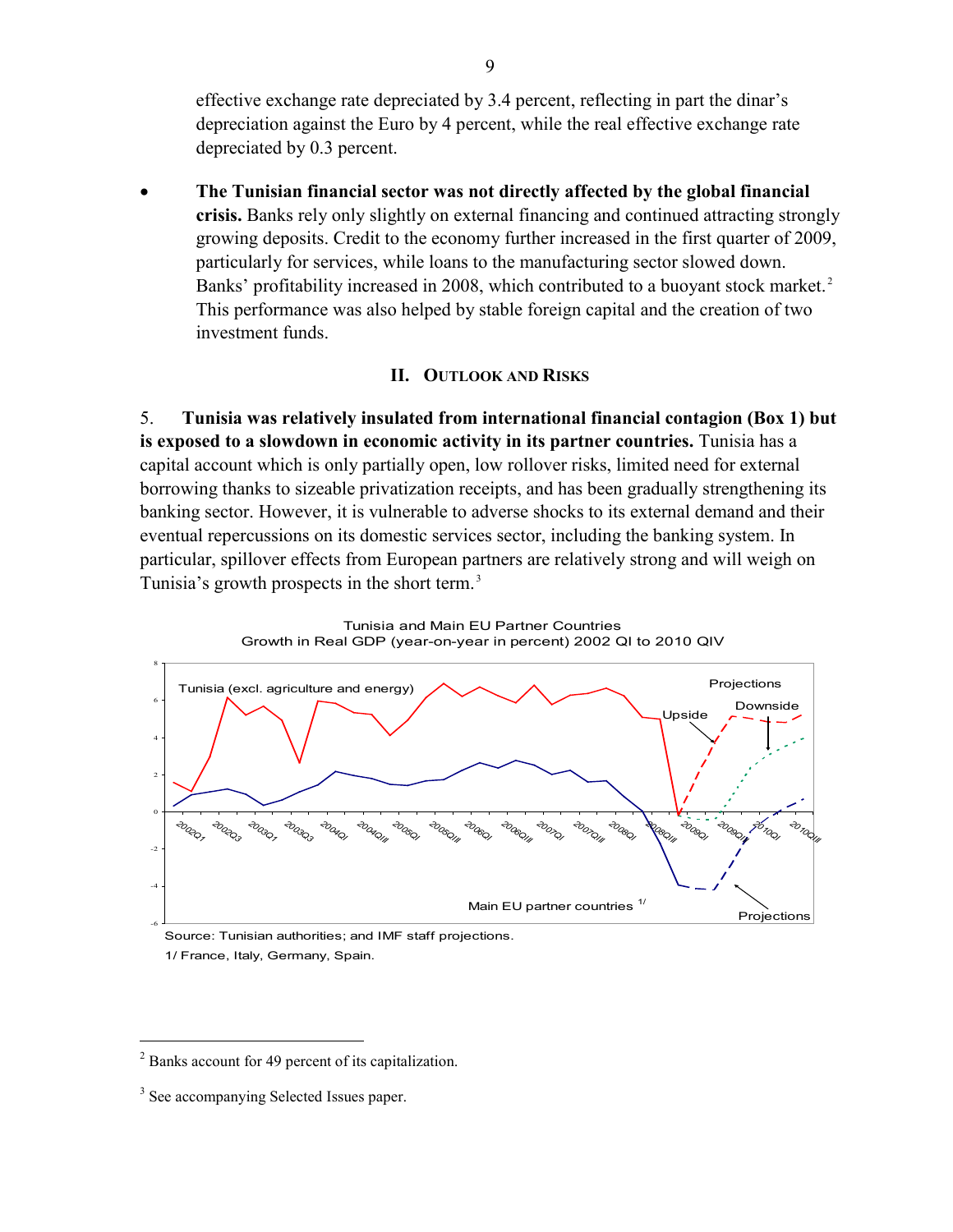effective exchange rate depreciated by 3.4 percent, reflecting in part the dinar's depreciation against the Euro by 4 percent, while the real effective exchange rate depreciated by 0.3 percent.

• **The Tunisian financial sector was not directly affected by the global financial crisis.** Banks rely only slightly on external financing and continued attracting strongly growing deposits. Credit to the economy further increased in the first quarter of 2009, particularly for services, while loans to the manufacturing sector slowed down. Banks' profitability increased in [2](#page-9-0)008, which contributed to a buoyant stock market.<sup>2</sup> This performance was also helped by stable foreign capital and the creation of two investment funds.

### **II. OUTLOOK AND RISKS**

5. **Tunisia was relatively insulated from international financial contagion (Box 1) but is exposed to a slowdown in economic activity in its partner countries.** Tunisia has a capital account which is only partially open, low rollover risks, limited need for external borrowing thanks to sizeable privatization receipts, and has been gradually strengthening its banking sector. However, it is vulnerable to adverse shocks to its external demand and their eventual repercussions on its domestic services sector, including the banking system. In particular, spillover effects from European partners are relatively strong and will weigh on Tunisia's growth prospects in the short term. [3](#page-9-1)



Tunisia and Main EU Partner Countries Growth in Real GDP (year-on-year in percent) 2002 QI to 2010 QIV

Source: Tunisian authorities; and IMF staff projections.

1/ France, Italy, Germany, Spain.

 $\overline{a}$ 

<span id="page-9-0"></span><sup>2</sup> Banks account for 49 percent of its capitalization.

<span id="page-9-1"></span><sup>&</sup>lt;sup>3</sup> See accompanying Selected Issues paper.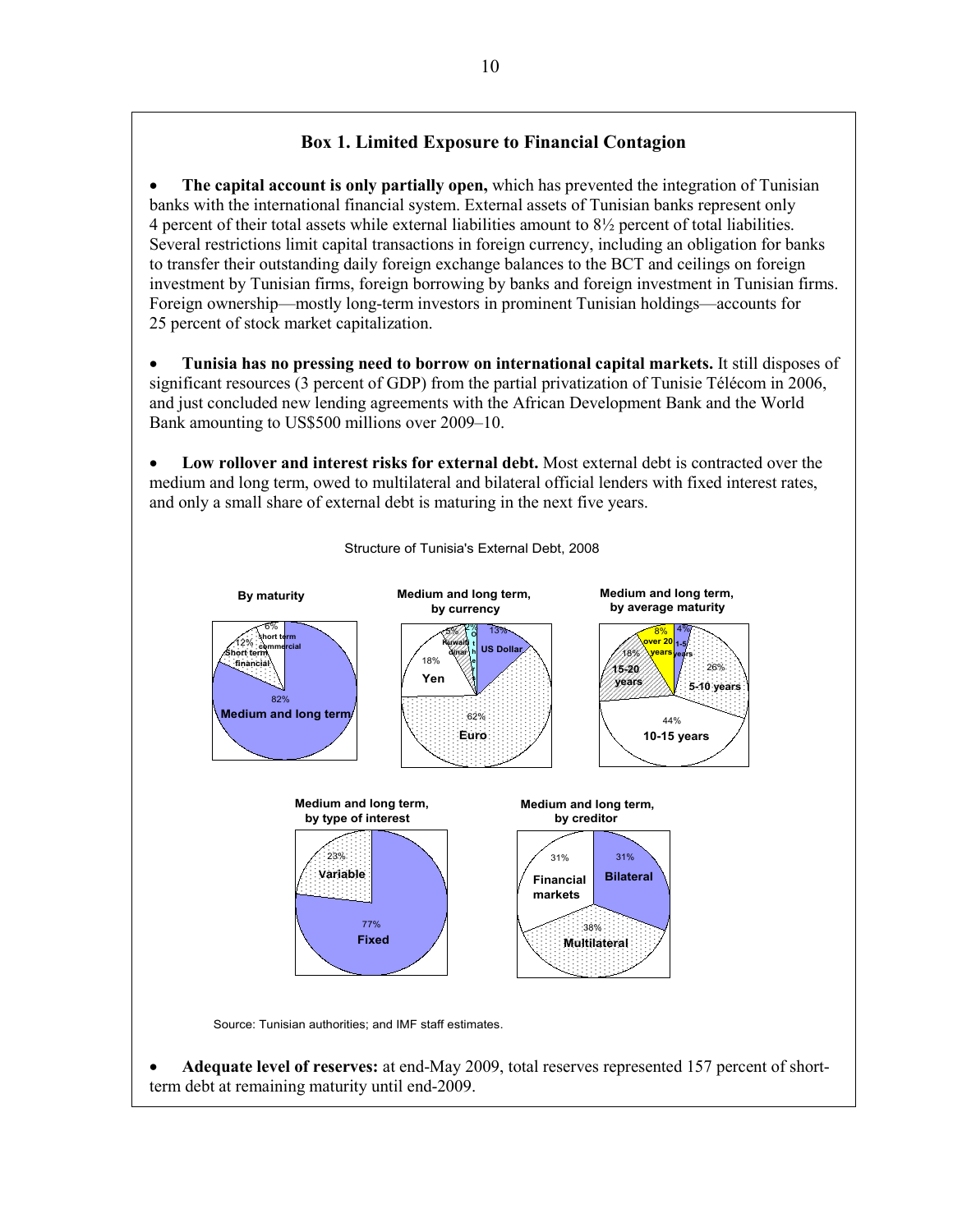## **Box 1. Limited Exposure to Financial Contagion**

• **The capital account is only partially open,** which has prevented the integration of Tunisian banks with the international financial system. External assets of Tunisian banks represent only 4 percent of their total assets while external liabilities amount to 8½ percent of total liabilities. Several restrictions limit capital transactions in foreign currency, including an obligation for banks to transfer their outstanding daily foreign exchange balances to the BCT and ceilings on foreign investment by Tunisian firms, foreign borrowing by banks and foreign investment in Tunisian firms. Foreign ownership—mostly long-term investors in prominent Tunisian holdings—accounts for 25 percent of stock market capitalization.

• **Tunisia has no pressing need to borrow on international capital markets.** It still disposes of significant resources (3 percent of GDP) from the partial privatization of Tunisie Télécom in 2006, and just concluded new lending agreements with the African Development Bank and the World Bank amounting to US\$500 millions over 2009–10.

• **Low rollover and interest risks for external debt.** Most external debt is contracted over the medium and long term, owed to multilateral and bilateral official lenders with fixed interest rates, and only a small share of external debt is maturing in the next five years.



Structure of Tunisia's External Debt, 2008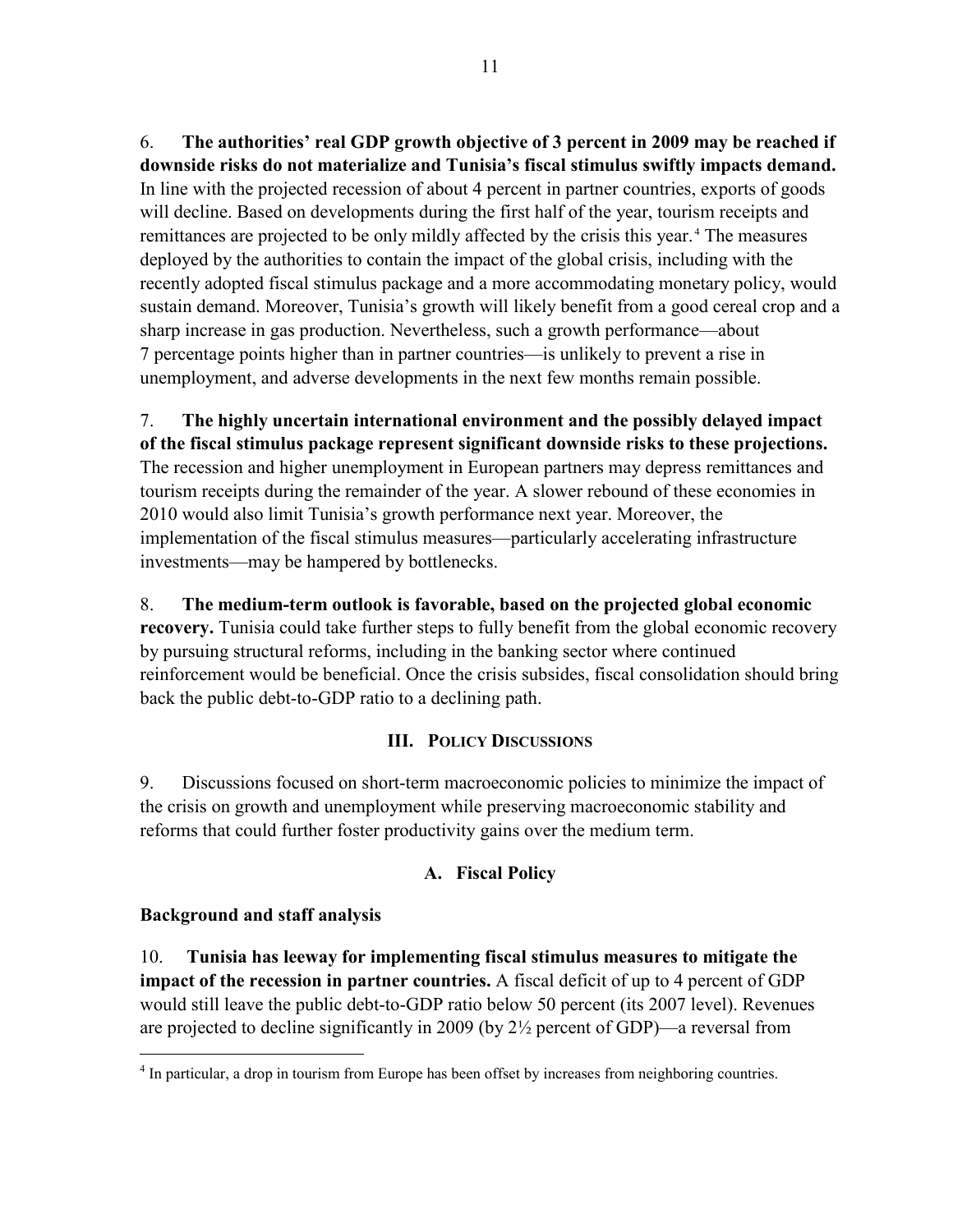6. **The authorities' real GDP growth objective of 3 percent in 2009 may be reached if downside risks do not materialize and Tunisia's fiscal stimulus swiftly impacts demand.** In line with the projected recession of about 4 percent in partner countries, exports of goods will decline. Based on developments during the first half of the year, tourism receipts and remittances are projected to be only mildly affected by the crisis this year.<sup>[4](#page-11-0)</sup> The measures deployed by the authorities to contain the impact of the global crisis, including with the recently adopted fiscal stimulus package and a more accommodating monetary policy, would sustain demand. Moreover, Tunisia's growth will likely benefit from a good cereal crop and a sharp increase in gas production. Nevertheless, such a growth performance—about 7 percentage points higher than in partner countries—is unlikely to prevent a rise in unemployment, and adverse developments in the next few months remain possible.

7. **The highly uncertain international environment and the possibly delayed impact of the fiscal stimulus package represent significant downside risks to these projections.**  The recession and higher unemployment in European partners may depress remittances and tourism receipts during the remainder of the year. A slower rebound of these economies in 2010 would also limit Tunisia's growth performance next year. Moreover, the implementation of the fiscal stimulus measures—particularly accelerating infrastructure investments—may be hampered by bottlenecks.

8. **The medium-term outlook is favorable, based on the projected global economic recovery.** Tunisia could take further steps to fully benefit from the global economic recovery by pursuing structural reforms, including in the banking sector where continued reinforcement would be beneficial. Once the crisis subsides, fiscal consolidation should bring back the public debt-to-GDP ratio to a declining path.

## **III. POLICY DISCUSSIONS**

9. Discussions focused on short-term macroeconomic policies to minimize the impact of the crisis on growth and unemployment while preserving macroeconomic stability and reforms that could further foster productivity gains over the medium term.

## **A. Fiscal Policy**

## **Background and staff analysis**

 $\overline{a}$ 

10. **Tunisia has leeway for implementing fiscal stimulus measures to mitigate the impact of the recession in partner countries.** A fiscal deficit of up to 4 percent of GDP would still leave the public debt-to-GDP ratio below 50 percent (its 2007 level). Revenues are projected to decline significantly in 2009 (by  $2\frac{1}{2}$  percent of GDP)—a reversal from

<span id="page-11-0"></span><sup>&</sup>lt;sup>4</sup> In particular, a drop in tourism from Europe has been offset by increases from neighboring countries.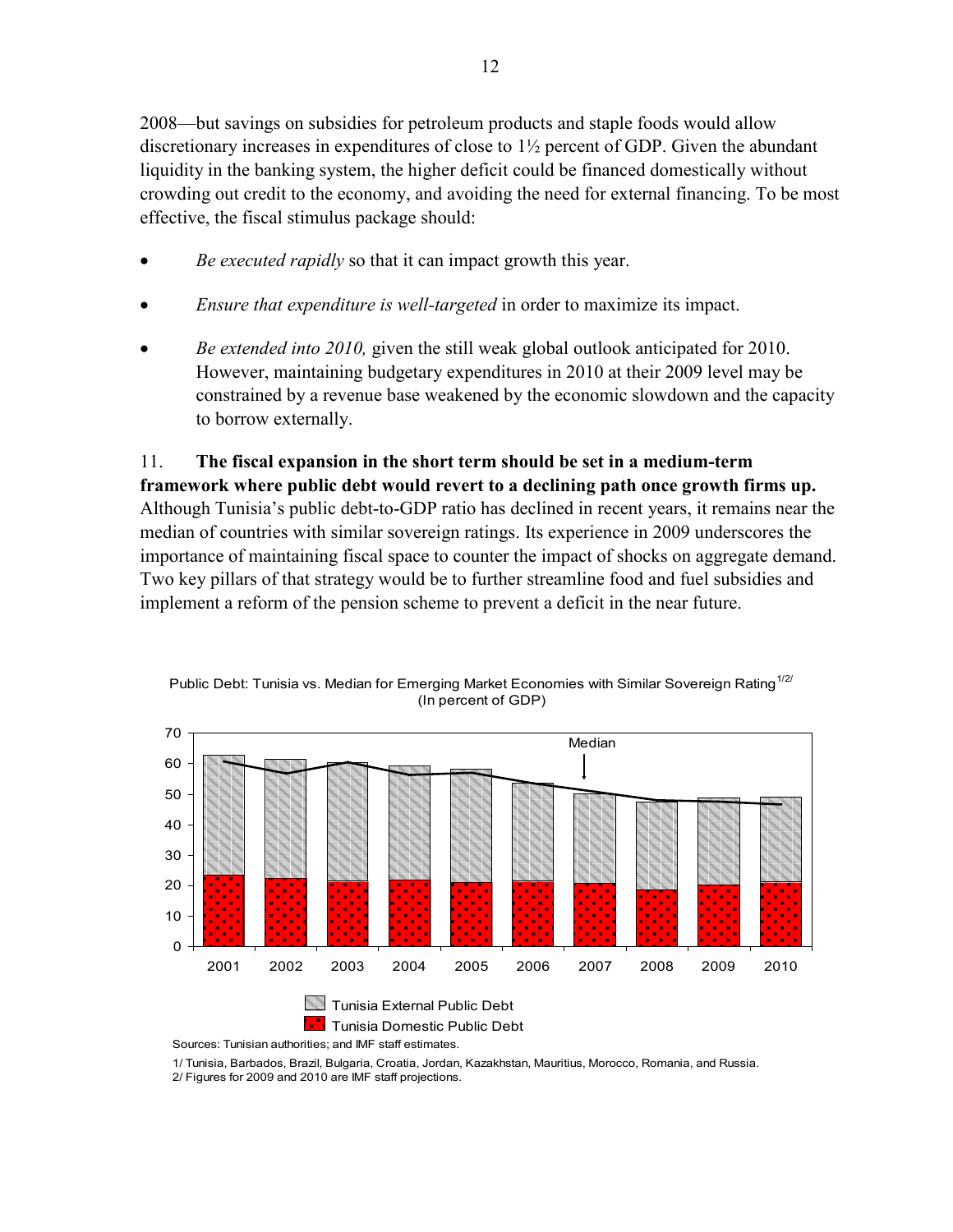2008—but savings on subsidies for petroleum products and staple foods would allow discretionary increases in expenditures of close to 1½ percent of GDP. Given the abundant liquidity in the banking system, the higher deficit could be financed domestically without crowding out credit to the economy, and avoiding the need for external financing. To be most effective, the fiscal stimulus package should:

- *Be executed rapidly* so that it can impact growth this year.
- *Ensure that expenditure is well-targeted* in order to maximize its impact.
- *Be extended into 2010,* given the still weak global outlook anticipated for 2010. However, maintaining budgetary expenditures in 2010 at their 2009 level may be constrained by a revenue base weakened by the economic slowdown and the capacity to borrow externally.

11. **The fiscal expansion in the short term should be set in a medium-term framework where public debt would revert to a declining path once growth firms up.** Although Tunisia's public debt-to-GDP ratio has declined in recent years, it remains near the median of countries with similar sovereign ratings. Its experience in 2009 underscores the importance of maintaining fiscal space to counter the impact of shocks on aggregate demand. Two key pillars of that strategy would be to further streamline food and fuel subsidies and implement a reform of the pension scheme to prevent a deficit in the near future.



Public Debt: Tunisia vs. Median for Emerging Market Economies with Similar Sovereign Rating<sup>1/2/</sup> (In percent of GDP)

Sources: Tunisian authorities; and IMF staff estimates.

1/ Tunisia, Barbados, Brazil, Bulgaria, Croatia, Jordan, Kazakhstan, Mauritius, Morocco, Romania, and Russia. 2/ Figures for 2009 and 2010 are IMF staff projections.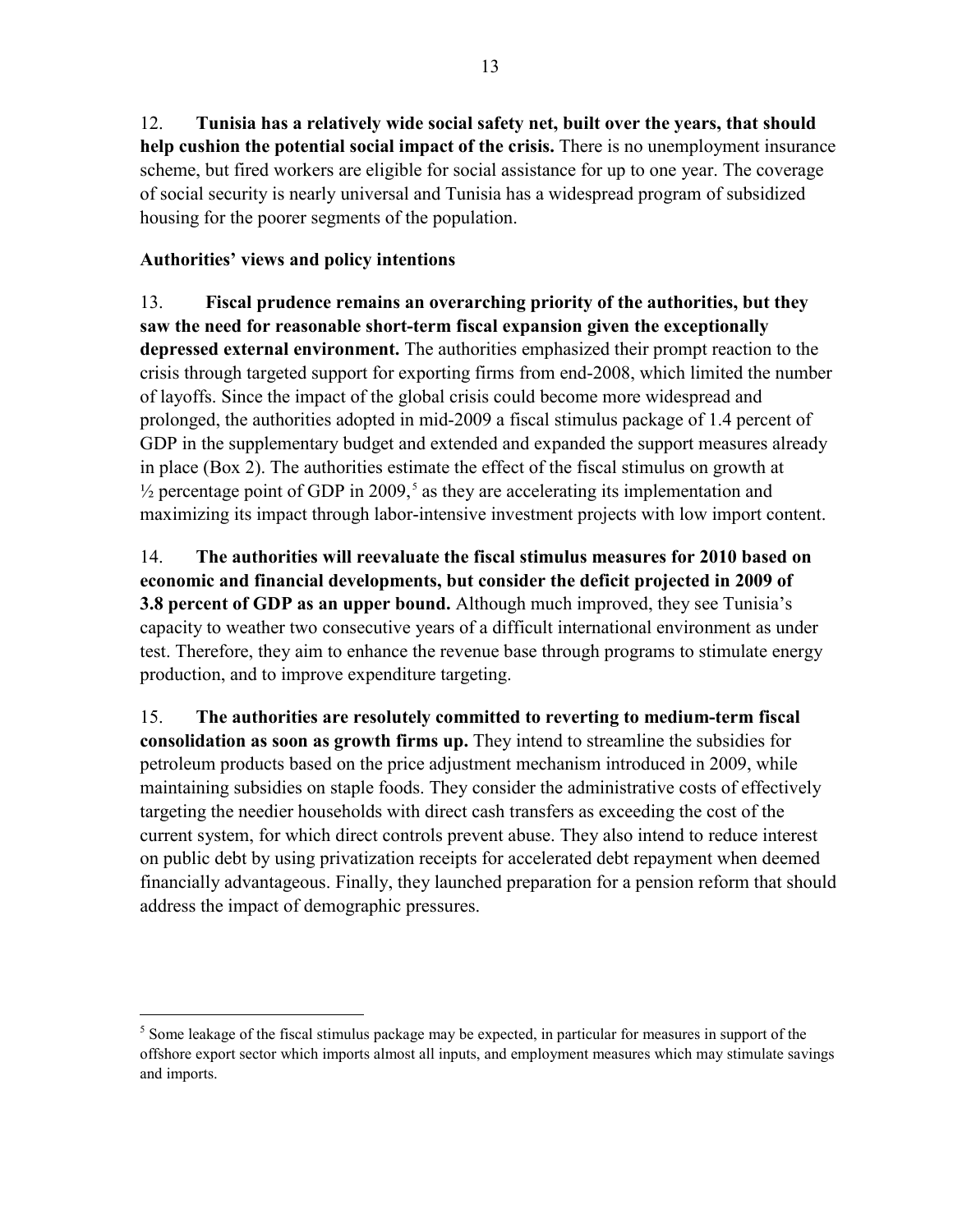12. **Tunisia has a relatively wide social safety net, built over the years, that should help cushion the potential social impact of the crisis.** There is no unemployment insurance scheme, but fired workers are eligible for social assistance for up to one year. The coverage of social security is nearly universal and Tunisia has a widespread program of subsidized housing for the poorer segments of the population.

## **Authorities' views and policy intentions**

 $\overline{a}$ 

13. **Fiscal prudence remains an overarching priority of the authorities, but they saw the need for reasonable short-term fiscal expansion given the exceptionally depressed external environment.** The authorities emphasized their prompt reaction to the crisis through targeted support for exporting firms from end-2008, which limited the number of layoffs. Since the impact of the global crisis could become more widespread and prolonged, the authorities adopted in mid-2009 a fiscal stimulus package of 1.4 percent of GDP in the supplementary budget and extended and expanded the support measures already in place (Box 2). The authorities estimate the effect of the fiscal stimulus on growth at  $\frac{1}{2}$  percentage point of GDP in 2009,<sup>[5](#page-13-0)</sup> as they are accelerating its implementation and maximizing its impact through labor-intensive investment projects with low import content.

14. **The authorities will reevaluate the fiscal stimulus measures for 2010 based on economic and financial developments, but consider the deficit projected in 2009 of 3.8 percent of GDP as an upper bound.** Although much improved, they see Tunisia's capacity to weather two consecutive years of a difficult international environment as under test. Therefore, they aim to enhance the revenue base through programs to stimulate energy production, and to improve expenditure targeting.

15. **The authorities are resolutely committed to reverting to medium-term fiscal consolidation as soon as growth firms up.** They intend to streamline the subsidies for petroleum products based on the price adjustment mechanism introduced in 2009, while maintaining subsidies on staple foods. They consider the administrative costs of effectively targeting the needier households with direct cash transfers as exceeding the cost of the current system, for which direct controls prevent abuse. They also intend to reduce interest on public debt by using privatization receipts for accelerated debt repayment when deemed financially advantageous. Finally, they launched preparation for a pension reform that should address the impact of demographic pressures.

<span id="page-13-0"></span><sup>&</sup>lt;sup>5</sup> Some leakage of the fiscal stimulus package may be expected, in particular for measures in support of the offshore export sector which imports almost all inputs, and employment measures which may stimulate savings and imports.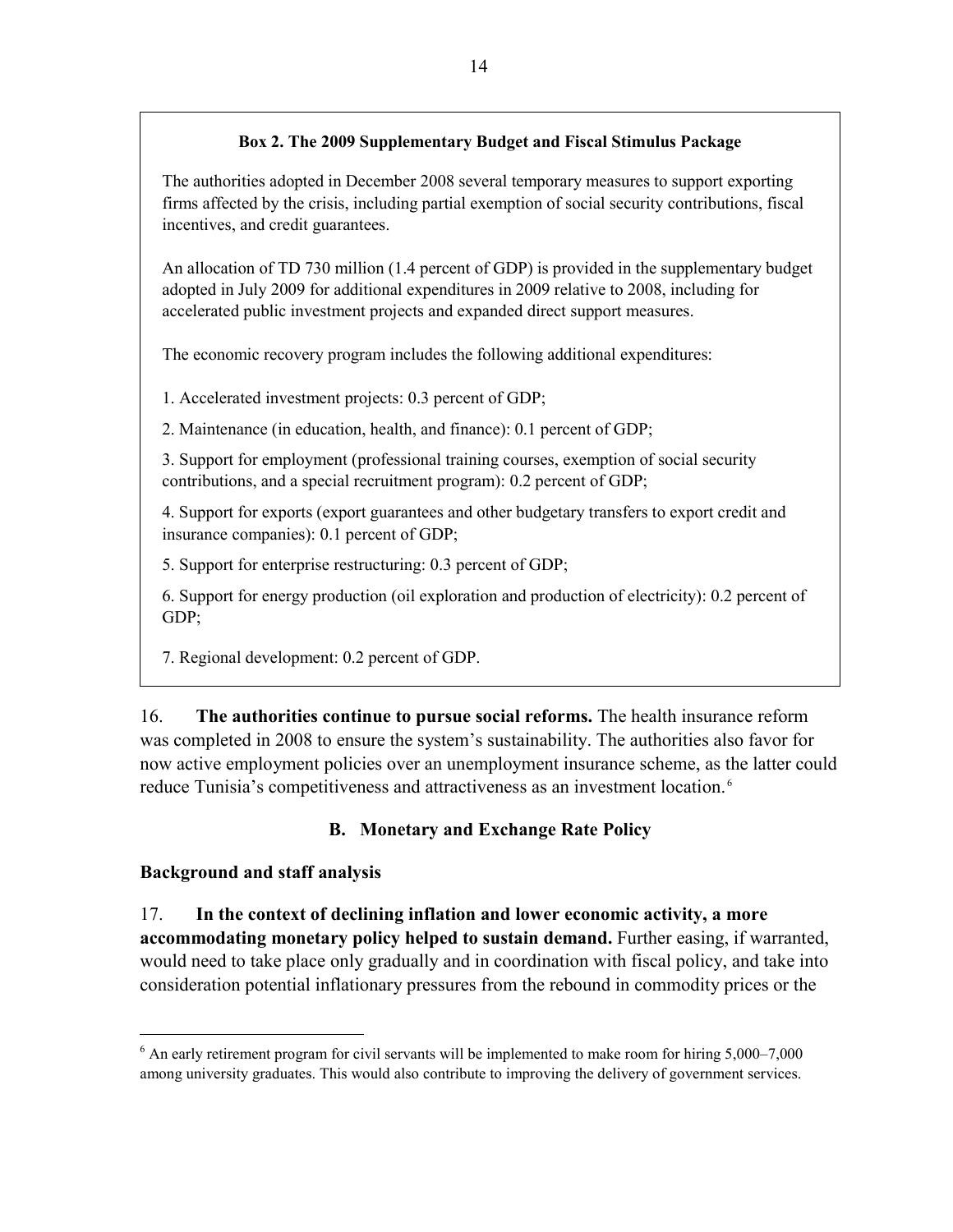### **Box 2. The 2009 Supplementary Budget and Fiscal Stimulus Package**

The authorities adopted in December 2008 several temporary measures to support exporting firms affected by the crisis, including partial exemption of social security contributions, fiscal incentives, and credit guarantees.

An allocation of TD 730 million (1.4 percent of GDP) is provided in the supplementary budget adopted in July 2009 for additional expenditures in 2009 relative to 2008, including for accelerated public investment projects and expanded direct support measures.

The economic recovery program includes the following additional expenditures:

1. Accelerated investment projects: 0.3 percent of GDP;

2. Maintenance (in education, health, and finance): 0.1 percent of GDP;

3. Support for employment (professional training courses, exemption of social security contributions, and a special recruitment program): 0.2 percent of GDP;

4. Support for exports (export guarantees and other budgetary transfers to export credit and insurance companies): 0.1 percent of GDP;

5. Support for enterprise restructuring: 0.3 percent of GDP;

6. Support for energy production (oil exploration and production of electricity): 0.2 percent of GDP;

7. Regional development: 0.2 percent of GDP.

16. **The authorities continue to pursue social reforms.** The health insurance reform was completed in 2008 to ensure the system's sustainability. The authorities also favor for now active employment policies over an unemployment insurance scheme, as the latter could reduce Tunisia's competitiveness and attractiveness as an investment location. [6](#page-14-0)

## **B. Monetary and Exchange Rate Policy**

## **Background and staff analysis**

 $\overline{a}$ 

17. **In the context of declining inflation and lower economic activity, a more accommodating monetary policy helped to sustain demand.** Further easing, if warranted, would need to take place only gradually and in coordination with fiscal policy, and take into consideration potential inflationary pressures from the rebound in commodity prices or the

<span id="page-14-0"></span><sup>&</sup>lt;sup>6</sup> An early retirement program for civil servants will be implemented to make room for hiring 5,000–7,000 among university graduates. This would also contribute to improving the delivery of government services.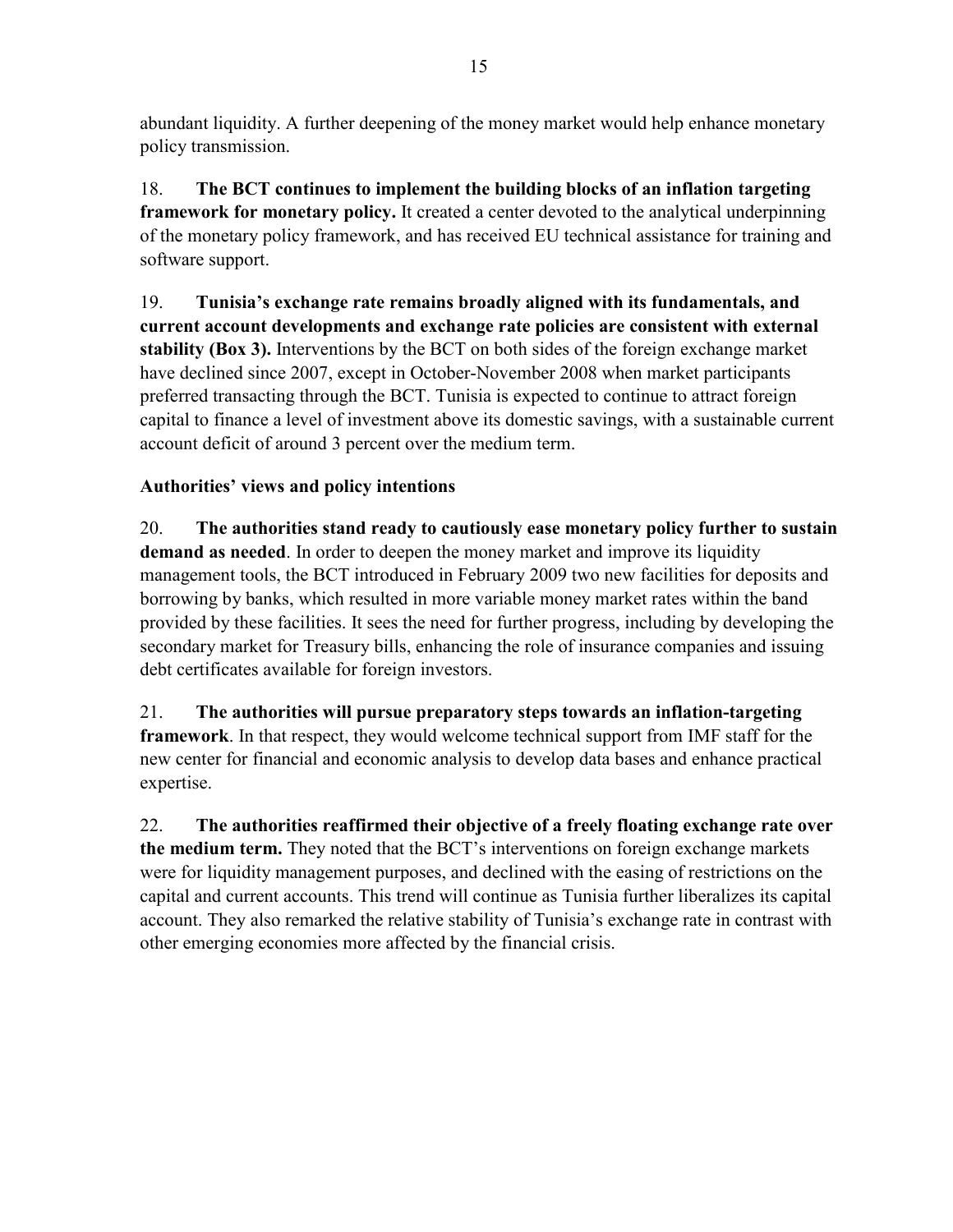abundant liquidity. A further deepening of the money market would help enhance monetary policy transmission.

18. **The BCT continues to implement the building blocks of an inflation targeting framework for monetary policy.** It created a center devoted to the analytical underpinning of the monetary policy framework, and has received EU technical assistance for training and software support.

19. **Tunisia's exchange rate remains broadly aligned with its fundamentals, and current account developments and exchange rate policies are consistent with external stability (Box 3).** Interventions by the BCT on both sides of the foreign exchange market have declined since 2007, except in October-November 2008 when market participants preferred transacting through the BCT. Tunisia is expected to continue to attract foreign capital to finance a level of investment above its domestic savings, with a sustainable current account deficit of around 3 percent over the medium term.

## **Authorities' views and policy intentions**

20. **The authorities stand ready to cautiously ease monetary policy further to sustain demand as needed**. In order to deepen the money market and improve its liquidity management tools, the BCT introduced in February 2009 two new facilities for deposits and borrowing by banks, which resulted in more variable money market rates within the band provided by these facilities. It sees the need for further progress, including by developing the secondary market for Treasury bills, enhancing the role of insurance companies and issuing debt certificates available for foreign investors.

21. **The authorities will pursue preparatory steps towards an inflation-targeting framework**. In that respect, they would welcome technical support from IMF staff for the new center for financial and economic analysis to develop data bases and enhance practical expertise.

22. **The authorities reaffirmed their objective of a freely floating exchange rate over the medium term.** They noted that the BCT's interventions on foreign exchange markets were for liquidity management purposes, and declined with the easing of restrictions on the capital and current accounts. This trend will continue as Tunisia further liberalizes its capital account. They also remarked the relative stability of Tunisia's exchange rate in contrast with other emerging economies more affected by the financial crisis.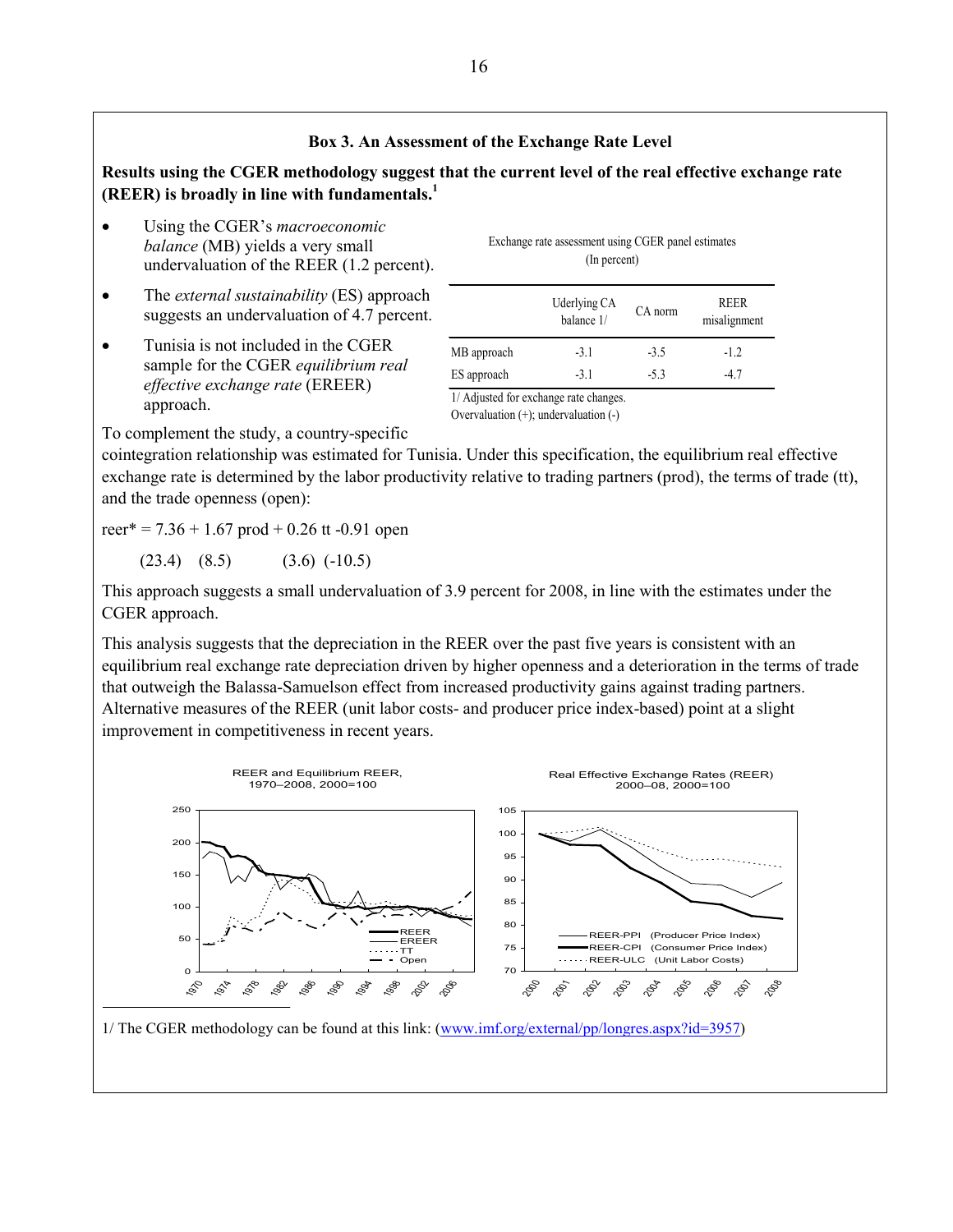#### **Box 3. An Assessment of the Exchange Rate Level**

**Results using the CGER methodology suggest that the current level of the real effective exchange rate (REER) is broadly in line with fundamentals.<sup>1</sup>**

- Using the CGER's *macroeconomic balance* (MB) yields a very small undervaluation of the REER (1.2 percent).
- The *external sustainability* (ES) approach suggests an undervaluation of 4.7 percent.
- Tunisia is not included in the CGER sample for the CGER *equilibrium real effective exchange rate* (EREER) approach.

Exchange rate assessment using CGER panel estimates (In percent)

|             | Uderlying CA<br>balance 1/ | CA norm | <b>REER</b><br>misalignment |
|-------------|----------------------------|---------|-----------------------------|
| MB approach | $-3.1$                     | $-3.5$  | $-1.2$                      |
| ES approach | $-3.1$                     | $-5.3$  | -4 7                        |

1/ Adjusted for exchange rate changes.

Overvaluation (+); undervaluation (-)

To complement the study, a country-specific

cointegration relationship was estimated for Tunisia. Under this specification, the equilibrium real effective exchange rate is determined by the labor productivity relative to trading partners (prod), the terms of trade (tt), and the trade openness (open):

reer\* =  $7.36 + 1.67$  prod + 0.26 tt -0.91 open

 $(23.4)$   $(8.5)$   $(3.6)$   $(-10.5)$ 

This approach suggests a small undervaluation of 3.9 percent for 2008, in line with the estimates under the CGER approach.

This analysis suggests that the depreciation in the REER over the past five years is consistent with an equilibrium real exchange rate depreciation driven by higher openness and a deterioration in the terms of trade that outweigh the Balassa-Samuelson effect from increased productivity gains against trading partners. Alternative measures of the REER (unit labor costs- and producer price index-based) point at a slight improvement in competitiveness in recent years.

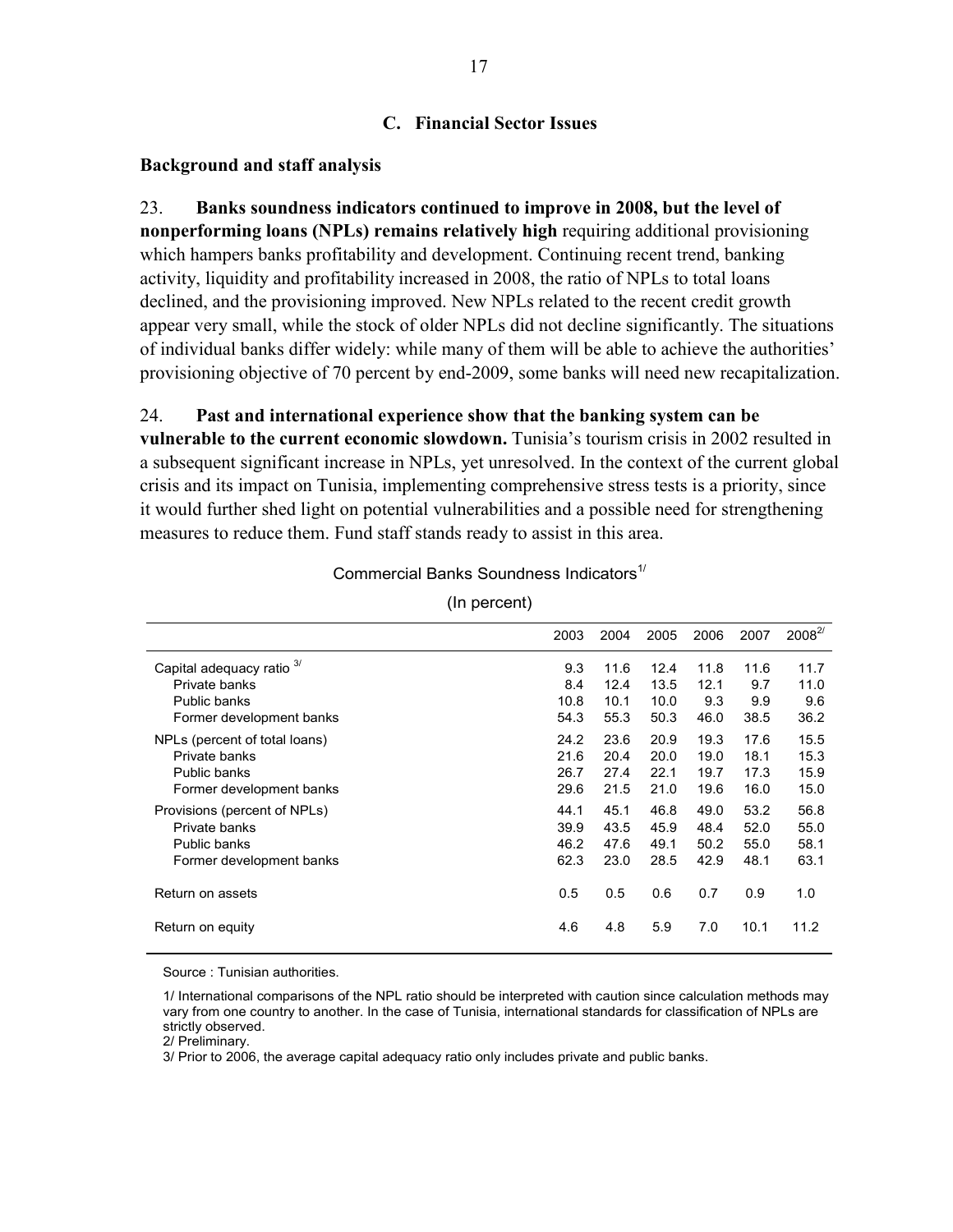#### **C. Financial Sector Issues**

#### **Background and staff analysis**

23. **Banks soundness indicators continued to improve in 2008, but the level of nonperforming loans (NPLs) remains relatively high** requiring additional provisioning which hampers banks profitability and development. Continuing recent trend, banking activity, liquidity and profitability increased in 2008, the ratio of NPLs to total loans declined, and the provisioning improved. New NPLs related to the recent credit growth appear very small, while the stock of older NPLs did not decline significantly. The situations of individual banks differ widely: while many of them will be able to achieve the authorities' provisioning objective of 70 percent by end-2009, some banks will need new recapitalization.

#### 24. **Past and international experience show that the banking system can be**

**vulnerable to the current economic slowdown.** Tunisia's tourism crisis in 2002 resulted in a subsequent significant increase in NPLs, yet unresolved. In the context of the current global crisis and its impact on Tunisia, implementing comprehensive stress tests is a priority, since it would further shed light on potential vulnerabilities and a possible need for strengthening measures to reduce them. Fund staff stands ready to assist in this area.

|                               | 2003 | 2004 | 2005 | 2006 | 2007 | $2008^{2/3}$ |
|-------------------------------|------|------|------|------|------|--------------|
| Capital adequacy ratio        | 9.3  | 11.6 | 12.4 | 11.8 | 11.6 | 11.7         |
| Private banks                 | 8.4  | 12.4 | 13.5 | 12.1 | 9.7  | 11.0         |
| Public banks                  | 10.8 | 10.1 | 10.0 | 9.3  | 9.9  | 9.6          |
| Former development banks      | 54.3 | 55.3 | 50.3 | 46.0 | 38.5 | 36.2         |
| NPLs (percent of total loans) | 24.2 | 23.6 | 20.9 | 19.3 | 17.6 | 15.5         |
| Private banks                 | 21.6 | 20.4 | 20.0 | 19.0 | 18.1 | 15.3         |
| Public banks                  | 26.7 | 27.4 | 22.1 | 19.7 | 17.3 | 15.9         |
| Former development banks      | 29.6 | 21.5 | 21.0 | 19.6 | 16.0 | 15.0         |
| Provisions (percent of NPLs)  | 44.1 | 45.1 | 46.8 | 49.0 | 53.2 | 56.8         |
| Private banks                 | 39.9 | 43.5 | 45.9 | 48.4 | 52.0 | 55.0         |
| Public banks                  | 46.2 | 47.6 | 49.1 | 50.2 | 55.0 | 58.1         |
| Former development banks      | 62.3 | 23.0 | 28.5 | 42.9 | 48.1 | 63.1         |
| Return on assets              | 0.5  | 0.5  | 0.6  | 0.7  | 0.9  | 1.0          |
| Return on equity              | 4.6  | 4.8  | 5.9  | 7.0  | 10.1 | 11.2         |

Commercial Banks Soundness Indicators<sup>1/</sup>

(In percent)

Source : Tunisian authorities.

2/ Preliminary.

3/ Prior to 2006, the average capital adequacy ratio only includes private and public banks.

<sup>1/</sup> International comparisons of the NPL ratio should be interpreted with caution since calculation methods may vary from one country to another. In the case of Tunisia, international standards for classification of NPLs are strictly observed.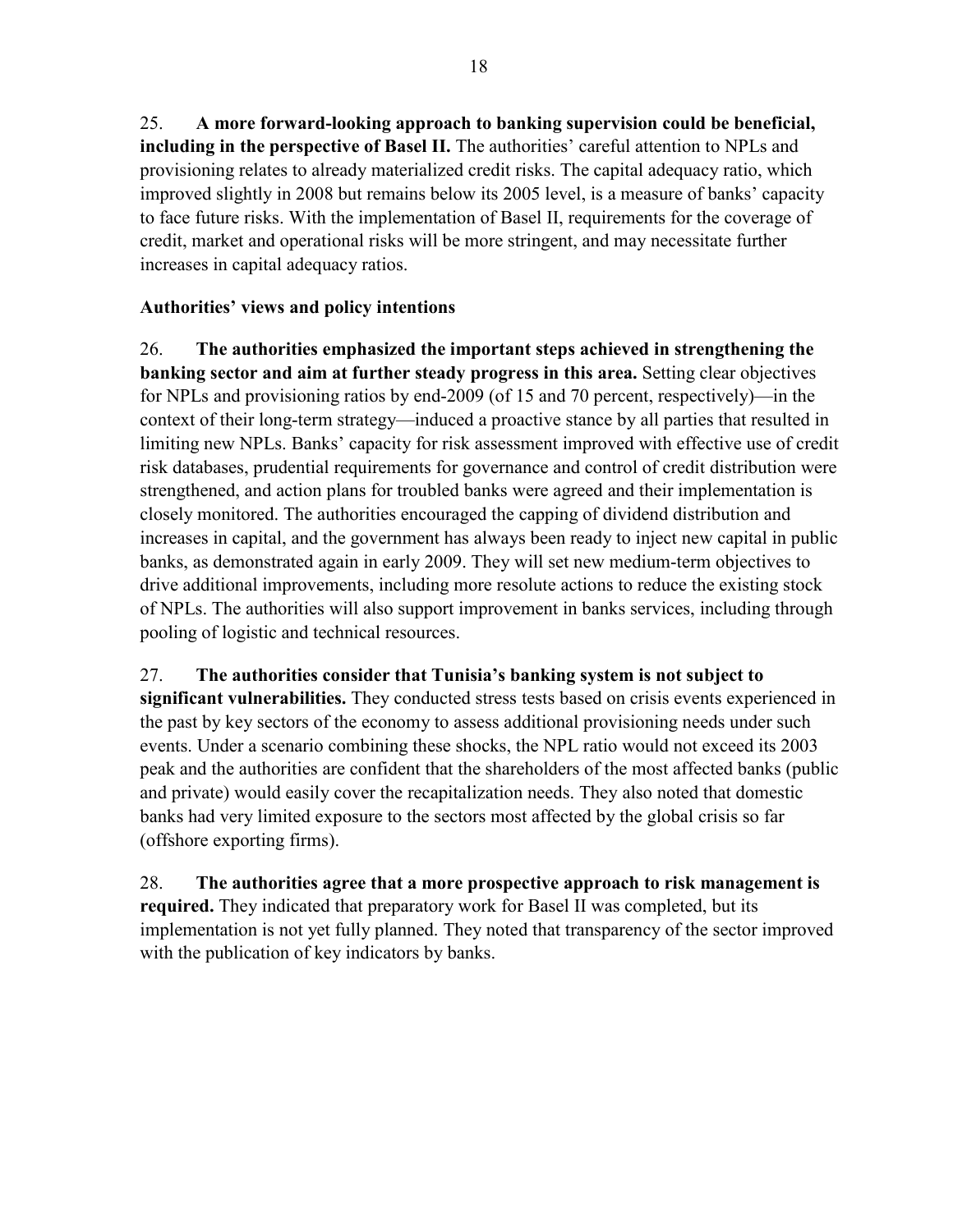25. **A more forward-looking approach to banking supervision could be beneficial, including in the perspective of Basel II.** The authorities' careful attention to NPLs and provisioning relates to already materialized credit risks. The capital adequacy ratio, which improved slightly in 2008 but remains below its 2005 level, is a measure of banks' capacity to face future risks. With the implementation of Basel II, requirements for the coverage of credit, market and operational risks will be more stringent, and may necessitate further increases in capital adequacy ratios.

## **Authorities' views and policy intentions**

26. **The authorities emphasized the important steps achieved in strengthening the banking sector and aim at further steady progress in this area.** Setting clear objectives for NPLs and provisioning ratios by end-2009 (of 15 and 70 percent, respectively)—in the context of their long-term strategy—induced a proactive stance by all parties that resulted in limiting new NPLs. Banks' capacity for risk assessment improved with effective use of credit risk databases, prudential requirements for governance and control of credit distribution were strengthened, and action plans for troubled banks were agreed and their implementation is closely monitored. The authorities encouraged the capping of dividend distribution and increases in capital, and the government has always been ready to inject new capital in public banks, as demonstrated again in early 2009. They will set new medium-term objectives to drive additional improvements, including more resolute actions to reduce the existing stock of NPLs. The authorities will also support improvement in banks services, including through pooling of logistic and technical resources.

27. **The authorities consider that Tunisia's banking system is not subject to significant vulnerabilities.** They conducted stress tests based on crisis events experienced in the past by key sectors of the economy to assess additional provisioning needs under such events. Under a scenario combining these shocks, the NPL ratio would not exceed its 2003 peak and the authorities are confident that the shareholders of the most affected banks (public and private) would easily cover the recapitalization needs. They also noted that domestic banks had very limited exposure to the sectors most affected by the global crisis so far (offshore exporting firms).

28. **The authorities agree that a more prospective approach to risk management is required.** They indicated that preparatory work for Basel II was completed, but its implementation is not yet fully planned. They noted that transparency of the sector improved with the publication of key indicators by banks.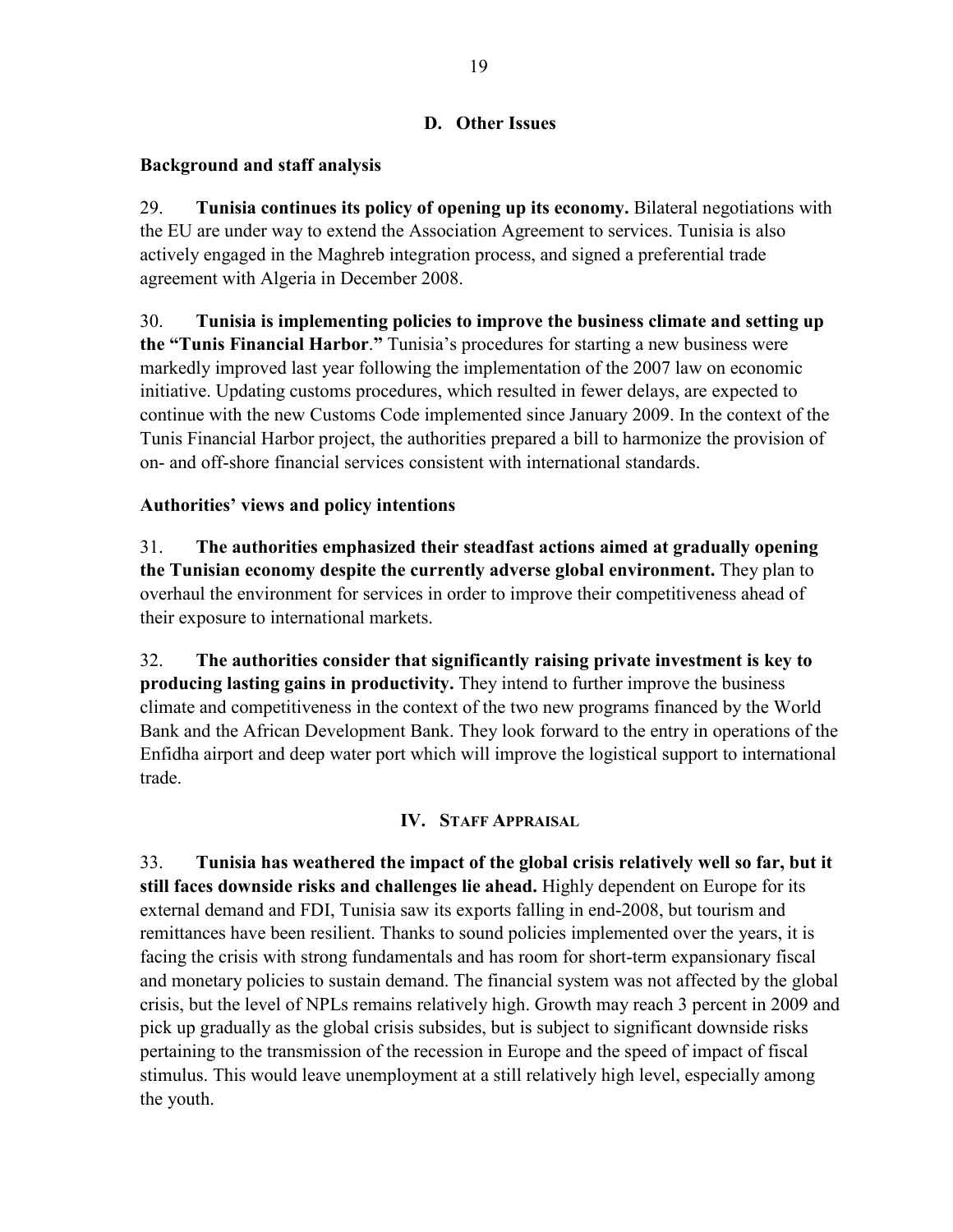## **D. Other Issues**

## **Background and staff analysis**

29. **Tunisia continues its policy of opening up its economy.** Bilateral negotiations with the EU are under way to extend the Association Agreement to services. Tunisia is also actively engaged in the Maghreb integration process, and signed a preferential trade agreement with Algeria in December 2008.

30. **Tunisia is implementing policies to improve the business climate and setting up the "Tunis Financial Harbor**.**"** Tunisia's procedures for starting a new business were markedly improved last year following the implementation of the 2007 law on economic initiative. Updating customs procedures, which resulted in fewer delays, are expected to continue with the new Customs Code implemented since January 2009. In the context of the Tunis Financial Harbor project, the authorities prepared a bill to harmonize the provision of on- and off-shore financial services consistent with international standards.

## **Authorities' views and policy intentions**

31. **The authorities emphasized their steadfast actions aimed at gradually opening the Tunisian economy despite the currently adverse global environment.** They plan to overhaul the environment for services in order to improve their competitiveness ahead of their exposure to international markets.

32. **The authorities consider that significantly raising private investment is key to producing lasting gains in productivity.** They intend to further improve the business climate and competitiveness in the context of the two new programs financed by the World Bank and the African Development Bank. They look forward to the entry in operations of the Enfidha airport and deep water port which will improve the logistical support to international trade.

## **IV. STAFF APPRAISAL**

33. **Tunisia has weathered the impact of the global crisis relatively well so far, but it still faces downside risks and challenges lie ahead.** Highly dependent on Europe for its external demand and FDI, Tunisia saw its exports falling in end-2008, but tourism and remittances have been resilient. Thanks to sound policies implemented over the years, it is facing the crisis with strong fundamentals and has room for short-term expansionary fiscal and monetary policies to sustain demand. The financial system was not affected by the global crisis, but the level of NPLs remains relatively high. Growth may reach 3 percent in 2009 and pick up gradually as the global crisis subsides, but is subject to significant downside risks pertaining to the transmission of the recession in Europe and the speed of impact of fiscal stimulus. This would leave unemployment at a still relatively high level, especially among the youth.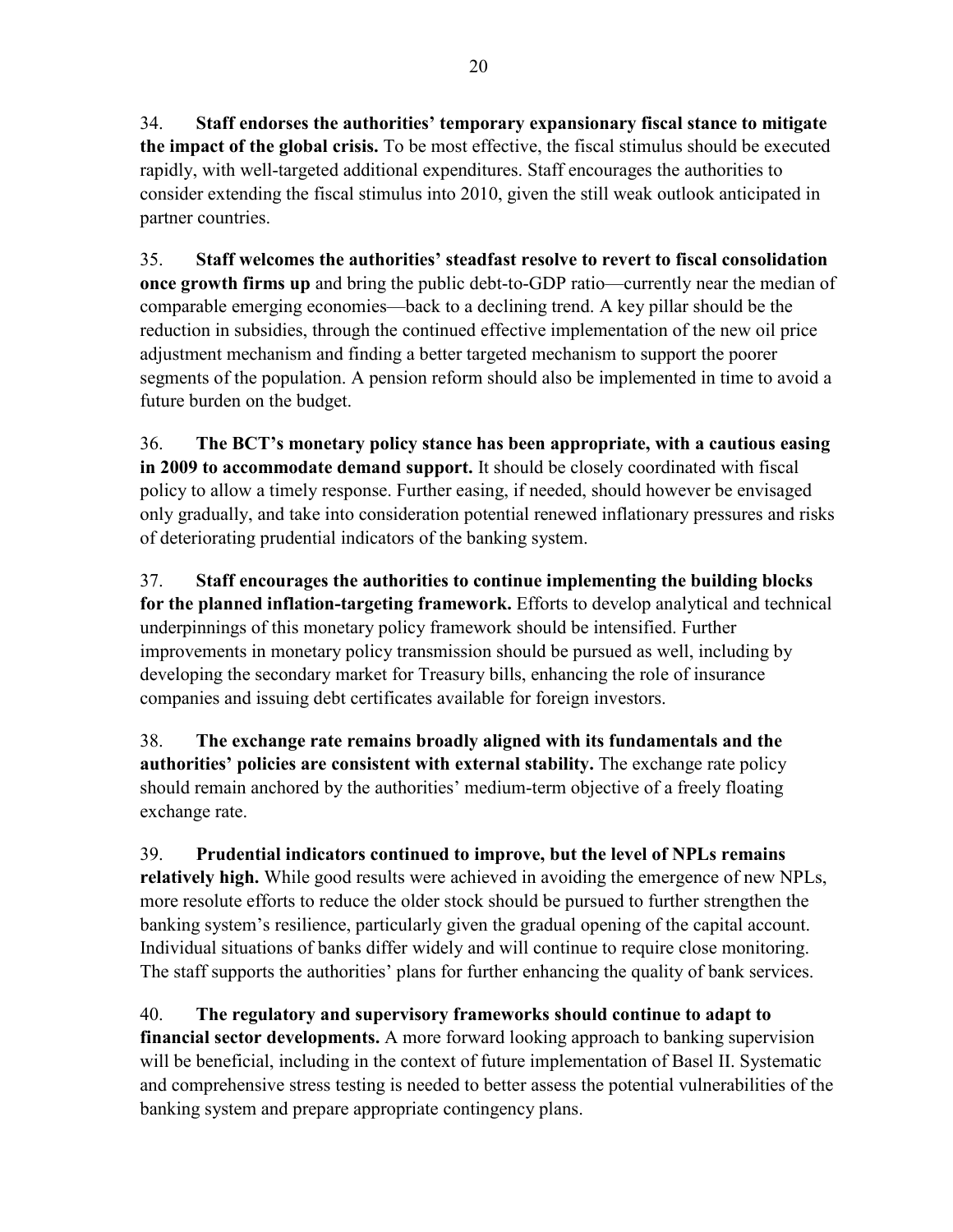34. **Staff endorses the authorities' temporary expansionary fiscal stance to mitigate the impact of the global crisis.** To be most effective, the fiscal stimulus should be executed rapidly, with well-targeted additional expenditures. Staff encourages the authorities to consider extending the fiscal stimulus into 2010, given the still weak outlook anticipated in partner countries.

35. **Staff welcomes the authorities' steadfast resolve to revert to fiscal consolidation once growth firms up** and bring the public debt-to-GDP ratio—currently near the median of comparable emerging economies—back to a declining trend. A key pillar should be the reduction in subsidies, through the continued effective implementation of the new oil price adjustment mechanism and finding a better targeted mechanism to support the poorer segments of the population. A pension reform should also be implemented in time to avoid a future burden on the budget.

36. **The BCT's monetary policy stance has been appropriate, with a cautious easing in 2009 to accommodate demand support.** It should be closely coordinated with fiscal policy to allow a timely response. Further easing, if needed, should however be envisaged only gradually, and take into consideration potential renewed inflationary pressures and risks of deteriorating prudential indicators of the banking system.

37. **Staff encourages the authorities to continue implementing the building blocks for the planned inflation-targeting framework.** Efforts to develop analytical and technical underpinnings of this monetary policy framework should be intensified. Further improvements in monetary policy transmission should be pursued as well, including by developing the secondary market for Treasury bills, enhancing the role of insurance companies and issuing debt certificates available for foreign investors.

38. **The exchange rate remains broadly aligned with its fundamentals and the authorities' policies are consistent with external stability.** The exchange rate policy should remain anchored by the authorities' medium-term objective of a freely floating exchange rate.

39. **Prudential indicators continued to improve, but the level of NPLs remains relatively high.** While good results were achieved in avoiding the emergence of new NPLs, more resolute efforts to reduce the older stock should be pursued to further strengthen the banking system's resilience, particularly given the gradual opening of the capital account. Individual situations of banks differ widely and will continue to require close monitoring. The staff supports the authorities' plans for further enhancing the quality of bank services.

40. **The regulatory and supervisory frameworks should continue to adapt to financial sector developments.** A more forward looking approach to banking supervision will be beneficial, including in the context of future implementation of Basel II. Systematic and comprehensive stress testing is needed to better assess the potential vulnerabilities of the banking system and prepare appropriate contingency plans.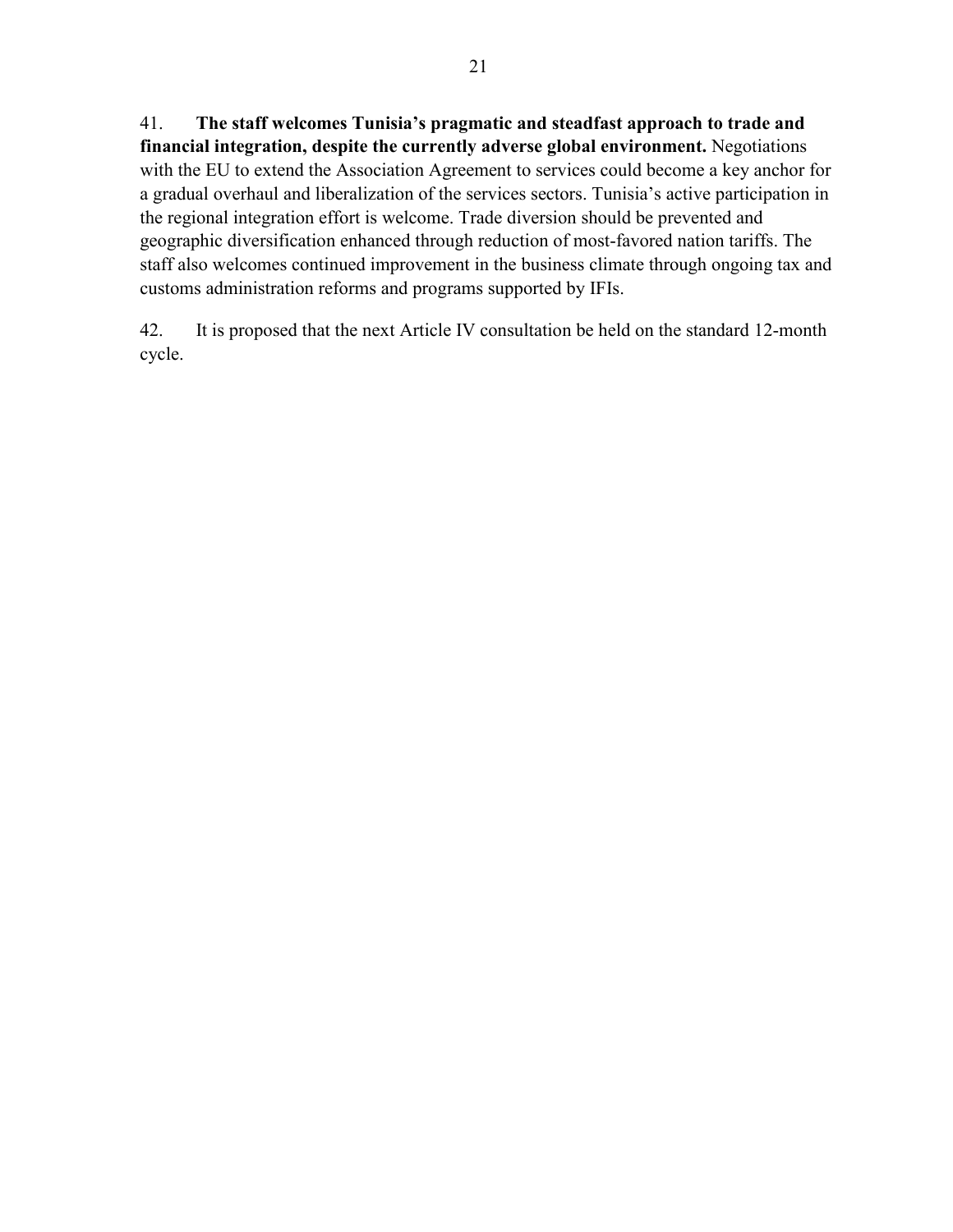41. **The staff welcomes Tunisia's pragmatic and steadfast approach to trade and financial integration, despite the currently adverse global environment.** Negotiations with the EU to extend the Association Agreement to services could become a key anchor for a gradual overhaul and liberalization of the services sectors. Tunisia's active participation in the regional integration effort is welcome. Trade diversion should be prevented and geographic diversification enhanced through reduction of most-favored nation tariffs. The staff also welcomes continued improvement in the business climate through ongoing tax and customs administration reforms and programs supported by IFIs.

42. It is proposed that the next Article IV consultation be held on the standard 12-month cycle.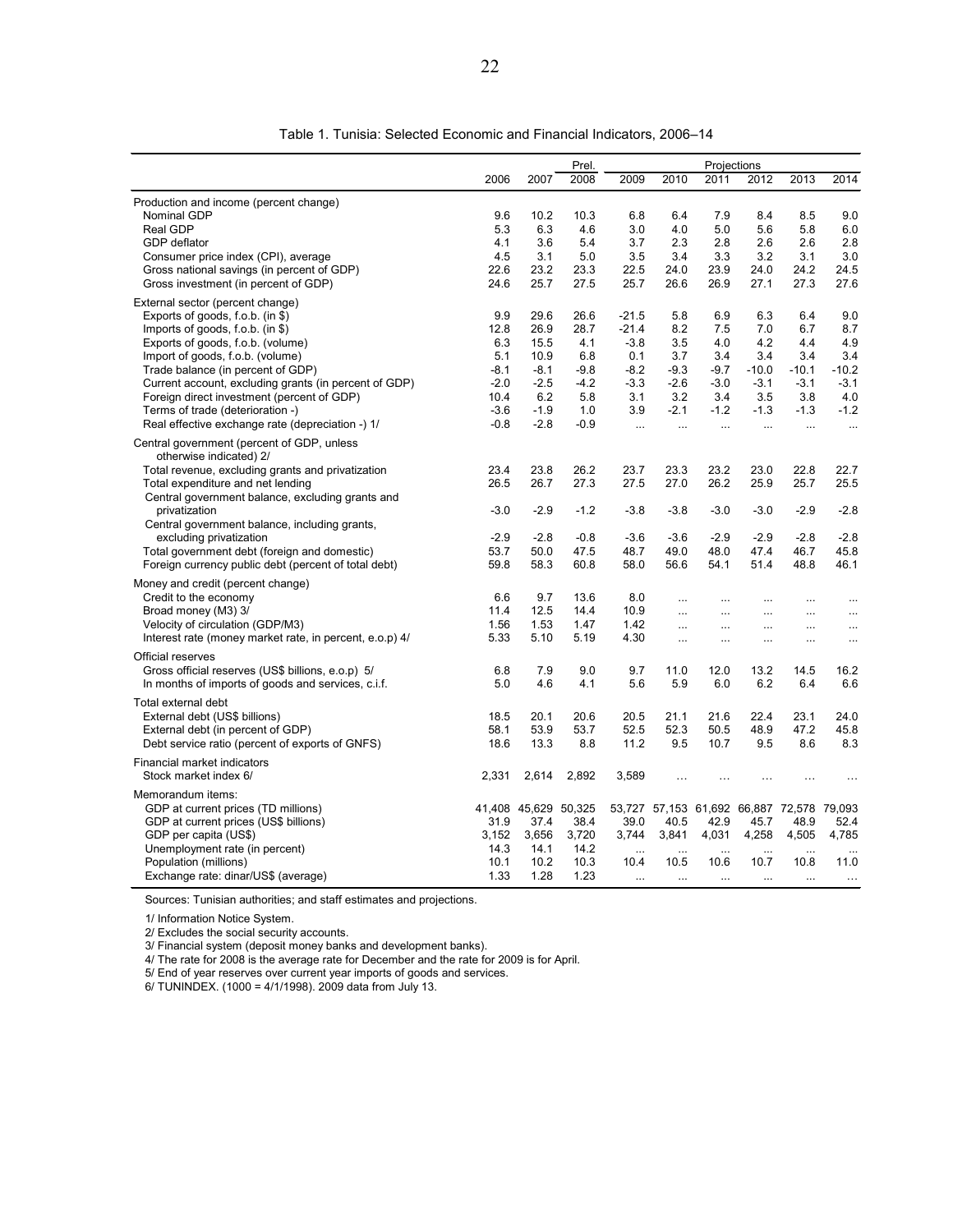|                                                         |        |                      | Prel.  |           |           |           | Projections          |                                           |           |
|---------------------------------------------------------|--------|----------------------|--------|-----------|-----------|-----------|----------------------|-------------------------------------------|-----------|
|                                                         | 2006   | 2007                 | 2008   | 2009      | 2010      | 2011      | 2012                 | 2013                                      | 2014      |
| Production and income (percent change)                  |        |                      |        |           |           |           |                      |                                           |           |
| Nominal GDP                                             | 9.6    | 10.2                 | 10.3   | 6.8       | 6.4       | 7.9       | 8.4                  | 8.5                                       | 9.0       |
| Real GDP                                                | 5.3    | 6.3                  | 4.6    | 3.0       | 4.0       | 5.0       | 5.6                  | 5.8                                       | 6.0       |
| GDP deflator                                            | 4.1    | 3.6                  | 5.4    | 3.7       | 2.3       | 2.8       | 2.6                  | 2.6                                       | 2.8       |
| Consumer price index (CPI), average                     | 4.5    | 3.1                  | 5.0    | 3.5       | 3.4       | 3.3       | 3.2                  | 3.1                                       | 3.0       |
| Gross national savings (in percent of GDP)              | 22.6   | 23.2                 | 23.3   | 22.5      | 24.0      | 23.9      | 24.0                 | 24.2                                      | 24.5      |
| Gross investment (in percent of GDP)                    | 24.6   | 25.7                 | 27.5   | 25.7      | 26.6      | 26.9      | 27.1                 | 27.3                                      | 27.6      |
| External sector (percent change)                        |        |                      |        |           |           |           |                      |                                           |           |
| Exports of goods, f.o.b. (in \$)                        | 9.9    | 29.6                 | 26.6   | $-21.5$   | 5.8       | 6.9       | 6.3                  | 6.4                                       | 9.0       |
| Imports of goods, f.o.b. (in \$)                        | 12.8   | 26.9                 | 28.7   | $-21.4$   | 8.2       | 7.5       | 7.0                  | 6.7                                       | 8.7       |
| Exports of goods, f.o.b. (volume)                       | 6.3    | 15.5                 | 4.1    | $-3.8$    | 3.5       | 4.0       | 4.2                  | 4.4                                       | 4.9       |
| Import of goods, f.o.b. (volume)                        | 5.1    | 10.9                 | 6.8    | 0.1       | 3.7       | 3.4       | 3.4                  | 3.4                                       | 3.4       |
| Trade balance (in percent of GDP)                       | $-8.1$ | $-8.1$               | $-9.8$ | $-8.2$    | $-9.3$    | $-9.7$    | $-10.0$              | $-10.1$                                   | $-10.2$   |
| Current account, excluding grants (in percent of GDP)   | $-2.0$ | $-2.5$               | $-4.2$ | $-3.3$    | $-2.6$    | $-3.0$    | $-3.1$               | $-3.1$                                    | $-3.1$    |
| Foreign direct investment (percent of GDP)              | 10.4   | 6.2                  | 5.8    | 3.1       | 3.2       | 3.4       | 3.5                  | 3.8                                       | 4.0       |
| Terms of trade (deterioration -)                        | $-3.6$ | $-1.9$               | 1.0    | 3.9       | $-2.1$    | $-1.2$    | $-1.3$               | $-1.3$                                    | $-1.2$    |
| Real effective exchange rate (depreciation -) 1/        | $-0.8$ | $-2.8$               | $-0.9$ | $\cdots$  | $\ddotsc$ | $\ddotsc$ |                      | $\ddotsc$                                 | $\ldots$  |
| Central government (percent of GDP, unless              |        |                      |        |           |           |           |                      |                                           |           |
| otherwise indicated) 2/                                 |        |                      |        |           |           |           |                      |                                           |           |
| Total revenue, excluding grants and privatization       | 23.4   | 23.8                 | 26.2   | 23.7      | 23.3      | 23.2      | 23.0                 | 22.8                                      | 22.7      |
| Total expenditure and net lending                       | 26.5   | 26.7                 | 27.3   | 27.5      | 27.0      | 26.2      | 25.9                 | 25.7                                      | 25.5      |
| Central government balance, excluding grants and        |        |                      |        |           |           |           |                      |                                           |           |
| privatization                                           | $-3.0$ | $-2.9$               | $-1.2$ | $-3.8$    | $-3.8$    | $-3.0$    | $-3.0$               | $-2.9$                                    | $-2.8$    |
| Central government balance, including grants,           |        |                      |        |           |           |           |                      |                                           |           |
| excluding privatization                                 | $-2.9$ | $-2.8$               | $-0.8$ | $-3.6$    | $-3.6$    | $-2.9$    | $-2.9$               | $-2.8$                                    | $-2.8$    |
| Total government debt (foreign and domestic)            | 53.7   | 50.0                 | 47.5   | 48.7      | 49.0      | 48.0      | 47.4                 | 46.7                                      | 45.8      |
| Foreign currency public debt (percent of total debt)    | 59.8   | 58.3                 | 60.8   | 58.0      | 56.6      | 54.1      | 51.4                 | 48.8                                      | 46.1      |
| Money and credit (percent change)                       |        |                      |        |           |           |           |                      |                                           |           |
| Credit to the economy                                   | 6.6    | 9.7                  | 13.6   | 8.0       | $\ddotsc$ | $\ddotsc$ | $\ddotsc$            | $\cdots$                                  | $\ddotsc$ |
| Broad money (M3) 3/                                     | 11.4   | 12.5                 | 14.4   | 10.9      |           | $\cdots$  |                      | $\cdots$                                  |           |
| Velocity of circulation (GDP/M3)                        | 1.56   | 1.53                 | 1.47   | 1.42      | $\ddotsc$ | $\ddotsc$ | $\ddot{\phantom{a}}$ | $\ldots$                                  | $\ddotsc$ |
| Interest rate (money market rate, in percent, e.o.p) 4/ | 5.33   | 5.10                 | 5.19   | 4.30      | $\cdots$  | $\ddotsc$ | .                    | $\ddotsc$                                 | $\ddotsc$ |
| Official reserves                                       |        |                      |        |           |           |           |                      |                                           |           |
| Gross official reserves (US\$ billions, e.o.p) 5/       | 6.8    | 7.9                  | 9.0    | 9.7       | 11.0      | 12.0      | 13.2                 | 14.5                                      | 16.2      |
| In months of imports of goods and services, c.i.f.      | 5.0    | 4.6                  | 4.1    | 5.6       | 5.9       | 6.0       | 6.2                  | 6.4                                       | 6.6       |
| Total external debt                                     |        |                      |        |           |           |           |                      |                                           |           |
| External debt (US\$ billions)                           | 18.5   | 20.1                 | 20.6   | 20.5      | 21.1      | 21.6      | 22.4                 | 23.1                                      | 24.0      |
| External debt (in percent of GDP)                       | 58.1   | 53.9                 | 53.7   | 52.5      | 52.3      | 50.5      | 48.9                 | 47.2                                      | 45.8      |
| Debt service ratio (percent of exports of GNFS)         | 18.6   | 13.3                 | 8.8    | 11.2      | 9.5       | 10.7      | 9.5                  | 8.6                                       | 8.3       |
|                                                         |        |                      |        |           |           |           |                      |                                           |           |
| Financial market indicators                             |        |                      |        |           |           |           |                      |                                           |           |
| Stock market index 6/                                   | 2,331  | 2,614                | 2,892  | 3,589     | $\cdots$  | $\ddotsc$ |                      |                                           |           |
| Memorandum items:                                       |        |                      |        |           |           |           |                      |                                           |           |
| GDP at current prices (TD millions)                     |        | 41,408 45,629 50,325 |        |           |           |           |                      | 53,727 57,153 61,692 66,887 72,578 79,093 |           |
| GDP at current prices (US\$ billions)                   | 31.9   | 37.4                 | 38.4   | 39.0      | 40.5      | 42.9      | 45.7                 | 48.9                                      | 52.4      |
| GDP per capita (US\$)                                   | 3,152  | 3,656                | 3,720  | 3,744     | 3,841     | 4,031     | 4,258                | 4,505                                     | 4,785     |
| Unemployment rate (in percent)                          | 14.3   | 14.1                 | 14.2   | $\ddotsc$ |           | $\ddotsc$ |                      | $\ddotsc$                                 |           |
| Population (millions)                                   | 10.1   | 10.2                 | 10.3   | 10.4      | 10.5      | 10.6      | 10.7                 | 10.8                                      | 11.0      |
| Exchange rate: dinar/US\$ (average)                     | 1.33   | 1.28                 | 1.23   | $\cdots$  | $\cdots$  | $\cdots$  | $\cdots$             | $\cdots$                                  | $\cdots$  |

Table 1. Tunisia: Selected Economic and Financial Indicators, 2006–14

Sources: Tunisian authorities; and staff estimates and projections.

1/ Information Notice System.

2/ Excludes the social security accounts.

3/ Financial system (deposit money banks and development banks).

4/ The rate for 2008 is the average rate for December and the rate for 2009 is for April.

5/ End of year reserves over current year imports of goods and services.

6/ TUNINDEX. (1000 = 4/1/1998). 2009 data from July 13.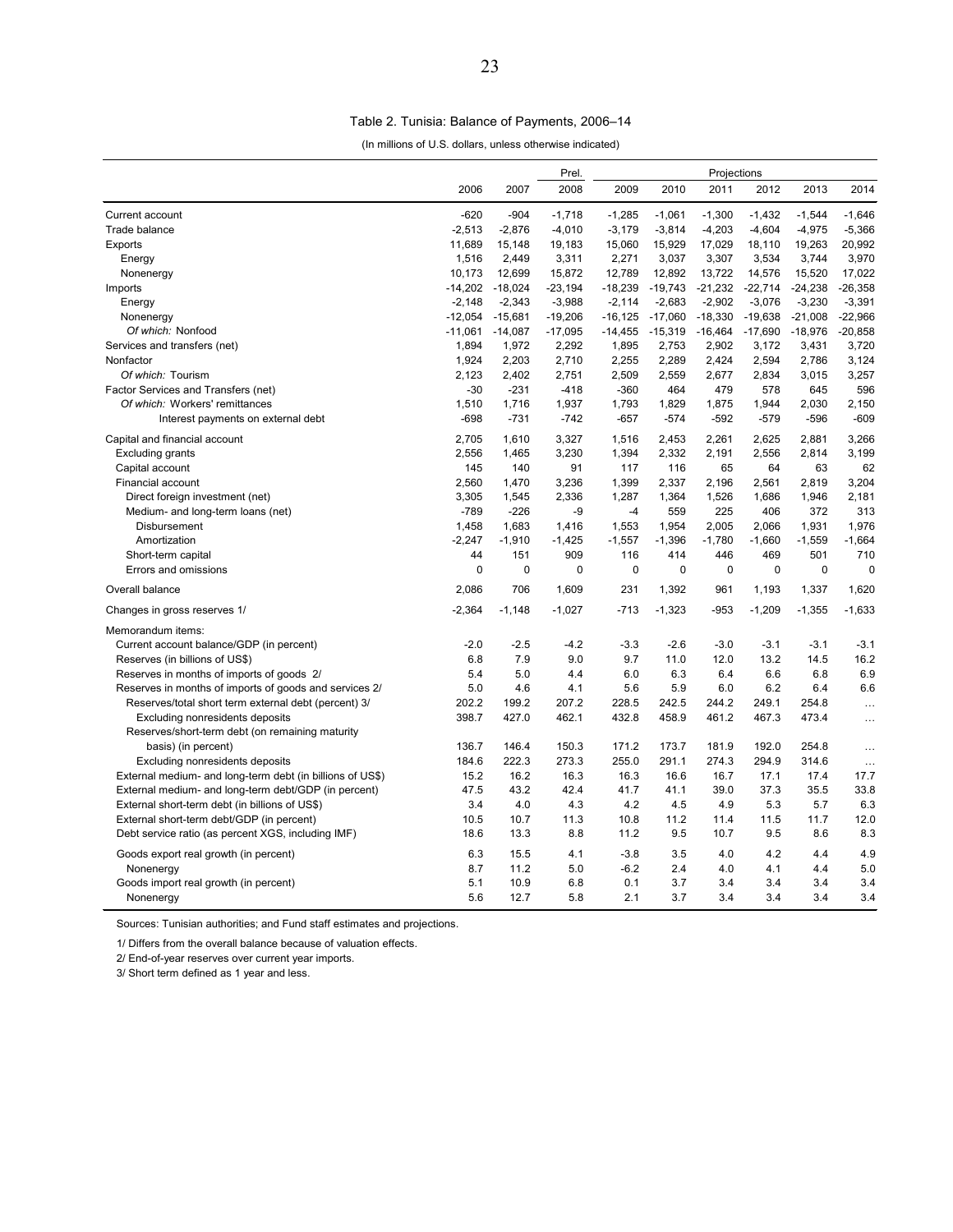#### Table 2. Tunisia: Balance of Payments, 2006–14

(In millions of U.S. dollars, unless otherwise indicated)

| 2006<br>2007<br>2008<br>2009<br>2010<br>2011<br>2012<br>2013<br>2014<br>$-620$<br>$-904$<br>$-1,061$<br>$-1,300$<br>$-1,432$<br>$-1,544$<br>$-1,646$<br>Current account<br>$-1,718$<br>$-1,285$<br>$-2,513$<br>$-4,604$<br>Trade balance<br>$-2,876$<br>$-4,010$<br>$-3,179$<br>$-3,814$<br>$-4,203$<br>$-4,975$<br>$-5,366$<br>11,689<br>15,060<br>19,263<br>20,992<br>Exports<br>15,148<br>19,183<br>15,929<br>17,029<br>18,110<br>1,516<br>2,271<br>3,534<br>3,970<br>2,449<br>3,311<br>3,037<br>3,307<br>3,744<br>Energy<br>10,173<br>12,699<br>15,872<br>12,789<br>12,892<br>13,722<br>14,576<br>15,520<br>17,022<br>Nonenergy<br>$-14,202$<br>$-18,024$<br>$-23,194$<br>$-18,239$<br>$-19,743$<br>$-21,232$<br>$-22,714$<br>$-24,238$<br>$-26,358$<br>Imports<br>$-2,343$<br>$-2,683$<br>$-2,902$<br>$-3,076$<br>$-3,230$<br>Energy<br>$-2,148$<br>$-3,988$<br>$-2,114$<br>$-3,391$<br>$-12,054$<br>$-15,681$<br>$-19,206$<br>$-16, 125$<br>$-17,060$<br>$-18,330$<br>$-19,638$<br>$-21,008$<br>$-22,966$<br>Nonenergy<br>Of which: Nonfood<br>$-15,319$<br>$-17,690$<br>$-18,976$<br>$-20,858$<br>$-11,061$<br>$-14,087$<br>$-17,095$<br>$-14,455$<br>$-16,464$<br>1,894<br>1,972<br>2,292<br>1,895<br>2,753<br>2,902<br>3,172<br>3,431<br>3,720<br>Services and transfers (net)<br>1,924<br>2,203<br>2,255<br>2,289<br>2,424<br>2,594<br>2,786<br>3,124<br>Nonfactor<br>2,710<br>Of which: Tourism<br>2,123<br>2,402<br>2,751<br>2,509<br>2,559<br>2,677<br>2,834<br>3,015<br>3,257<br>Factor Services and Transfers (net)<br>$-30$<br>$-231$<br>$-418$<br>$-360$<br>464<br>479<br>578<br>645<br>596<br>1,510<br>1,716<br>1,937<br>1,793<br>1,829<br>1,875<br>1,944<br>2,030<br>2,150<br>Of which: Workers' remittances<br>$-698$<br>$-731$<br>$-742$<br>$-657$<br>$-574$<br>$-592$<br>$-596$<br>$-609$<br>Interest payments on external debt<br>$-579$<br>Capital and financial account<br>2,705<br>1,610<br>3,327<br>1,516<br>2,453<br>2,261<br>2,625<br>2,881<br>3,266<br>2,556<br>3,230<br>2,332<br>2,556<br>3,199<br><b>Excluding grants</b><br>1,465<br>1,394<br>2,191<br>2,814<br>91<br>145<br>140<br>117<br>116<br>65<br>64<br>63<br>62<br>Capital account<br>2,560<br>1,470<br>3,236<br>1,399<br>2,337<br>2,196<br>2,561<br>2,819<br>3,204<br>Financial account<br>2,181<br>Direct foreign investment (net)<br>3,305<br>1,545<br>2,336<br>1,287<br>1,364<br>1,526<br>1,686<br>1,946<br>$-789$<br>225<br>313<br>Medium- and long-term loans (net)<br>$-226$<br>-9<br>$-4$<br>559<br>406<br>372<br>1,683<br>1,976<br>Disbursement<br>1,458<br>1,553<br>1,954<br>2,005<br>2,066<br>1,931<br>1,416<br>Amortization<br>$-2,247$<br>$-1,910$<br>$-1,425$<br>$-1,557$<br>$-1,396$<br>$-1,780$<br>$-1,559$<br>$-1,664$<br>$-1,660$<br>44<br>151<br>909<br>414<br>446<br>501<br>710<br>Short-term capital<br>116<br>469<br>0<br>Errors and omissions<br>0<br>0<br>0<br>0<br>0<br>0<br>0<br>0<br>2,086<br>706<br>231<br>1,392<br>Overall balance<br>1,609<br>961<br>1,193<br>1,337<br>1,620<br>$-2,364$<br>$-1,323$<br>$-1,209$<br>$-1,355$<br>$-1,633$<br>Changes in gross reserves 1/<br>$-1,148$<br>$-1,027$<br>$-713$<br>$-953$<br>Memorandum items:<br>$-2.0$<br>$-2.5$<br>$-2.6$<br>Current account balance/GDP (in percent)<br>$-4.2$<br>$-3.3$<br>$-3.0$<br>$-3.1$<br>$-3.1$<br>$-3.1$<br>Reserves (in billions of US\$)<br>6.8<br>7.9<br>9.0<br>9.7<br>11.0<br>12.0<br>13.2<br>14.5<br>16.2<br>6.8<br>6.9<br>Reserves in months of imports of goods 2/<br>5.4<br>5.0<br>4.4<br>6.0<br>6.3<br>6.4<br>6.6<br>Reserves in months of imports of goods and services 2/<br>5.0<br>4.6<br>4.1<br>5.6<br>5.9<br>6.0<br>6.2<br>6.4<br>6.6<br>207.2<br>Reserves/total short term external debt (percent) 3/<br>202.2<br>199.2<br>228.5<br>242.5<br>244.2<br>249.1<br>254.8<br>$\cdots$<br>473.4<br>398.7<br>427.0<br>462.1<br>432.8<br>458.9<br>461.2<br>467.3<br><b>Excluding nonresidents deposits</b><br>$\cdots$<br>Reserves/short-term debt (on remaining maturity<br>254.8<br>136.7<br>146.4<br>150.3<br>171.2<br>173.7<br>181.9<br>192.0<br>basis) (in percent)<br>$\ldots$<br>184.6<br>222.3<br>273.3<br>255.0<br>291.1<br>274.3<br>294.9<br>314.6<br>Excluding nonresidents deposits<br>$\ddotsc$<br>16.3<br>17.7<br>External medium- and long-term debt (in billions of US\$)<br>15.2<br>16.2<br>16.3<br>16.6<br>16.7<br>17.1<br>17.4<br>47.5<br>43.2<br>42.4<br>41.7<br>41.1<br>39.0<br>37.3<br>35.5<br>33.8<br>External medium- and long-term debt/GDP (in percent)<br>4.2<br>4.5<br>5.3<br>5.7<br>6.3<br>External short-term debt (in billions of US\$)<br>3.4<br>4.0<br>4.3<br>4.9<br>11.7<br>External short-term debt/GDP (in percent)<br>10.5<br>10.7<br>11.3<br>10.8<br>11.2<br>11.4<br>11.5<br>12.0<br>Debt service ratio (as percent XGS, including IMF)<br>18.6<br>13.3<br>8.8<br>11.2<br>9.5<br>10.7<br>9.5<br>8.6<br>8.3<br>6.3<br>15.5<br>$-3.8$<br>3.5<br>4.0<br>4.2<br>4.4<br>4.9<br>Goods export real growth (in percent)<br>4.1<br>8.7<br>11.2<br>5.0<br>$-6.2$<br>2.4<br>4.0<br>4.1<br>4.4<br>5.0<br>Nonenergy<br>Goods import real growth (in percent)<br>5.1<br>10.9<br>6.8<br>0.1<br>3.7<br>3.4<br>3.4<br>3.4<br>3.4<br>5.6<br>5.8<br>2.1<br>3.7<br>3.4<br>3.4<br>12.7<br>3.4<br>3.4<br>Nonenergy |  | Prel. | Projections |  |  |  |  |  |  |
|----------------------------------------------------------------------------------------------------------------------------------------------------------------------------------------------------------------------------------------------------------------------------------------------------------------------------------------------------------------------------------------------------------------------------------------------------------------------------------------------------------------------------------------------------------------------------------------------------------------------------------------------------------------------------------------------------------------------------------------------------------------------------------------------------------------------------------------------------------------------------------------------------------------------------------------------------------------------------------------------------------------------------------------------------------------------------------------------------------------------------------------------------------------------------------------------------------------------------------------------------------------------------------------------------------------------------------------------------------------------------------------------------------------------------------------------------------------------------------------------------------------------------------------------------------------------------------------------------------------------------------------------------------------------------------------------------------------------------------------------------------------------------------------------------------------------------------------------------------------------------------------------------------------------------------------------------------------------------------------------------------------------------------------------------------------------------------------------------------------------------------------------------------------------------------------------------------------------------------------------------------------------------------------------------------------------------------------------------------------------------------------------------------------------------------------------------------------------------------------------------------------------------------------------------------------------------------------------------------------------------------------------------------------------------------------------------------------------------------------------------------------------------------------------------------------------------------------------------------------------------------------------------------------------------------------------------------------------------------------------------------------------------------------------------------------------------------------------------------------------------------------------------------------------------------------------------------------------------------------------------------------------------------------------------------------------------------------------------------------------------------------------------------------------------------------------------------------------------------------------------------------------------------------------------------------------------------------------------------------------------------------------------------------------------------------------------------------------------------------------------------------------------------------------------------------------------------------------------------------------------------------------------------------------------------------------------------------------------------------------------------------------------------------------------------------------------------------------------------------------------------------------------------------------------------------------------------------------------------------------------------------------------------------------------------------------------------------------------------------------------------------------------------------------------------------------------------------------------------------------------------------------------------------------------------------------------------------------------------------------------------------------------------------------------------------------------------------------------------------------------------------------------------------------------------------------------------------------------------------------------------------------------------------------------------------------------------------------------------------------------------------------------------------------------------------------------------------------------------------------------------------------------------------------------------------------------------------------------------------|--|-------|-------------|--|--|--|--|--|--|
|                                                                                                                                                                                                                                                                                                                                                                                                                                                                                                                                                                                                                                                                                                                                                                                                                                                                                                                                                                                                                                                                                                                                                                                                                                                                                                                                                                                                                                                                                                                                                                                                                                                                                                                                                                                                                                                                                                                                                                                                                                                                                                                                                                                                                                                                                                                                                                                                                                                                                                                                                                                                                                                                                                                                                                                                                                                                                                                                                                                                                                                                                                                                                                                                                                                                                                                                                                                                                                                                                                                                                                                                                                                                                                                                                                                                                                                                                                                                                                                                                                                                                                                                                                                                                                                                                                                                                                                                                                                                                                                                                                                                                                                                                                                                                                                                                                                                                                                                                                                                                                                                                                                                                                                                                                        |  |       |             |  |  |  |  |  |  |
|                                                                                                                                                                                                                                                                                                                                                                                                                                                                                                                                                                                                                                                                                                                                                                                                                                                                                                                                                                                                                                                                                                                                                                                                                                                                                                                                                                                                                                                                                                                                                                                                                                                                                                                                                                                                                                                                                                                                                                                                                                                                                                                                                                                                                                                                                                                                                                                                                                                                                                                                                                                                                                                                                                                                                                                                                                                                                                                                                                                                                                                                                                                                                                                                                                                                                                                                                                                                                                                                                                                                                                                                                                                                                                                                                                                                                                                                                                                                                                                                                                                                                                                                                                                                                                                                                                                                                                                                                                                                                                                                                                                                                                                                                                                                                                                                                                                                                                                                                                                                                                                                                                                                                                                                                                        |  |       |             |  |  |  |  |  |  |
|                                                                                                                                                                                                                                                                                                                                                                                                                                                                                                                                                                                                                                                                                                                                                                                                                                                                                                                                                                                                                                                                                                                                                                                                                                                                                                                                                                                                                                                                                                                                                                                                                                                                                                                                                                                                                                                                                                                                                                                                                                                                                                                                                                                                                                                                                                                                                                                                                                                                                                                                                                                                                                                                                                                                                                                                                                                                                                                                                                                                                                                                                                                                                                                                                                                                                                                                                                                                                                                                                                                                                                                                                                                                                                                                                                                                                                                                                                                                                                                                                                                                                                                                                                                                                                                                                                                                                                                                                                                                                                                                                                                                                                                                                                                                                                                                                                                                                                                                                                                                                                                                                                                                                                                                                                        |  |       |             |  |  |  |  |  |  |
|                                                                                                                                                                                                                                                                                                                                                                                                                                                                                                                                                                                                                                                                                                                                                                                                                                                                                                                                                                                                                                                                                                                                                                                                                                                                                                                                                                                                                                                                                                                                                                                                                                                                                                                                                                                                                                                                                                                                                                                                                                                                                                                                                                                                                                                                                                                                                                                                                                                                                                                                                                                                                                                                                                                                                                                                                                                                                                                                                                                                                                                                                                                                                                                                                                                                                                                                                                                                                                                                                                                                                                                                                                                                                                                                                                                                                                                                                                                                                                                                                                                                                                                                                                                                                                                                                                                                                                                                                                                                                                                                                                                                                                                                                                                                                                                                                                                                                                                                                                                                                                                                                                                                                                                                                                        |  |       |             |  |  |  |  |  |  |
|                                                                                                                                                                                                                                                                                                                                                                                                                                                                                                                                                                                                                                                                                                                                                                                                                                                                                                                                                                                                                                                                                                                                                                                                                                                                                                                                                                                                                                                                                                                                                                                                                                                                                                                                                                                                                                                                                                                                                                                                                                                                                                                                                                                                                                                                                                                                                                                                                                                                                                                                                                                                                                                                                                                                                                                                                                                                                                                                                                                                                                                                                                                                                                                                                                                                                                                                                                                                                                                                                                                                                                                                                                                                                                                                                                                                                                                                                                                                                                                                                                                                                                                                                                                                                                                                                                                                                                                                                                                                                                                                                                                                                                                                                                                                                                                                                                                                                                                                                                                                                                                                                                                                                                                                                                        |  |       |             |  |  |  |  |  |  |
|                                                                                                                                                                                                                                                                                                                                                                                                                                                                                                                                                                                                                                                                                                                                                                                                                                                                                                                                                                                                                                                                                                                                                                                                                                                                                                                                                                                                                                                                                                                                                                                                                                                                                                                                                                                                                                                                                                                                                                                                                                                                                                                                                                                                                                                                                                                                                                                                                                                                                                                                                                                                                                                                                                                                                                                                                                                                                                                                                                                                                                                                                                                                                                                                                                                                                                                                                                                                                                                                                                                                                                                                                                                                                                                                                                                                                                                                                                                                                                                                                                                                                                                                                                                                                                                                                                                                                                                                                                                                                                                                                                                                                                                                                                                                                                                                                                                                                                                                                                                                                                                                                                                                                                                                                                        |  |       |             |  |  |  |  |  |  |
|                                                                                                                                                                                                                                                                                                                                                                                                                                                                                                                                                                                                                                                                                                                                                                                                                                                                                                                                                                                                                                                                                                                                                                                                                                                                                                                                                                                                                                                                                                                                                                                                                                                                                                                                                                                                                                                                                                                                                                                                                                                                                                                                                                                                                                                                                                                                                                                                                                                                                                                                                                                                                                                                                                                                                                                                                                                                                                                                                                                                                                                                                                                                                                                                                                                                                                                                                                                                                                                                                                                                                                                                                                                                                                                                                                                                                                                                                                                                                                                                                                                                                                                                                                                                                                                                                                                                                                                                                                                                                                                                                                                                                                                                                                                                                                                                                                                                                                                                                                                                                                                                                                                                                                                                                                        |  |       |             |  |  |  |  |  |  |
|                                                                                                                                                                                                                                                                                                                                                                                                                                                                                                                                                                                                                                                                                                                                                                                                                                                                                                                                                                                                                                                                                                                                                                                                                                                                                                                                                                                                                                                                                                                                                                                                                                                                                                                                                                                                                                                                                                                                                                                                                                                                                                                                                                                                                                                                                                                                                                                                                                                                                                                                                                                                                                                                                                                                                                                                                                                                                                                                                                                                                                                                                                                                                                                                                                                                                                                                                                                                                                                                                                                                                                                                                                                                                                                                                                                                                                                                                                                                                                                                                                                                                                                                                                                                                                                                                                                                                                                                                                                                                                                                                                                                                                                                                                                                                                                                                                                                                                                                                                                                                                                                                                                                                                                                                                        |  |       |             |  |  |  |  |  |  |
|                                                                                                                                                                                                                                                                                                                                                                                                                                                                                                                                                                                                                                                                                                                                                                                                                                                                                                                                                                                                                                                                                                                                                                                                                                                                                                                                                                                                                                                                                                                                                                                                                                                                                                                                                                                                                                                                                                                                                                                                                                                                                                                                                                                                                                                                                                                                                                                                                                                                                                                                                                                                                                                                                                                                                                                                                                                                                                                                                                                                                                                                                                                                                                                                                                                                                                                                                                                                                                                                                                                                                                                                                                                                                                                                                                                                                                                                                                                                                                                                                                                                                                                                                                                                                                                                                                                                                                                                                                                                                                                                                                                                                                                                                                                                                                                                                                                                                                                                                                                                                                                                                                                                                                                                                                        |  |       |             |  |  |  |  |  |  |
|                                                                                                                                                                                                                                                                                                                                                                                                                                                                                                                                                                                                                                                                                                                                                                                                                                                                                                                                                                                                                                                                                                                                                                                                                                                                                                                                                                                                                                                                                                                                                                                                                                                                                                                                                                                                                                                                                                                                                                                                                                                                                                                                                                                                                                                                                                                                                                                                                                                                                                                                                                                                                                                                                                                                                                                                                                                                                                                                                                                                                                                                                                                                                                                                                                                                                                                                                                                                                                                                                                                                                                                                                                                                                                                                                                                                                                                                                                                                                                                                                                                                                                                                                                                                                                                                                                                                                                                                                                                                                                                                                                                                                                                                                                                                                                                                                                                                                                                                                                                                                                                                                                                                                                                                                                        |  |       |             |  |  |  |  |  |  |
|                                                                                                                                                                                                                                                                                                                                                                                                                                                                                                                                                                                                                                                                                                                                                                                                                                                                                                                                                                                                                                                                                                                                                                                                                                                                                                                                                                                                                                                                                                                                                                                                                                                                                                                                                                                                                                                                                                                                                                                                                                                                                                                                                                                                                                                                                                                                                                                                                                                                                                                                                                                                                                                                                                                                                                                                                                                                                                                                                                                                                                                                                                                                                                                                                                                                                                                                                                                                                                                                                                                                                                                                                                                                                                                                                                                                                                                                                                                                                                                                                                                                                                                                                                                                                                                                                                                                                                                                                                                                                                                                                                                                                                                                                                                                                                                                                                                                                                                                                                                                                                                                                                                                                                                                                                        |  |       |             |  |  |  |  |  |  |
|                                                                                                                                                                                                                                                                                                                                                                                                                                                                                                                                                                                                                                                                                                                                                                                                                                                                                                                                                                                                                                                                                                                                                                                                                                                                                                                                                                                                                                                                                                                                                                                                                                                                                                                                                                                                                                                                                                                                                                                                                                                                                                                                                                                                                                                                                                                                                                                                                                                                                                                                                                                                                                                                                                                                                                                                                                                                                                                                                                                                                                                                                                                                                                                                                                                                                                                                                                                                                                                                                                                                                                                                                                                                                                                                                                                                                                                                                                                                                                                                                                                                                                                                                                                                                                                                                                                                                                                                                                                                                                                                                                                                                                                                                                                                                                                                                                                                                                                                                                                                                                                                                                                                                                                                                                        |  |       |             |  |  |  |  |  |  |
|                                                                                                                                                                                                                                                                                                                                                                                                                                                                                                                                                                                                                                                                                                                                                                                                                                                                                                                                                                                                                                                                                                                                                                                                                                                                                                                                                                                                                                                                                                                                                                                                                                                                                                                                                                                                                                                                                                                                                                                                                                                                                                                                                                                                                                                                                                                                                                                                                                                                                                                                                                                                                                                                                                                                                                                                                                                                                                                                                                                                                                                                                                                                                                                                                                                                                                                                                                                                                                                                                                                                                                                                                                                                                                                                                                                                                                                                                                                                                                                                                                                                                                                                                                                                                                                                                                                                                                                                                                                                                                                                                                                                                                                                                                                                                                                                                                                                                                                                                                                                                                                                                                                                                                                                                                        |  |       |             |  |  |  |  |  |  |
|                                                                                                                                                                                                                                                                                                                                                                                                                                                                                                                                                                                                                                                                                                                                                                                                                                                                                                                                                                                                                                                                                                                                                                                                                                                                                                                                                                                                                                                                                                                                                                                                                                                                                                                                                                                                                                                                                                                                                                                                                                                                                                                                                                                                                                                                                                                                                                                                                                                                                                                                                                                                                                                                                                                                                                                                                                                                                                                                                                                                                                                                                                                                                                                                                                                                                                                                                                                                                                                                                                                                                                                                                                                                                                                                                                                                                                                                                                                                                                                                                                                                                                                                                                                                                                                                                                                                                                                                                                                                                                                                                                                                                                                                                                                                                                                                                                                                                                                                                                                                                                                                                                                                                                                                                                        |  |       |             |  |  |  |  |  |  |
|                                                                                                                                                                                                                                                                                                                                                                                                                                                                                                                                                                                                                                                                                                                                                                                                                                                                                                                                                                                                                                                                                                                                                                                                                                                                                                                                                                                                                                                                                                                                                                                                                                                                                                                                                                                                                                                                                                                                                                                                                                                                                                                                                                                                                                                                                                                                                                                                                                                                                                                                                                                                                                                                                                                                                                                                                                                                                                                                                                                                                                                                                                                                                                                                                                                                                                                                                                                                                                                                                                                                                                                                                                                                                                                                                                                                                                                                                                                                                                                                                                                                                                                                                                                                                                                                                                                                                                                                                                                                                                                                                                                                                                                                                                                                                                                                                                                                                                                                                                                                                                                                                                                                                                                                                                        |  |       |             |  |  |  |  |  |  |
|                                                                                                                                                                                                                                                                                                                                                                                                                                                                                                                                                                                                                                                                                                                                                                                                                                                                                                                                                                                                                                                                                                                                                                                                                                                                                                                                                                                                                                                                                                                                                                                                                                                                                                                                                                                                                                                                                                                                                                                                                                                                                                                                                                                                                                                                                                                                                                                                                                                                                                                                                                                                                                                                                                                                                                                                                                                                                                                                                                                                                                                                                                                                                                                                                                                                                                                                                                                                                                                                                                                                                                                                                                                                                                                                                                                                                                                                                                                                                                                                                                                                                                                                                                                                                                                                                                                                                                                                                                                                                                                                                                                                                                                                                                                                                                                                                                                                                                                                                                                                                                                                                                                                                                                                                                        |  |       |             |  |  |  |  |  |  |
|                                                                                                                                                                                                                                                                                                                                                                                                                                                                                                                                                                                                                                                                                                                                                                                                                                                                                                                                                                                                                                                                                                                                                                                                                                                                                                                                                                                                                                                                                                                                                                                                                                                                                                                                                                                                                                                                                                                                                                                                                                                                                                                                                                                                                                                                                                                                                                                                                                                                                                                                                                                                                                                                                                                                                                                                                                                                                                                                                                                                                                                                                                                                                                                                                                                                                                                                                                                                                                                                                                                                                                                                                                                                                                                                                                                                                                                                                                                                                                                                                                                                                                                                                                                                                                                                                                                                                                                                                                                                                                                                                                                                                                                                                                                                                                                                                                                                                                                                                                                                                                                                                                                                                                                                                                        |  |       |             |  |  |  |  |  |  |
|                                                                                                                                                                                                                                                                                                                                                                                                                                                                                                                                                                                                                                                                                                                                                                                                                                                                                                                                                                                                                                                                                                                                                                                                                                                                                                                                                                                                                                                                                                                                                                                                                                                                                                                                                                                                                                                                                                                                                                                                                                                                                                                                                                                                                                                                                                                                                                                                                                                                                                                                                                                                                                                                                                                                                                                                                                                                                                                                                                                                                                                                                                                                                                                                                                                                                                                                                                                                                                                                                                                                                                                                                                                                                                                                                                                                                                                                                                                                                                                                                                                                                                                                                                                                                                                                                                                                                                                                                                                                                                                                                                                                                                                                                                                                                                                                                                                                                                                                                                                                                                                                                                                                                                                                                                        |  |       |             |  |  |  |  |  |  |
|                                                                                                                                                                                                                                                                                                                                                                                                                                                                                                                                                                                                                                                                                                                                                                                                                                                                                                                                                                                                                                                                                                                                                                                                                                                                                                                                                                                                                                                                                                                                                                                                                                                                                                                                                                                                                                                                                                                                                                                                                                                                                                                                                                                                                                                                                                                                                                                                                                                                                                                                                                                                                                                                                                                                                                                                                                                                                                                                                                                                                                                                                                                                                                                                                                                                                                                                                                                                                                                                                                                                                                                                                                                                                                                                                                                                                                                                                                                                                                                                                                                                                                                                                                                                                                                                                                                                                                                                                                                                                                                                                                                                                                                                                                                                                                                                                                                                                                                                                                                                                                                                                                                                                                                                                                        |  |       |             |  |  |  |  |  |  |
|                                                                                                                                                                                                                                                                                                                                                                                                                                                                                                                                                                                                                                                                                                                                                                                                                                                                                                                                                                                                                                                                                                                                                                                                                                                                                                                                                                                                                                                                                                                                                                                                                                                                                                                                                                                                                                                                                                                                                                                                                                                                                                                                                                                                                                                                                                                                                                                                                                                                                                                                                                                                                                                                                                                                                                                                                                                                                                                                                                                                                                                                                                                                                                                                                                                                                                                                                                                                                                                                                                                                                                                                                                                                                                                                                                                                                                                                                                                                                                                                                                                                                                                                                                                                                                                                                                                                                                                                                                                                                                                                                                                                                                                                                                                                                                                                                                                                                                                                                                                                                                                                                                                                                                                                                                        |  |       |             |  |  |  |  |  |  |
|                                                                                                                                                                                                                                                                                                                                                                                                                                                                                                                                                                                                                                                                                                                                                                                                                                                                                                                                                                                                                                                                                                                                                                                                                                                                                                                                                                                                                                                                                                                                                                                                                                                                                                                                                                                                                                                                                                                                                                                                                                                                                                                                                                                                                                                                                                                                                                                                                                                                                                                                                                                                                                                                                                                                                                                                                                                                                                                                                                                                                                                                                                                                                                                                                                                                                                                                                                                                                                                                                                                                                                                                                                                                                                                                                                                                                                                                                                                                                                                                                                                                                                                                                                                                                                                                                                                                                                                                                                                                                                                                                                                                                                                                                                                                                                                                                                                                                                                                                                                                                                                                                                                                                                                                                                        |  |       |             |  |  |  |  |  |  |
|                                                                                                                                                                                                                                                                                                                                                                                                                                                                                                                                                                                                                                                                                                                                                                                                                                                                                                                                                                                                                                                                                                                                                                                                                                                                                                                                                                                                                                                                                                                                                                                                                                                                                                                                                                                                                                                                                                                                                                                                                                                                                                                                                                                                                                                                                                                                                                                                                                                                                                                                                                                                                                                                                                                                                                                                                                                                                                                                                                                                                                                                                                                                                                                                                                                                                                                                                                                                                                                                                                                                                                                                                                                                                                                                                                                                                                                                                                                                                                                                                                                                                                                                                                                                                                                                                                                                                                                                                                                                                                                                                                                                                                                                                                                                                                                                                                                                                                                                                                                                                                                                                                                                                                                                                                        |  |       |             |  |  |  |  |  |  |
|                                                                                                                                                                                                                                                                                                                                                                                                                                                                                                                                                                                                                                                                                                                                                                                                                                                                                                                                                                                                                                                                                                                                                                                                                                                                                                                                                                                                                                                                                                                                                                                                                                                                                                                                                                                                                                                                                                                                                                                                                                                                                                                                                                                                                                                                                                                                                                                                                                                                                                                                                                                                                                                                                                                                                                                                                                                                                                                                                                                                                                                                                                                                                                                                                                                                                                                                                                                                                                                                                                                                                                                                                                                                                                                                                                                                                                                                                                                                                                                                                                                                                                                                                                                                                                                                                                                                                                                                                                                                                                                                                                                                                                                                                                                                                                                                                                                                                                                                                                                                                                                                                                                                                                                                                                        |  |       |             |  |  |  |  |  |  |
|                                                                                                                                                                                                                                                                                                                                                                                                                                                                                                                                                                                                                                                                                                                                                                                                                                                                                                                                                                                                                                                                                                                                                                                                                                                                                                                                                                                                                                                                                                                                                                                                                                                                                                                                                                                                                                                                                                                                                                                                                                                                                                                                                                                                                                                                                                                                                                                                                                                                                                                                                                                                                                                                                                                                                                                                                                                                                                                                                                                                                                                                                                                                                                                                                                                                                                                                                                                                                                                                                                                                                                                                                                                                                                                                                                                                                                                                                                                                                                                                                                                                                                                                                                                                                                                                                                                                                                                                                                                                                                                                                                                                                                                                                                                                                                                                                                                                                                                                                                                                                                                                                                                                                                                                                                        |  |       |             |  |  |  |  |  |  |
|                                                                                                                                                                                                                                                                                                                                                                                                                                                                                                                                                                                                                                                                                                                                                                                                                                                                                                                                                                                                                                                                                                                                                                                                                                                                                                                                                                                                                                                                                                                                                                                                                                                                                                                                                                                                                                                                                                                                                                                                                                                                                                                                                                                                                                                                                                                                                                                                                                                                                                                                                                                                                                                                                                                                                                                                                                                                                                                                                                                                                                                                                                                                                                                                                                                                                                                                                                                                                                                                                                                                                                                                                                                                                                                                                                                                                                                                                                                                                                                                                                                                                                                                                                                                                                                                                                                                                                                                                                                                                                                                                                                                                                                                                                                                                                                                                                                                                                                                                                                                                                                                                                                                                                                                                                        |  |       |             |  |  |  |  |  |  |
|                                                                                                                                                                                                                                                                                                                                                                                                                                                                                                                                                                                                                                                                                                                                                                                                                                                                                                                                                                                                                                                                                                                                                                                                                                                                                                                                                                                                                                                                                                                                                                                                                                                                                                                                                                                                                                                                                                                                                                                                                                                                                                                                                                                                                                                                                                                                                                                                                                                                                                                                                                                                                                                                                                                                                                                                                                                                                                                                                                                                                                                                                                                                                                                                                                                                                                                                                                                                                                                                                                                                                                                                                                                                                                                                                                                                                                                                                                                                                                                                                                                                                                                                                                                                                                                                                                                                                                                                                                                                                                                                                                                                                                                                                                                                                                                                                                                                                                                                                                                                                                                                                                                                                                                                                                        |  |       |             |  |  |  |  |  |  |
|                                                                                                                                                                                                                                                                                                                                                                                                                                                                                                                                                                                                                                                                                                                                                                                                                                                                                                                                                                                                                                                                                                                                                                                                                                                                                                                                                                                                                                                                                                                                                                                                                                                                                                                                                                                                                                                                                                                                                                                                                                                                                                                                                                                                                                                                                                                                                                                                                                                                                                                                                                                                                                                                                                                                                                                                                                                                                                                                                                                                                                                                                                                                                                                                                                                                                                                                                                                                                                                                                                                                                                                                                                                                                                                                                                                                                                                                                                                                                                                                                                                                                                                                                                                                                                                                                                                                                                                                                                                                                                                                                                                                                                                                                                                                                                                                                                                                                                                                                                                                                                                                                                                                                                                                                                        |  |       |             |  |  |  |  |  |  |
|                                                                                                                                                                                                                                                                                                                                                                                                                                                                                                                                                                                                                                                                                                                                                                                                                                                                                                                                                                                                                                                                                                                                                                                                                                                                                                                                                                                                                                                                                                                                                                                                                                                                                                                                                                                                                                                                                                                                                                                                                                                                                                                                                                                                                                                                                                                                                                                                                                                                                                                                                                                                                                                                                                                                                                                                                                                                                                                                                                                                                                                                                                                                                                                                                                                                                                                                                                                                                                                                                                                                                                                                                                                                                                                                                                                                                                                                                                                                                                                                                                                                                                                                                                                                                                                                                                                                                                                                                                                                                                                                                                                                                                                                                                                                                                                                                                                                                                                                                                                                                                                                                                                                                                                                                                        |  |       |             |  |  |  |  |  |  |
|                                                                                                                                                                                                                                                                                                                                                                                                                                                                                                                                                                                                                                                                                                                                                                                                                                                                                                                                                                                                                                                                                                                                                                                                                                                                                                                                                                                                                                                                                                                                                                                                                                                                                                                                                                                                                                                                                                                                                                                                                                                                                                                                                                                                                                                                                                                                                                                                                                                                                                                                                                                                                                                                                                                                                                                                                                                                                                                                                                                                                                                                                                                                                                                                                                                                                                                                                                                                                                                                                                                                                                                                                                                                                                                                                                                                                                                                                                                                                                                                                                                                                                                                                                                                                                                                                                                                                                                                                                                                                                                                                                                                                                                                                                                                                                                                                                                                                                                                                                                                                                                                                                                                                                                                                                        |  |       |             |  |  |  |  |  |  |
|                                                                                                                                                                                                                                                                                                                                                                                                                                                                                                                                                                                                                                                                                                                                                                                                                                                                                                                                                                                                                                                                                                                                                                                                                                                                                                                                                                                                                                                                                                                                                                                                                                                                                                                                                                                                                                                                                                                                                                                                                                                                                                                                                                                                                                                                                                                                                                                                                                                                                                                                                                                                                                                                                                                                                                                                                                                                                                                                                                                                                                                                                                                                                                                                                                                                                                                                                                                                                                                                                                                                                                                                                                                                                                                                                                                                                                                                                                                                                                                                                                                                                                                                                                                                                                                                                                                                                                                                                                                                                                                                                                                                                                                                                                                                                                                                                                                                                                                                                                                                                                                                                                                                                                                                                                        |  |       |             |  |  |  |  |  |  |
|                                                                                                                                                                                                                                                                                                                                                                                                                                                                                                                                                                                                                                                                                                                                                                                                                                                                                                                                                                                                                                                                                                                                                                                                                                                                                                                                                                                                                                                                                                                                                                                                                                                                                                                                                                                                                                                                                                                                                                                                                                                                                                                                                                                                                                                                                                                                                                                                                                                                                                                                                                                                                                                                                                                                                                                                                                                                                                                                                                                                                                                                                                                                                                                                                                                                                                                                                                                                                                                                                                                                                                                                                                                                                                                                                                                                                                                                                                                                                                                                                                                                                                                                                                                                                                                                                                                                                                                                                                                                                                                                                                                                                                                                                                                                                                                                                                                                                                                                                                                                                                                                                                                                                                                                                                        |  |       |             |  |  |  |  |  |  |
|                                                                                                                                                                                                                                                                                                                                                                                                                                                                                                                                                                                                                                                                                                                                                                                                                                                                                                                                                                                                                                                                                                                                                                                                                                                                                                                                                                                                                                                                                                                                                                                                                                                                                                                                                                                                                                                                                                                                                                                                                                                                                                                                                                                                                                                                                                                                                                                                                                                                                                                                                                                                                                                                                                                                                                                                                                                                                                                                                                                                                                                                                                                                                                                                                                                                                                                                                                                                                                                                                                                                                                                                                                                                                                                                                                                                                                                                                                                                                                                                                                                                                                                                                                                                                                                                                                                                                                                                                                                                                                                                                                                                                                                                                                                                                                                                                                                                                                                                                                                                                                                                                                                                                                                                                                        |  |       |             |  |  |  |  |  |  |
|                                                                                                                                                                                                                                                                                                                                                                                                                                                                                                                                                                                                                                                                                                                                                                                                                                                                                                                                                                                                                                                                                                                                                                                                                                                                                                                                                                                                                                                                                                                                                                                                                                                                                                                                                                                                                                                                                                                                                                                                                                                                                                                                                                                                                                                                                                                                                                                                                                                                                                                                                                                                                                                                                                                                                                                                                                                                                                                                                                                                                                                                                                                                                                                                                                                                                                                                                                                                                                                                                                                                                                                                                                                                                                                                                                                                                                                                                                                                                                                                                                                                                                                                                                                                                                                                                                                                                                                                                                                                                                                                                                                                                                                                                                                                                                                                                                                                                                                                                                                                                                                                                                                                                                                                                                        |  |       |             |  |  |  |  |  |  |
|                                                                                                                                                                                                                                                                                                                                                                                                                                                                                                                                                                                                                                                                                                                                                                                                                                                                                                                                                                                                                                                                                                                                                                                                                                                                                                                                                                                                                                                                                                                                                                                                                                                                                                                                                                                                                                                                                                                                                                                                                                                                                                                                                                                                                                                                                                                                                                                                                                                                                                                                                                                                                                                                                                                                                                                                                                                                                                                                                                                                                                                                                                                                                                                                                                                                                                                                                                                                                                                                                                                                                                                                                                                                                                                                                                                                                                                                                                                                                                                                                                                                                                                                                                                                                                                                                                                                                                                                                                                                                                                                                                                                                                                                                                                                                                                                                                                                                                                                                                                                                                                                                                                                                                                                                                        |  |       |             |  |  |  |  |  |  |
|                                                                                                                                                                                                                                                                                                                                                                                                                                                                                                                                                                                                                                                                                                                                                                                                                                                                                                                                                                                                                                                                                                                                                                                                                                                                                                                                                                                                                                                                                                                                                                                                                                                                                                                                                                                                                                                                                                                                                                                                                                                                                                                                                                                                                                                                                                                                                                                                                                                                                                                                                                                                                                                                                                                                                                                                                                                                                                                                                                                                                                                                                                                                                                                                                                                                                                                                                                                                                                                                                                                                                                                                                                                                                                                                                                                                                                                                                                                                                                                                                                                                                                                                                                                                                                                                                                                                                                                                                                                                                                                                                                                                                                                                                                                                                                                                                                                                                                                                                                                                                                                                                                                                                                                                                                        |  |       |             |  |  |  |  |  |  |
|                                                                                                                                                                                                                                                                                                                                                                                                                                                                                                                                                                                                                                                                                                                                                                                                                                                                                                                                                                                                                                                                                                                                                                                                                                                                                                                                                                                                                                                                                                                                                                                                                                                                                                                                                                                                                                                                                                                                                                                                                                                                                                                                                                                                                                                                                                                                                                                                                                                                                                                                                                                                                                                                                                                                                                                                                                                                                                                                                                                                                                                                                                                                                                                                                                                                                                                                                                                                                                                                                                                                                                                                                                                                                                                                                                                                                                                                                                                                                                                                                                                                                                                                                                                                                                                                                                                                                                                                                                                                                                                                                                                                                                                                                                                                                                                                                                                                                                                                                                                                                                                                                                                                                                                                                                        |  |       |             |  |  |  |  |  |  |
|                                                                                                                                                                                                                                                                                                                                                                                                                                                                                                                                                                                                                                                                                                                                                                                                                                                                                                                                                                                                                                                                                                                                                                                                                                                                                                                                                                                                                                                                                                                                                                                                                                                                                                                                                                                                                                                                                                                                                                                                                                                                                                                                                                                                                                                                                                                                                                                                                                                                                                                                                                                                                                                                                                                                                                                                                                                                                                                                                                                                                                                                                                                                                                                                                                                                                                                                                                                                                                                                                                                                                                                                                                                                                                                                                                                                                                                                                                                                                                                                                                                                                                                                                                                                                                                                                                                                                                                                                                                                                                                                                                                                                                                                                                                                                                                                                                                                                                                                                                                                                                                                                                                                                                                                                                        |  |       |             |  |  |  |  |  |  |
|                                                                                                                                                                                                                                                                                                                                                                                                                                                                                                                                                                                                                                                                                                                                                                                                                                                                                                                                                                                                                                                                                                                                                                                                                                                                                                                                                                                                                                                                                                                                                                                                                                                                                                                                                                                                                                                                                                                                                                                                                                                                                                                                                                                                                                                                                                                                                                                                                                                                                                                                                                                                                                                                                                                                                                                                                                                                                                                                                                                                                                                                                                                                                                                                                                                                                                                                                                                                                                                                                                                                                                                                                                                                                                                                                                                                                                                                                                                                                                                                                                                                                                                                                                                                                                                                                                                                                                                                                                                                                                                                                                                                                                                                                                                                                                                                                                                                                                                                                                                                                                                                                                                                                                                                                                        |  |       |             |  |  |  |  |  |  |
|                                                                                                                                                                                                                                                                                                                                                                                                                                                                                                                                                                                                                                                                                                                                                                                                                                                                                                                                                                                                                                                                                                                                                                                                                                                                                                                                                                                                                                                                                                                                                                                                                                                                                                                                                                                                                                                                                                                                                                                                                                                                                                                                                                                                                                                                                                                                                                                                                                                                                                                                                                                                                                                                                                                                                                                                                                                                                                                                                                                                                                                                                                                                                                                                                                                                                                                                                                                                                                                                                                                                                                                                                                                                                                                                                                                                                                                                                                                                                                                                                                                                                                                                                                                                                                                                                                                                                                                                                                                                                                                                                                                                                                                                                                                                                                                                                                                                                                                                                                                                                                                                                                                                                                                                                                        |  |       |             |  |  |  |  |  |  |
|                                                                                                                                                                                                                                                                                                                                                                                                                                                                                                                                                                                                                                                                                                                                                                                                                                                                                                                                                                                                                                                                                                                                                                                                                                                                                                                                                                                                                                                                                                                                                                                                                                                                                                                                                                                                                                                                                                                                                                                                                                                                                                                                                                                                                                                                                                                                                                                                                                                                                                                                                                                                                                                                                                                                                                                                                                                                                                                                                                                                                                                                                                                                                                                                                                                                                                                                                                                                                                                                                                                                                                                                                                                                                                                                                                                                                                                                                                                                                                                                                                                                                                                                                                                                                                                                                                                                                                                                                                                                                                                                                                                                                                                                                                                                                                                                                                                                                                                                                                                                                                                                                                                                                                                                                                        |  |       |             |  |  |  |  |  |  |
|                                                                                                                                                                                                                                                                                                                                                                                                                                                                                                                                                                                                                                                                                                                                                                                                                                                                                                                                                                                                                                                                                                                                                                                                                                                                                                                                                                                                                                                                                                                                                                                                                                                                                                                                                                                                                                                                                                                                                                                                                                                                                                                                                                                                                                                                                                                                                                                                                                                                                                                                                                                                                                                                                                                                                                                                                                                                                                                                                                                                                                                                                                                                                                                                                                                                                                                                                                                                                                                                                                                                                                                                                                                                                                                                                                                                                                                                                                                                                                                                                                                                                                                                                                                                                                                                                                                                                                                                                                                                                                                                                                                                                                                                                                                                                                                                                                                                                                                                                                                                                                                                                                                                                                                                                                        |  |       |             |  |  |  |  |  |  |
|                                                                                                                                                                                                                                                                                                                                                                                                                                                                                                                                                                                                                                                                                                                                                                                                                                                                                                                                                                                                                                                                                                                                                                                                                                                                                                                                                                                                                                                                                                                                                                                                                                                                                                                                                                                                                                                                                                                                                                                                                                                                                                                                                                                                                                                                                                                                                                                                                                                                                                                                                                                                                                                                                                                                                                                                                                                                                                                                                                                                                                                                                                                                                                                                                                                                                                                                                                                                                                                                                                                                                                                                                                                                                                                                                                                                                                                                                                                                                                                                                                                                                                                                                                                                                                                                                                                                                                                                                                                                                                                                                                                                                                                                                                                                                                                                                                                                                                                                                                                                                                                                                                                                                                                                                                        |  |       |             |  |  |  |  |  |  |
|                                                                                                                                                                                                                                                                                                                                                                                                                                                                                                                                                                                                                                                                                                                                                                                                                                                                                                                                                                                                                                                                                                                                                                                                                                                                                                                                                                                                                                                                                                                                                                                                                                                                                                                                                                                                                                                                                                                                                                                                                                                                                                                                                                                                                                                                                                                                                                                                                                                                                                                                                                                                                                                                                                                                                                                                                                                                                                                                                                                                                                                                                                                                                                                                                                                                                                                                                                                                                                                                                                                                                                                                                                                                                                                                                                                                                                                                                                                                                                                                                                                                                                                                                                                                                                                                                                                                                                                                                                                                                                                                                                                                                                                                                                                                                                                                                                                                                                                                                                                                                                                                                                                                                                                                                                        |  |       |             |  |  |  |  |  |  |
|                                                                                                                                                                                                                                                                                                                                                                                                                                                                                                                                                                                                                                                                                                                                                                                                                                                                                                                                                                                                                                                                                                                                                                                                                                                                                                                                                                                                                                                                                                                                                                                                                                                                                                                                                                                                                                                                                                                                                                                                                                                                                                                                                                                                                                                                                                                                                                                                                                                                                                                                                                                                                                                                                                                                                                                                                                                                                                                                                                                                                                                                                                                                                                                                                                                                                                                                                                                                                                                                                                                                                                                                                                                                                                                                                                                                                                                                                                                                                                                                                                                                                                                                                                                                                                                                                                                                                                                                                                                                                                                                                                                                                                                                                                                                                                                                                                                                                                                                                                                                                                                                                                                                                                                                                                        |  |       |             |  |  |  |  |  |  |
|                                                                                                                                                                                                                                                                                                                                                                                                                                                                                                                                                                                                                                                                                                                                                                                                                                                                                                                                                                                                                                                                                                                                                                                                                                                                                                                                                                                                                                                                                                                                                                                                                                                                                                                                                                                                                                                                                                                                                                                                                                                                                                                                                                                                                                                                                                                                                                                                                                                                                                                                                                                                                                                                                                                                                                                                                                                                                                                                                                                                                                                                                                                                                                                                                                                                                                                                                                                                                                                                                                                                                                                                                                                                                                                                                                                                                                                                                                                                                                                                                                                                                                                                                                                                                                                                                                                                                                                                                                                                                                                                                                                                                                                                                                                                                                                                                                                                                                                                                                                                                                                                                                                                                                                                                                        |  |       |             |  |  |  |  |  |  |
|                                                                                                                                                                                                                                                                                                                                                                                                                                                                                                                                                                                                                                                                                                                                                                                                                                                                                                                                                                                                                                                                                                                                                                                                                                                                                                                                                                                                                                                                                                                                                                                                                                                                                                                                                                                                                                                                                                                                                                                                                                                                                                                                                                                                                                                                                                                                                                                                                                                                                                                                                                                                                                                                                                                                                                                                                                                                                                                                                                                                                                                                                                                                                                                                                                                                                                                                                                                                                                                                                                                                                                                                                                                                                                                                                                                                                                                                                                                                                                                                                                                                                                                                                                                                                                                                                                                                                                                                                                                                                                                                                                                                                                                                                                                                                                                                                                                                                                                                                                                                                                                                                                                                                                                                                                        |  |       |             |  |  |  |  |  |  |
|                                                                                                                                                                                                                                                                                                                                                                                                                                                                                                                                                                                                                                                                                                                                                                                                                                                                                                                                                                                                                                                                                                                                                                                                                                                                                                                                                                                                                                                                                                                                                                                                                                                                                                                                                                                                                                                                                                                                                                                                                                                                                                                                                                                                                                                                                                                                                                                                                                                                                                                                                                                                                                                                                                                                                                                                                                                                                                                                                                                                                                                                                                                                                                                                                                                                                                                                                                                                                                                                                                                                                                                                                                                                                                                                                                                                                                                                                                                                                                                                                                                                                                                                                                                                                                                                                                                                                                                                                                                                                                                                                                                                                                                                                                                                                                                                                                                                                                                                                                                                                                                                                                                                                                                                                                        |  |       |             |  |  |  |  |  |  |

Sources: Tunisian authorities; and Fund staff estimates and projections.

1/ Differs from the overall balance because of valuation effects.

2/ End-of-year reserves over current year imports.

3/ Short term defined as 1 year and less.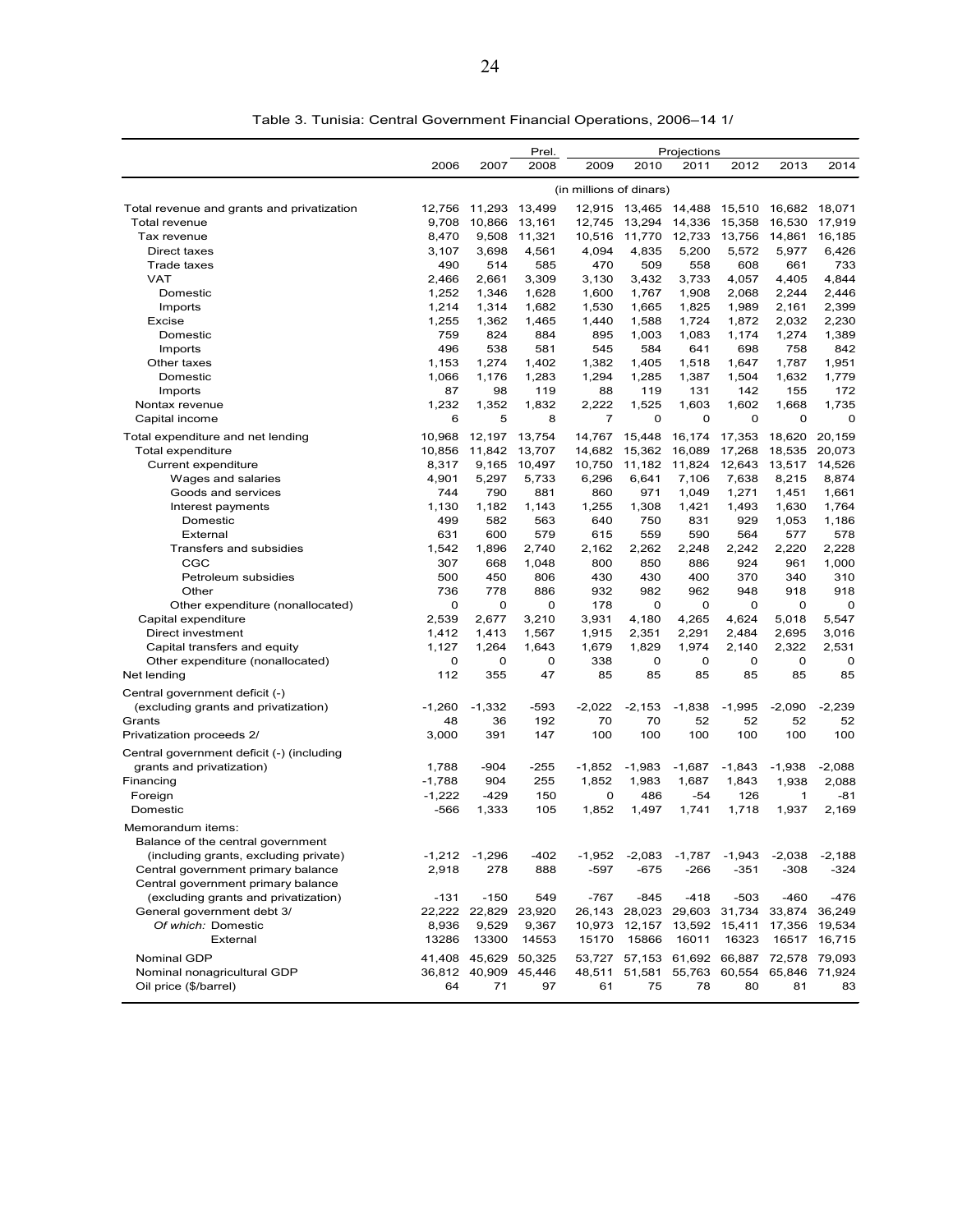|                                            |              |               | Prel.        |                         |               | Projections  |              |              |                |
|--------------------------------------------|--------------|---------------|--------------|-------------------------|---------------|--------------|--------------|--------------|----------------|
|                                            | 2006         | 2007          | 2008         | 2009                    | 2010          | 2011         | 2012         | 2013         | 2014           |
|                                            |              |               |              | (in millions of dinars) |               |              |              |              |                |
| Total revenue and grants and privatization | 12,756       | 11,293        | 13,499       |                         | 12,915 13,465 | 14,488       | 15,510       | 16,682       | 18,071         |
| <b>Total revenue</b>                       | 9,708        | 10,866        | 13,161       | 12,745                  | 13,294        | 14,336       | 15,358       | 16,530       | 17,919         |
| Tax revenue                                | 8,470        | 9,508         | 11,321       | 10,516                  | 11,770        | 12,733       | 13,756       | 14,861       | 16,185         |
| Direct taxes                               | 3,107        | 3,698         | 4,561        | 4,094                   | 4,835         | 5,200        | 5,572        | 5,977        | 6,426          |
| Trade taxes                                | 490          | 514           | 585          | 470                     | 509           | 558          | 608          | 661          | 733            |
| <b>VAT</b>                                 | 2,466        | 2,661         | 3,309        | 3,130                   | 3,432         | 3,733        | 4,057        | 4,405        | 4,844          |
| Domestic                                   | 1.252        | 1,346         | 1,628        | 1.600                   | 1,767         | 1,908        | 2.068        | 2,244        | 2,446          |
| Imports                                    | 1,214        | 1,314         | 1,682        | 1,530                   | 1,665         | 1,825        | 1,989        | 2,161        | 2,399          |
| Excise                                     | 1,255        | 1,362         | 1,465        | 1,440                   | 1,588         | 1,724        | 1,872        | 2,032        | 2,230          |
| Domestic                                   | 759          | 824           | 884          | 895                     | 1,003         | 1,083        | 1,174        | 1,274        | 1,389          |
| Imports                                    | 496          | 538           | 581          | 545                     | 584           | 641          | 698          | 758          | 842            |
| Other taxes                                | 1,153        | 1,274         | 1.402        | 1,382                   | 1,405         | 1,518        | 1,647        | 1,787        | 1,951          |
| Domestic                                   | 1,066        | 1,176         | 1,283        | 1,294                   | 1,285         | 1,387        | 1,504        | 1,632        | 1,779          |
| Imports                                    | 87           | 98            | 119          | 88                      | 119           | 131          | 142          | 155          | 172            |
| Nontax revenue                             | 1,232        | 1,352         | 1,832        | 2,222                   | 1,525         | 1,603        | 1,602        | 1,668        | 1,735          |
| Capital income                             | 6            | 5             | 8            | 7                       | 0             | 0            | $\mathbf 0$  | 0            | 0              |
| Total expenditure and net lending          | 10,968       | 12,197        | 13,754       | 14,767                  | 15,448        | 16,174       | 17,353       | 18,620       | 20,159         |
| <b>Total expenditure</b>                   | 10,856       | 11,842        | 13,707       | 14.682                  | 15,362        | 16,089       | 17,268       | 18,535       | 20,073         |
| Current expenditure                        | 8,317        | 9,165         | 10,497       | 10,750                  | 11,182        | 11,824       | 12,643       | 13,517       | 14,526         |
| Wages and salaries                         | 4,901        | 5,297         | 5,733        | 6,296                   | 6,641         | 7,106        | 7,638        | 8,215        | 8,874          |
| Goods and services                         | 744          | 790           | 881          | 860                     | 971           | 1,049        | 1,271        | 1,451        | 1,661          |
| Interest payments                          | 1,130        | 1,182         | 1,143        | 1,255                   | 1,308         | 1,421        | 1,493        | 1,630        | 1,764          |
| Domestic                                   | 499          | 582           | 563          | 640                     | 750           | 831          | 929          | 1,053        | 1,186          |
| External                                   | 631          | 600           | 579<br>2.740 | 615                     | 559           | 590          | 564<br>2,242 | 577          | 578            |
| Transfers and subsidies<br>CGC             | 1,542<br>307 | 1,896<br>668  | 1,048        | 2,162<br>800            | 2,262<br>850  | 2,248<br>886 | 924          | 2,220<br>961 | 2,228<br>1,000 |
| Petroleum subsidies                        | 500          | 450           | 806          | 430                     | 430           | 400          | 370          | 340          | 310            |
| Other                                      | 736          | 778           | 886          | 932                     | 982           | 962          | 948          | 918          | 918            |
| Other expenditure (nonallocated)           | 0            | 0             | $\mathbf 0$  | 178                     | 0             | 0            | 0            | 0            | 0              |
| Capital expenditure                        | 2,539        | 2,677         | 3,210        | 3,931                   | 4,180         | 4,265        | 4,624        | 5,018        | 5,547          |
| Direct investment                          | 1,412        | 1,413         | 1,567        | 1,915                   | 2,351         | 2,291        | 2,484        | 2,695        | 3,016          |
| Capital transfers and equity               | 1,127        | 1,264         | 1,643        | 1,679                   | 1,829         | 1,974        | 2,140        | 2,322        | 2,531          |
| Other expenditure (nonallocated)           | 0            | 0             | 0            | 338                     | 0             | 0            | O            | 0            | 0              |
| Net lending                                | 112          | 355           | 47           | 85                      | 85            | 85           | 85           | 85           | 85             |
| Central government deficit (-)             |              |               |              |                         |               |              |              |              |                |
| (excluding grants and privatization)       | $-1,260$     | $-1,332$      | $-593$       | $-2,022$                | $-2,153$      | $-1,838$     | $-1,995$     | $-2,090$     | $-2,239$       |
| Grants                                     | 48           | 36            | 192          | 70                      | 70            | 52           | 52           | 52           | 52             |
| Privatization proceeds 2/                  | 3,000        | 391           | 147          | 100                     | 100           | 100          | 100          | 100          | 100            |
| Central government deficit (-) (including  |              |               |              |                         |               |              |              |              |                |
| grants and privatization)                  | 1,788        | $-904$        | -255         | $-1,852$                | $-1,983$      | $-1,687$     | $-1,843$     | $-1,938$     | $-2,088$       |
| Financing                                  | $-1,788$     | 904           | 255          | 1,852                   | 1,983         | 1,687        | 1,843        | 1,938        | 2,088          |
| Foreign                                    | $-1,222$     | $-429$        | 150          | 0                       | 486           | -54          | 126          | 1            | $-81$          |
| Domestic                                   | $-566$       | 1,333         | 105          | 1,852                   | 1,497         | 1,741        | 1,718        | 1,937        | 2,169          |
| Memorandum items:                          |              |               |              |                         |               |              |              |              |                |
| Balance of the central government          |              |               |              |                         |               |              |              |              |                |
| (including grants, excluding private)      | $-1,212$     | $-1,296$      | $-402$       | $-1,952$                | $-2,083$      | $-1,787$     | $-1,943$     | $-2,038$     | $-2,188$       |
| Central government primary balance         | 2,918        | 278           | 888          | $-597$                  | -675          | $-266$       | $-351$       | $-308$       | $-324$         |
| Central government primary balance         |              |               |              |                         |               |              |              |              |                |
| (excluding grants and privatization)       | -131         | $-150$        | 549          | $-767$                  | $-845$        | $-418$       | $-503$       | $-460$       | $-476$         |
| General government debt 3/                 |              | 22,222 22,829 | 23,920       | 26,143                  | 28,023        | 29,603       | 31,734       | 33,874       | 36,249         |
| Of which: Domestic                         | 8,936        | 9,529         | 9,367        | 10,973                  | 12,157        | 13,592       | 15,411       | 17,356       | 19,534         |
| External                                   | 13286        | 13300         | 14553        | 15170                   | 15866         | 16011        | 16323        | 16517        | 16,715         |
| Nominal GDP                                | 41,408       | 45,629        | 50,325       | 53,727                  | 57,153        | 61,692       | 66,887       | 72,578       | 79,093         |
| Nominal nonagricultural GDP                |              | 36,812 40,909 | 45,446       | 48,511                  | 51,581        | 55,763       | 60,554       | 65,846       | 71,924         |
| Oil price (\$/barrel)                      | 64           | 71            | 97           | 61                      | 75            | 78           | 80           | 81           | 83             |

Table 3. Tunisia: Central Government Financial Operations, 2006–14 1/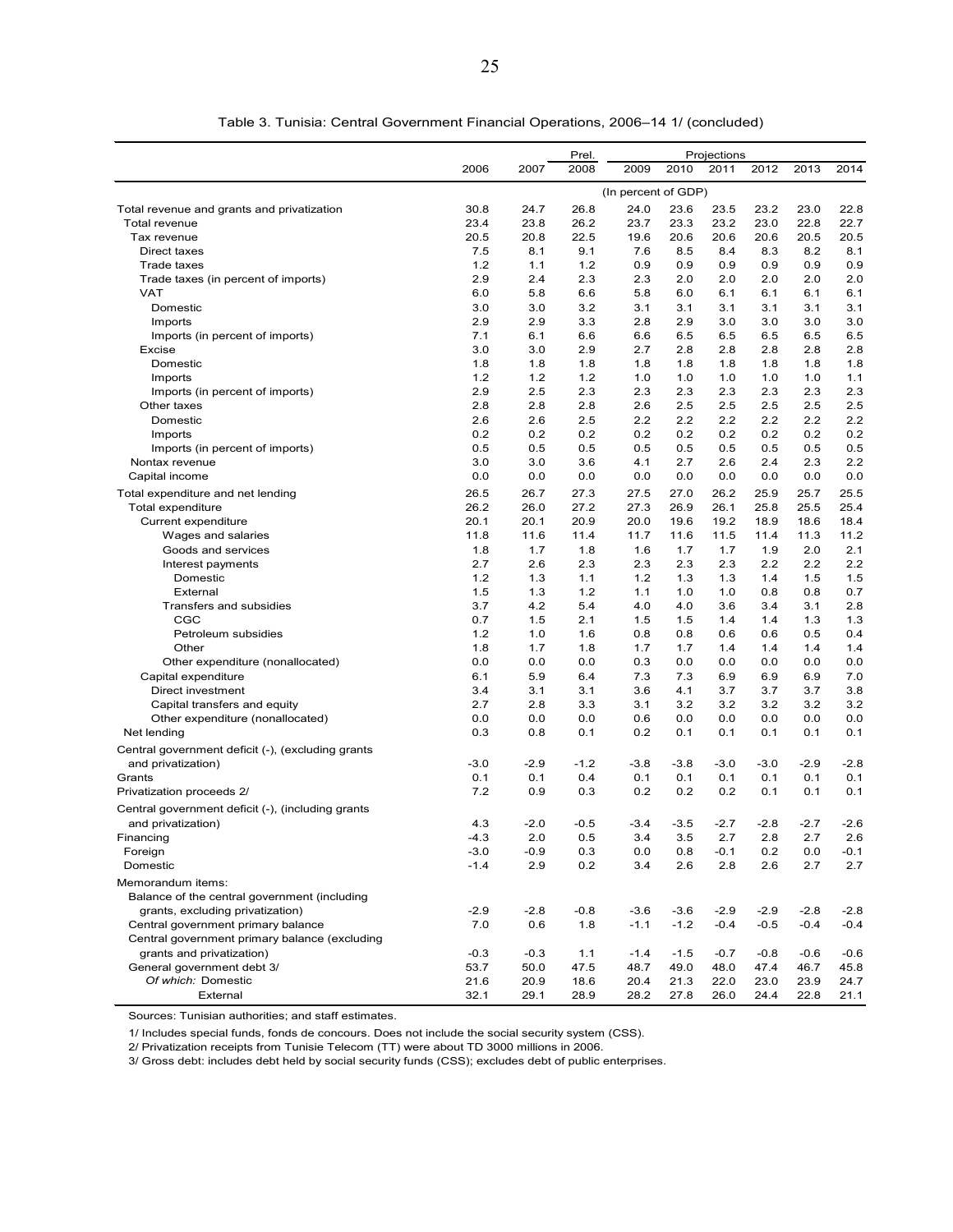|                                                   |        |        | Prel.  |                     |        | Projections |        |        |        |
|---------------------------------------------------|--------|--------|--------|---------------------|--------|-------------|--------|--------|--------|
|                                                   | 2006   | 2007   | 2008   | 2009                | 2010   | 2011        | 2012   | 2013   | 2014   |
|                                                   |        |        |        | (In percent of GDP) |        |             |        |        |        |
| Total revenue and grants and privatization        | 30.8   | 24.7   | 26.8   | 24.0                | 23.6   | 23.5        | 23.2   | 23.0   | 22.8   |
| Total revenue                                     | 23.4   | 23.8   | 26.2   | 23.7                | 23.3   | 23.2        | 23.0   | 22.8   | 22.7   |
| Tax revenue                                       | 20.5   | 20.8   | 22.5   | 19.6                | 20.6   | 20.6        | 20.6   | 20.5   | 20.5   |
| Direct taxes                                      | 7.5    | 8.1    | 9.1    | 7.6                 | 8.5    | 8.4         | 8.3    | 8.2    | 8.1    |
| Trade taxes                                       | 1.2    | 1.1    | 1.2    | 0.9                 | 0.9    | 0.9         | 0.9    | 0.9    | 0.9    |
| Trade taxes (in percent of imports)               | 2.9    | 2.4    | 2.3    | 2.3                 | 2.0    | 2.0         | 2.0    | 2.0    | 2.0    |
| <b>VAT</b>                                        | 6.0    | 5.8    | 6.6    | 5.8                 | 6.0    | 6.1         | 6.1    | 6.1    | 6.1    |
| Domestic                                          | 3.0    | 3.0    | 3.2    | 3.1                 | 3.1    | 3.1         | 3.1    | 3.1    | 3.1    |
| Imports                                           | 2.9    | 2.9    | 3.3    | 2.8                 | 2.9    | 3.0         | 3.0    | 3.0    | 3.0    |
| Imports (in percent of imports)                   | 7.1    | 6.1    | 6.6    | 6.6                 | 6.5    | 6.5         | 6.5    | 6.5    | 6.5    |
| Excise                                            | 3.0    | 3.0    | 2.9    | 2.7                 | 2.8    | 2.8         | 2.8    | 2.8    | 2.8    |
| Domestic                                          | 1.8    | 1.8    | 1.8    | 1.8                 | 1.8    | 1.8         | 1.8    | 1.8    | 1.8    |
| Imports                                           | 1.2    | 1.2    | 1.2    | 1.0                 | 1.0    | 1.0         | 1.0    | 1.0    | 1.1    |
| Imports (in percent of imports)                   | 2.9    | 2.5    | 2.3    | 2.3                 | 2.3    | 2.3         | 2.3    | 2.3    | 2.3    |
| Other taxes                                       | 2.8    | 2.8    | 2.8    | 2.6                 | 2.5    | 2.5         | 2.5    | 2.5    | 2.5    |
| Domestic                                          | 2.6    | 2.6    | 2.5    | 2.2                 | 2.2    | 2.2         | 2.2    | 2.2    | 2.2    |
| Imports                                           | 0.2    | 0.2    | 0.2    | 0.2                 | 0.2    | 0.2         | 0.2    | 0.2    | 0.2    |
| Imports (in percent of imports)                   | 0.5    | 0.5    | 0.5    | 0.5                 | 0.5    | 0.5         | 0.5    | 0.5    | 0.5    |
| Nontax revenue                                    | 3.0    | 3.0    | 3.6    | 4.1                 | 2.7    | 2.6         | 2.4    | 2.3    | 2.2    |
| Capital income                                    | 0.0    | 0.0    | 0.0    | 0.0                 | 0.0    | 0.0         | 0.0    | 0.0    | 0.0    |
| Total expenditure and net lending                 | 26.5   | 26.7   | 27.3   | 27.5                | 27.0   | 26.2        | 25.9   | 25.7   | 25.5   |
| Total expenditure                                 | 26.2   | 26.0   | 27.2   | 27.3                | 26.9   | 26.1        | 25.8   | 25.5   | 25.4   |
| Current expenditure                               | 20.1   | 20.1   | 20.9   | 20.0                | 19.6   | 19.2        | 18.9   | 18.6   | 18.4   |
| Wages and salaries                                | 11.8   | 11.6   | 11.4   | 11.7                | 11.6   | 11.5        | 11.4   | 11.3   | 11.2   |
| Goods and services                                | 1.8    | 1.7    | 1.8    | 1.6                 | 1.7    | 1.7         | 1.9    | 2.0    | 2.1    |
| Interest payments                                 | 2.7    | 2.6    | 2.3    | 2.3                 | 2.3    | 2.3         | 2.2    | 2.2    | 2.2    |
| Domestic                                          | 1.2    | 1.3    | 1.1    | $1.2$               | 1.3    | 1.3         | 1.4    | 1.5    | 1.5    |
| External                                          | 1.5    | 1.3    | 1.2    | 1.1                 | 1.0    | 1.0         | 0.8    | 0.8    | 0.7    |
| Transfers and subsidies                           | 3.7    | 4.2    | 5.4    | 4.0                 | 4.0    | 3.6         | 3.4    | 3.1    | 2.8    |
| CGC                                               | 0.7    | 1.5    | 2.1    | 1.5                 | 1.5    | 1.4         | 1.4    | 1.3    | 1.3    |
| Petroleum subsidies                               | 1.2    | 1.0    | 1.6    | 0.8                 | 0.8    | 0.6         | 0.6    | 0.5    | 0.4    |
| Other                                             | 1.8    | 1.7    | 1.8    | 1.7                 | 1.7    | 1.4         | 1.4    | 1.4    | 1.4    |
| Other expenditure (nonallocated)                  | 0.0    | 0.0    | 0.0    | 0.3                 | 0.0    | 0.0         | 0.0    | 0.0    | 0.0    |
| Capital expenditure                               | 6.1    | 5.9    | 6.4    | 7.3                 | 7.3    | 6.9         | 6.9    | 6.9    | 7.0    |
| Direct investment                                 | 3.4    | 3.1    | 3.1    | 3.6                 | 4.1    | 3.7         | 3.7    | 3.7    | 3.8    |
| Capital transfers and equity                      | 2.7    | 2.8    | 3.3    | 3.1                 | 3.2    | 3.2         | 3.2    | 3.2    | 3.2    |
| Other expenditure (nonallocated)                  | 0.0    | 0.0    | 0.0    | 0.6                 | 0.0    | 0.0         | 0.0    | 0.0    | 0.0    |
| Net lending                                       | 0.3    | 0.8    | 0.1    | 0.2                 | 0.1    | 0.1         | 0.1    | 0.1    | 0.1    |
| Central government deficit (-), (excluding grants |        |        |        |                     |        |             |        |        |        |
| and privatization)                                | $-3.0$ | -2.9   | $-1.2$ | $-3.8$              | $-3.8$ | $-3.0$      | $-3.0$ | $-2.9$ | $-2.8$ |
| Grants                                            | 0.1    | 0.1    | 0.4    | 0.1                 | 0.1    | 0.1         | 0.1    | 0.1    | 0.1    |
| Privatization proceeds 2/                         | 7.2    | 0.9    | 0.3    | 0.2                 | 0.2    | 0.2         | 0.1    | 0.1    | 0.1    |
| Central government deficit (-), (including grants |        |        |        |                     |        |             |        |        |        |
| and privatization)                                | 4.3    | $-2.0$ | $-0.5$ | $-3.4$              | $-3.5$ | $-2.7$      | $-2.8$ | $-2.7$ | $-2.6$ |
| Financing                                         | $-4.3$ | 2.0    | 0.5    | 3.4                 | 3.5    | 2.7         | 2.8    | 2.7    | 2.6    |
| Foreign                                           | $-3.0$ | -0.9   | 0.3    | 0.0                 | 0.8    | $-0.1$      | 0.2    | 0.0    | $-0.1$ |
| Domestic                                          | $-1.4$ | 2.9    | 0.2    | 3.4                 | 2.6    | 2.8         | 2.6    | 2.7    | 2.7    |
| Memorandum items:                                 |        |        |        |                     |        |             |        |        |        |
| Balance of the central government (including      |        |        |        |                     |        |             |        |        |        |
| grants, excluding privatization)                  | $-2.9$ | -2.8   | $-0.8$ | $-3.6$              | $-3.6$ | $-2.9$      | $-2.9$ | $-2.8$ | $-2.8$ |
| Central government primary balance                | 7.0    | 0.6    | 1.8    | $-1.1$              | $-1.2$ | $-0.4$      | $-0.5$ | $-0.4$ | $-0.4$ |
| Central government primary balance (excluding     |        |        |        |                     |        |             |        |        |        |
| grants and privatization)                         | $-0.3$ | $-0.3$ | 1.1    | $-1.4$              | $-1.5$ | $-0.7$      | $-0.8$ | $-0.6$ | $-0.6$ |
| General government debt 3/                        | 53.7   | 50.0   | 47.5   | 48.7                | 49.0   | 48.0        | 47.4   | 46.7   | 45.8   |
| Of which: Domestic                                | 21.6   | 20.9   | 18.6   | 20.4                | 21.3   | 22.0        | 23.0   | 23.9   | 24.7   |
| External                                          | 32.1   | 29.1   | 28.9   | 28.2                | 27.8   | 26.0        | 24.4   | 22.8   | 21.1   |

Table 3. Tunisia: Central Government Financial Operations, 2006–14 1/ (concluded)

Sources: Tunisian authorities; and staff estimates.

1/ Includes special funds, fonds de concours. Does not include the social security system (CSS).

2/ Privatization receipts from Tunisie Telecom (TT) were about TD 3000 millions in 2006.

3/ Gross debt: includes debt held by social security funds (CSS); excludes debt of public enterprises.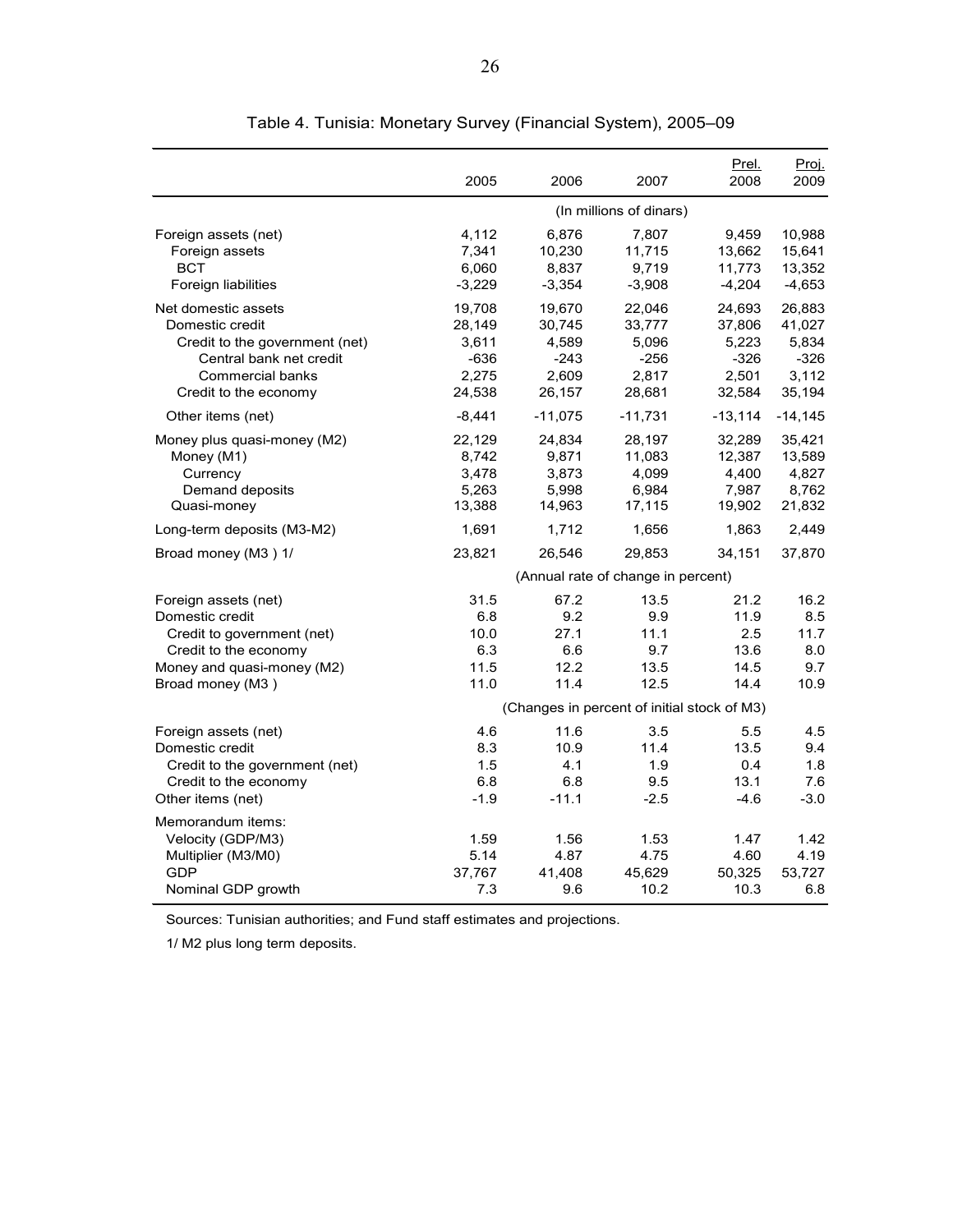|                                                                                                                                                         | 2005                                                   | 2006                                                   | 2007                                                   | Prel.<br>2008                                                                              | Proj.<br>2009                                          |
|---------------------------------------------------------------------------------------------------------------------------------------------------------|--------------------------------------------------------|--------------------------------------------------------|--------------------------------------------------------|--------------------------------------------------------------------------------------------|--------------------------------------------------------|
|                                                                                                                                                         |                                                        |                                                        | (In millions of dinars)                                |                                                                                            |                                                        |
| Foreign assets (net)<br>Foreign assets<br><b>BCT</b><br>Foreign liabilities                                                                             | 4,112<br>7,341<br>6,060<br>$-3,229$                    | 6,876<br>10,230<br>8,837<br>$-3,354$                   | 7,807<br>11,715<br>9,719<br>$-3,908$                   | 9,459<br>13,662<br>11,773<br>$-4,204$                                                      | 10,988<br>15,641<br>13,352<br>$-4,653$                 |
| Net domestic assets<br>Domestic credit<br>Credit to the government (net)<br>Central bank net credit<br><b>Commercial banks</b><br>Credit to the economy | 19,708<br>28,149<br>3,611<br>$-636$<br>2.275<br>24,538 | 19,670<br>30,745<br>4,589<br>$-243$<br>2,609<br>26,157 | 22,046<br>33,777<br>5,096<br>$-256$<br>2,817<br>28,681 | 24,693<br>37,806<br>5,223<br>$-326$<br>2,501<br>32,584                                     | 26,883<br>41,027<br>5,834<br>$-326$<br>3,112<br>35,194 |
| Other items (net)                                                                                                                                       | $-8,441$                                               | $-11,075$                                              | $-11,731$                                              | $-13,114$                                                                                  | $-14, 145$                                             |
| Money plus quasi-money (M2)<br>Money (M1)<br>Currency<br>Demand deposits<br>Quasi-money                                                                 | 22,129<br>8,742<br>3,478<br>5,263<br>13,388            | 24,834<br>9,871<br>3,873<br>5,998<br>14,963            | 28,197<br>11,083<br>4,099<br>6,984<br>17,115           | 32,289<br>12,387<br>4,400<br>7,987<br>19,902                                               | 35,421<br>13,589<br>4,827<br>8,762<br>21,832           |
| Long-term deposits (M3-M2)                                                                                                                              | 1,691                                                  | 1,712                                                  | 1,656                                                  | 1,863                                                                                      | 2,449                                                  |
| Broad money (M3) 1/                                                                                                                                     | 23,821                                                 | 26,546                                                 | 29,853                                                 | 34,151                                                                                     | 37,870                                                 |
|                                                                                                                                                         |                                                        |                                                        | (Annual rate of change in percent)                     |                                                                                            |                                                        |
| Foreign assets (net)<br>Domestic credit<br>Credit to government (net)<br>Credit to the economy<br>Money and quasi-money (M2)<br>Broad money (M3)        | 31.5<br>6.8<br>10.0<br>6.3<br>11.5<br>11.0             | 67.2<br>9.2<br>27.1<br>6.6<br>12.2<br>11.4             | 13.5<br>9.9<br>11.1<br>9.7<br>13.5<br>12.5             | 21.2<br>11.9<br>2.5<br>13.6<br>14.5<br>14.4<br>(Changes in percent of initial stock of M3) | 16.2<br>8.5<br>11.7<br>8.0<br>9.7<br>10.9              |
| Foreign assets (net)                                                                                                                                    | 4.6                                                    | 11.6                                                   | 3.5                                                    | 5.5                                                                                        | 4.5                                                    |
| Domestic credit<br>Credit to the government (net)<br>Credit to the economy<br>Other items (net)                                                         | 8.3<br>1.5<br>6.8<br>$-1.9$                            | 10.9<br>4.1<br>6.8<br>$-11.1$                          | 11.4<br>1.9<br>9.5<br>$-2.5$                           | 13.5<br>0.4<br>13.1<br>$-4.6$                                                              | 9.4<br>1.8<br>7.6<br>$-3.0$                            |
| Memorandum items:<br>Velocity (GDP/M3)<br>Multiplier (M3/M0)<br>GDP<br>Nominal GDP growth                                                               | 1.59<br>5.14<br>37,767<br>7.3                          | 1.56<br>4.87<br>41,408<br>9.6                          | 1.53<br>4.75<br>45,629<br>10.2                         | 1.47<br>4.60<br>50,325<br>10.3                                                             | 1.42<br>4.19<br>53,727<br>6.8                          |

Table 4. Tunisia: Monetary Survey (Financial System), 2005–09

Sources: Tunisian authorities; and Fund staff estimates and projections.

1/ M2 plus long term deposits.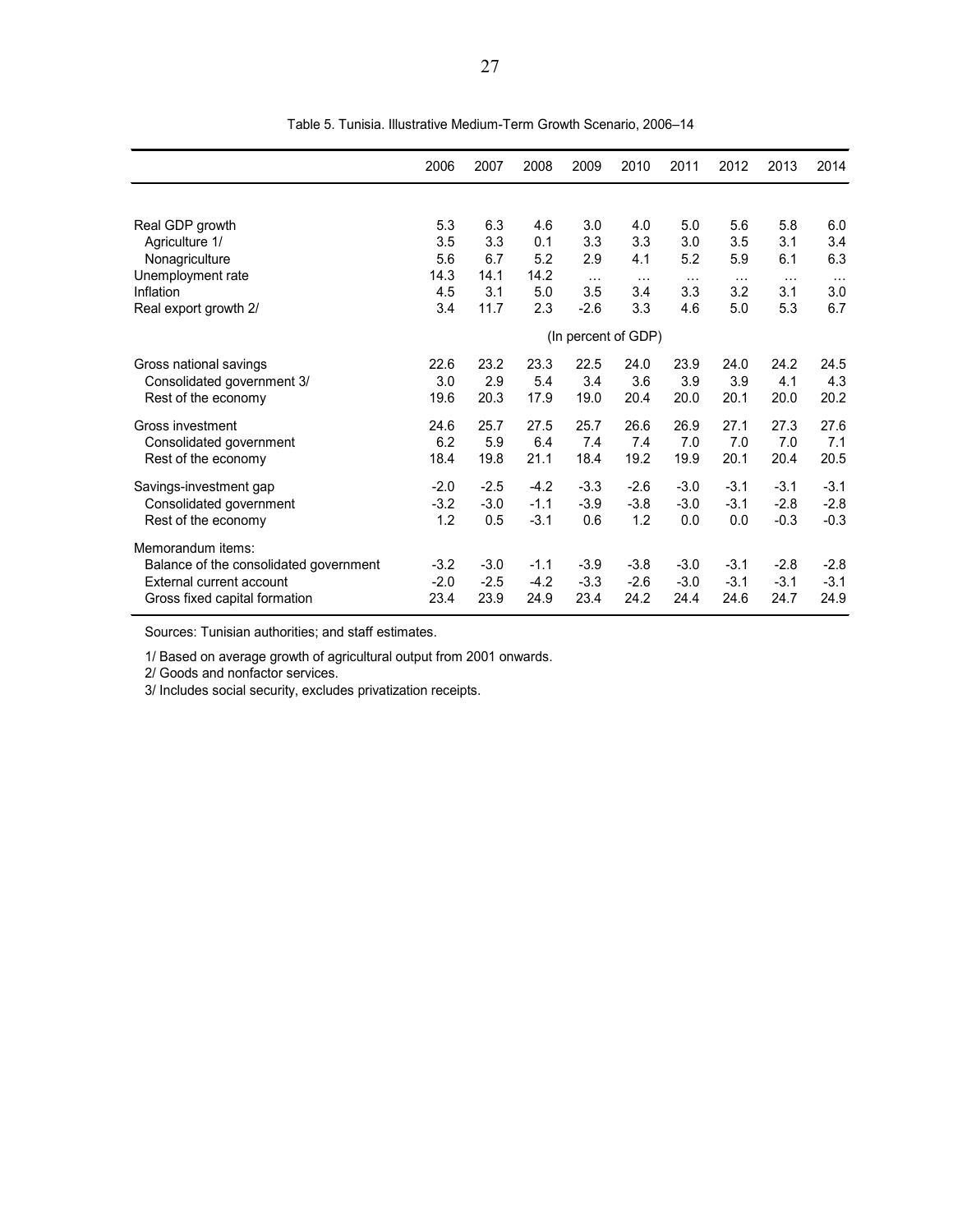|                                        | 2006                | 2007   | 2008   | 2009     | 2010     | 2011     | 2012     | 2013     | 2014   |  |  |
|----------------------------------------|---------------------|--------|--------|----------|----------|----------|----------|----------|--------|--|--|
|                                        |                     |        |        |          |          |          |          |          |        |  |  |
| Real GDP growth                        | 5.3                 | 6.3    | 4.6    | 3.0      | 4.0      | 5.0      | 5.6      | 5.8      | 6.0    |  |  |
| Agriculture 1/                         | 3.5                 | 3.3    | 0.1    | 3.3      | 3.3      | 3.0      | 3.5      | 3.1      | 3.4    |  |  |
| Nonagriculture                         | 5.6                 | 6.7    | 5.2    | 2.9      | 4.1      | 5.2      | 5.9      | 6.1      | 6.3    |  |  |
| Unemployment rate                      | 14.3                | 14.1   | 14.2   | $\cdots$ | $\cdots$ | $\cdots$ | $\cdots$ | $\cdots$ |        |  |  |
| Inflation                              | 4.5                 | 3.1    | 5.0    | 3.5      | 3.4      | 3.3      | 3.2      | 3.1      | 3.0    |  |  |
| Real export growth 2/                  | 3.4                 | 11.7   | 2.3    | $-2.6$   | 3.3      | 4.6      | 5.0      | 5.3      | 6.7    |  |  |
|                                        | (In percent of GDP) |        |        |          |          |          |          |          |        |  |  |
| Gross national savings                 | 22.6                | 23.2   | 23.3   | 22.5     | 24.0     | 23.9     | 24.0     | 24.2     | 24.5   |  |  |
| Consolidated government 3/             | 3.0                 | 2.9    | 5.4    | 3.4      | 3.6      | 3.9      | 3.9      | 4.1      | 4.3    |  |  |
| Rest of the economy                    | 19.6                | 20.3   | 17.9   | 19.0     | 20.4     | 20.0     | 20.1     | 20.0     | 20.2   |  |  |
| Gross investment                       | 24.6                | 25.7   | 27.5   | 25.7     | 26.6     | 26.9     | 27.1     | 27.3     | 27.6   |  |  |
| Consolidated government                | 6.2                 | 5.9    | 6.4    | 7.4      | 7.4      | 7.0      | 7.0      | 7.0      | 7.1    |  |  |
| Rest of the economy                    | 18.4                | 19.8   | 21.1   | 18.4     | 19.2     | 19.9     | 20.1     | 20.4     | 20.5   |  |  |
| Savings-investment gap                 | $-2.0$              | $-2.5$ | $-4.2$ | $-3.3$   | $-2.6$   | $-3.0$   | $-3.1$   | $-3.1$   | $-3.1$ |  |  |
| Consolidated government                | $-3.2$              | $-3.0$ | $-1.1$ | $-3.9$   | $-3.8$   | $-3.0$   | $-3.1$   | $-2.8$   | $-2.8$ |  |  |
| Rest of the economy                    | 1.2                 | 0.5    | $-3.1$ | 0.6      | 1.2      | 0.0      | 0.0      | $-0.3$   | $-0.3$ |  |  |
| Memorandum items:                      |                     |        |        |          |          |          |          |          |        |  |  |
| Balance of the consolidated government | $-3.2$              | $-3.0$ | $-1.1$ | $-3.9$   | $-3.8$   | $-3.0$   | $-3.1$   | $-2.8$   | $-2.8$ |  |  |
| External current account               | $-2.0$              | $-2.5$ | $-4.2$ | $-3.3$   | $-2.6$   | $-3.0$   | $-3.1$   | $-3.1$   | $-3.1$ |  |  |
| Gross fixed capital formation          | 23.4                | 23.9   | 24.9   | 23.4     | 24.2     | 24.4     | 24.6     | 24.7     | 24.9   |  |  |

Table 5. Tunisia. Illustrative Medium-Term Growth Scenario, 2006–14

Sources: Tunisian authorities; and staff estimates.

1/ Based on average growth of agricultural output from 2001 onwards.

2/ Goods and nonfactor services.

3/ Includes social security, excludes privatization receipts.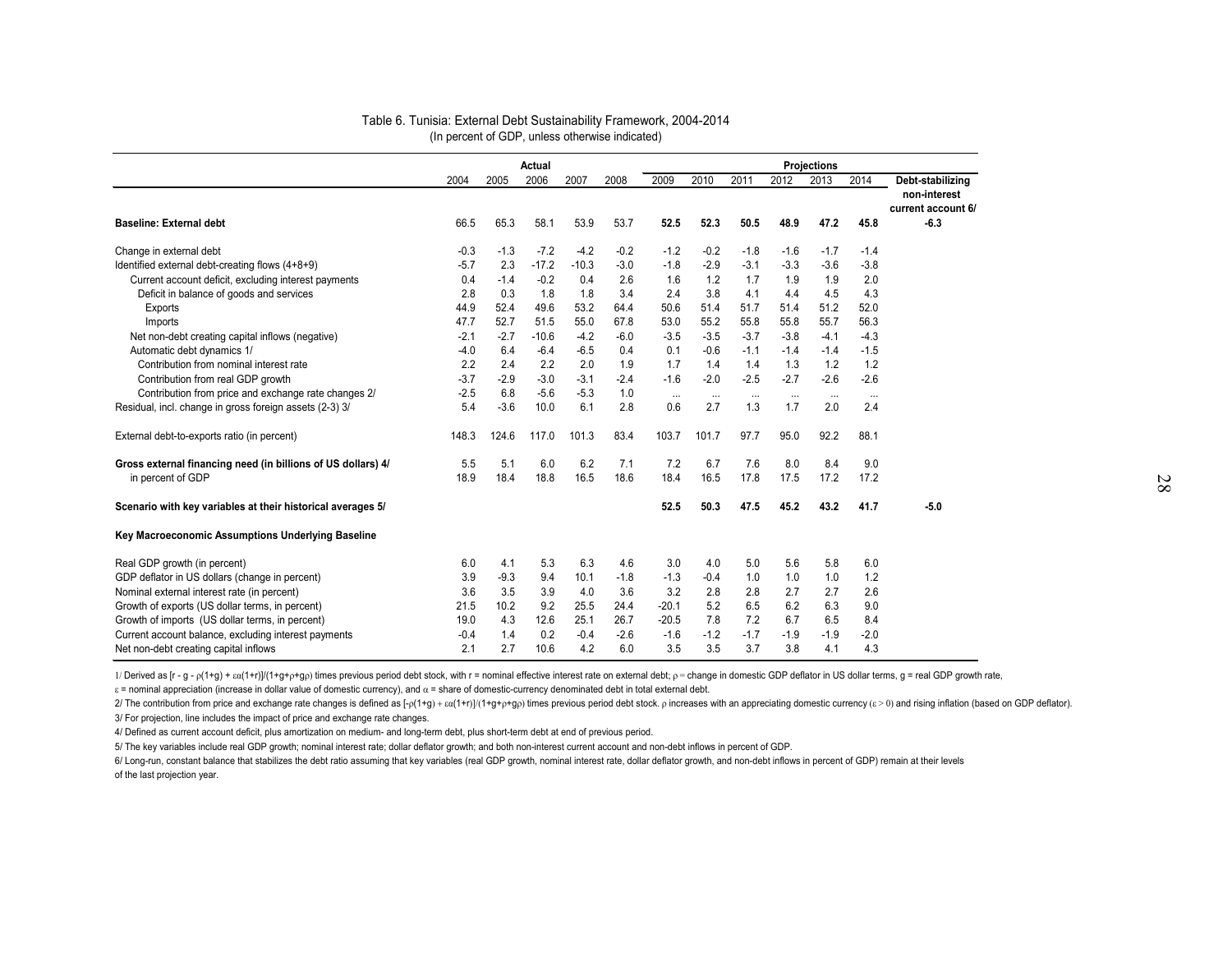|                                                              |        |        | Actual  |         |        | <b>Projections</b> |          |          |          |          |          |                    |  |  |
|--------------------------------------------------------------|--------|--------|---------|---------|--------|--------------------|----------|----------|----------|----------|----------|--------------------|--|--|
|                                                              | 2004   | 2005   | 2006    | 2007    | 2008   | 2009               | 2010     | 2011     | 2012     | 2013     | 2014     | Debt-stabilizing   |  |  |
|                                                              |        |        |         |         |        |                    |          |          |          |          |          | non-interest       |  |  |
|                                                              |        |        |         |         |        |                    |          |          |          |          |          | current account 6/ |  |  |
| <b>Baseline: External debt</b>                               | 66.5   | 65.3   | 58.1    | 53.9    | 53.7   | 52.5               | 52.3     | 50.5     | 48.9     | 47.2     | 45.8     | $-6.3$             |  |  |
| Change in external debt                                      | $-0.3$ | $-1.3$ | $-7.2$  | $-4.2$  | $-0.2$ | $-1.2$             | $-0.2$   | $-1.8$   | $-1.6$   | $-1.7$   | $-1.4$   |                    |  |  |
| Identified external debt-creating flows (4+8+9)              | $-5.7$ | 2.3    | $-17.2$ | $-10.3$ | $-3.0$ | $-1.8$             | $-2.9$   | $-3.1$   | $-3.3$   | $-3.6$   | $-3.8$   |                    |  |  |
| Current account deficit, excluding interest payments         | 0.4    | $-1.4$ | $-0.2$  | 0.4     | 2.6    | 1.6                | 1.2      | 1.7      | 1.9      | 1.9      | 2.0      |                    |  |  |
| Deficit in balance of goods and services                     | 2.8    | 0.3    | 1.8     | 1.8     | 3.4    | 2.4                | 3.8      | 4.1      | 4.4      | 4.5      | 4.3      |                    |  |  |
| Exports                                                      | 44.9   | 52.4   | 49.6    | 53.2    | 64.4   | 50.6               | 51.4     | 51.7     | 51.4     | 51.2     | 52.0     |                    |  |  |
| Imports                                                      | 47.7   | 52.7   | 51.5    | 55.0    | 67.8   | 53.0               | 55.2     | 55.8     | 55.8     | 55.7     | 56.3     |                    |  |  |
| Net non-debt creating capital inflows (negative)             | $-2.1$ | $-2.7$ | $-10.6$ | $-4.2$  | $-6.0$ | $-3.5$             | $-3.5$   | $-3.7$   | $-3.8$   | $-4.1$   | $-4.3$   |                    |  |  |
| Automatic debt dynamics 1/                                   | $-4.0$ | 6.4    | $-6.4$  | $-6.5$  | 0.4    | 0.1                | $-0.6$   | $-1.1$   | $-1.4$   | $-1.4$   | $-1.5$   |                    |  |  |
| Contribution from nominal interest rate                      | 2.2    | 2.4    | 2.2     | 2.0     | 1.9    | 1.7                | 1.4      | 1.4      | 1.3      | 1.2      | 1.2      |                    |  |  |
| Contribution from real GDP growth                            | $-3.7$ | $-2.9$ | $-3.0$  | $-3.1$  | $-2.4$ | $-1.6$             | $-2.0$   | $-2.5$   | $-2.7$   | $-2.6$   | $-2.6$   |                    |  |  |
| Contribution from price and exchange rate changes 2/         | $-2.5$ | 6.8    | $-5.6$  | $-5.3$  | 1.0    | $\cdots$           | $\cdots$ | $\cdots$ | $\cdots$ | $\cdots$ | $\cdots$ |                    |  |  |
| Residual, incl. change in gross foreign assets (2-3) 3/      | 5.4    | $-3.6$ | 10.0    | 6.1     | 2.8    | 0.6                | 2.7      | 1.3      | 1.7      | 2.0      | 2.4      |                    |  |  |
| External debt-to-exports ratio (in percent)                  | 148.3  | 124.6  | 117.0   | 101.3   | 83.4   | 103.7              | 101.7    | 97.7     | 95.0     | 92.2     | 88.1     |                    |  |  |
| Gross external financing need (in billions of US dollars) 4/ | 5.5    | 5.1    | 6.0     | 6.2     | 7.1    | 7.2                | 6.7      | 7.6      | 8.0      | 8.4      | 9.0      |                    |  |  |
| in percent of GDP                                            | 18.9   | 18.4   | 18.8    | 16.5    | 18.6   | 18.4               | 16.5     | 17.8     | 17.5     | 17.2     | 17.2     |                    |  |  |
| Scenario with key variables at their historical averages 5/  |        |        |         |         |        | 52.5               | 50.3     | 47.5     | 45.2     | 43.2     | 41.7     | $-5.0$             |  |  |
| Key Macroeconomic Assumptions Underlying Baseline            |        |        |         |         |        |                    |          |          |          |          |          |                    |  |  |
| Real GDP growth (in percent)                                 | 6.0    | 4.1    | 5.3     | 6.3     | 4.6    | 3.0                | 4.0      | 5.0      | 5.6      | 5.8      | 6.0      |                    |  |  |
| GDP deflator in US dollars (change in percent)               | 3.9    | $-9.3$ | 9.4     | 10.1    | $-1.8$ | $-1.3$             | $-0.4$   | 1.0      | 1.0      | 1.0      | 1.2      |                    |  |  |
| Nominal external interest rate (in percent)                  | 3.6    | 3.5    | 3.9     | 4.0     | 3.6    | 3.2                | 2.8      | 2.8      | 2.7      | 2.7      | 2.6      |                    |  |  |
| Growth of exports (US dollar terms, in percent)              | 21.5   | 10.2   | 9.2     | 25.5    | 24.4   | $-20.1$            | 5.2      | 6.5      | 6.2      | 6.3      | 9.0      |                    |  |  |
| Growth of imports (US dollar terms, in percent)              | 19.0   | 4.3    | 12.6    | 25.1    | 26.7   | $-20.5$            | 7.8      | 7.2      | 6.7      | 6.5      | 8.4      |                    |  |  |
| Current account balance, excluding interest payments         | $-0.4$ | 1.4    | 0.2     | $-0.4$  | $-2.6$ | $-1.6$             | $-1.2$   | $-1.7$   | $-1.9$   | $-1.9$   | $-2.0$   |                    |  |  |
| Net non-debt creating capital inflows                        | 2.1    | 2.7    | 10.6    | 4.2     | 6.0    | 3.5                | 3.5      | 3.7      | 3.8      | 4.1      | 4.3      |                    |  |  |

#### Table 6. Tunisia: External Debt Sustainability Framework, 2004-2014 (In percent of GDP, unless otherwise indicated)

1/ Derived as [r - g - p(1+g) + ca(1+r)]/(1+g+p+gp) times previous period debt stock, with r = nominal effective interest rate on external debt; p = change in domestic GDP deflator in US dollar terms, g = real GDP growth r

ε = nominal appreciation (increase in dollar value of domestic currency), and α = share of domestic-currency denominated debt in total external debt.

2/ The contribution from price and exchange rate changes is defined as  $[-p(1+g) + \varepsilon a(1+r))/(1+g+p+g\rho)$  times previous period debt stock. p increases with an appreciating domestic currency  $(\varepsilon > 0)$  and rising inflation (bas

3/ For projection, line includes the impact of price and exchange rate changes.

4/ Defined as current account deficit, plus amortization on medium- and long-term debt, plus short-term debt at end of previous period.

5/ The key variables include real GDP growth; nominal interest rate; dollar deflator growth; and both non-interest current account and non-debt inflows in percent of GDP.

6/ Long-run, constant balance that stabilizes the debt ratio assuming that key variables (real GDP growth, nominal interest rate, dollar deflator growth, and non-debt inflows in percent of GDP) remain at their levels of the last projection year.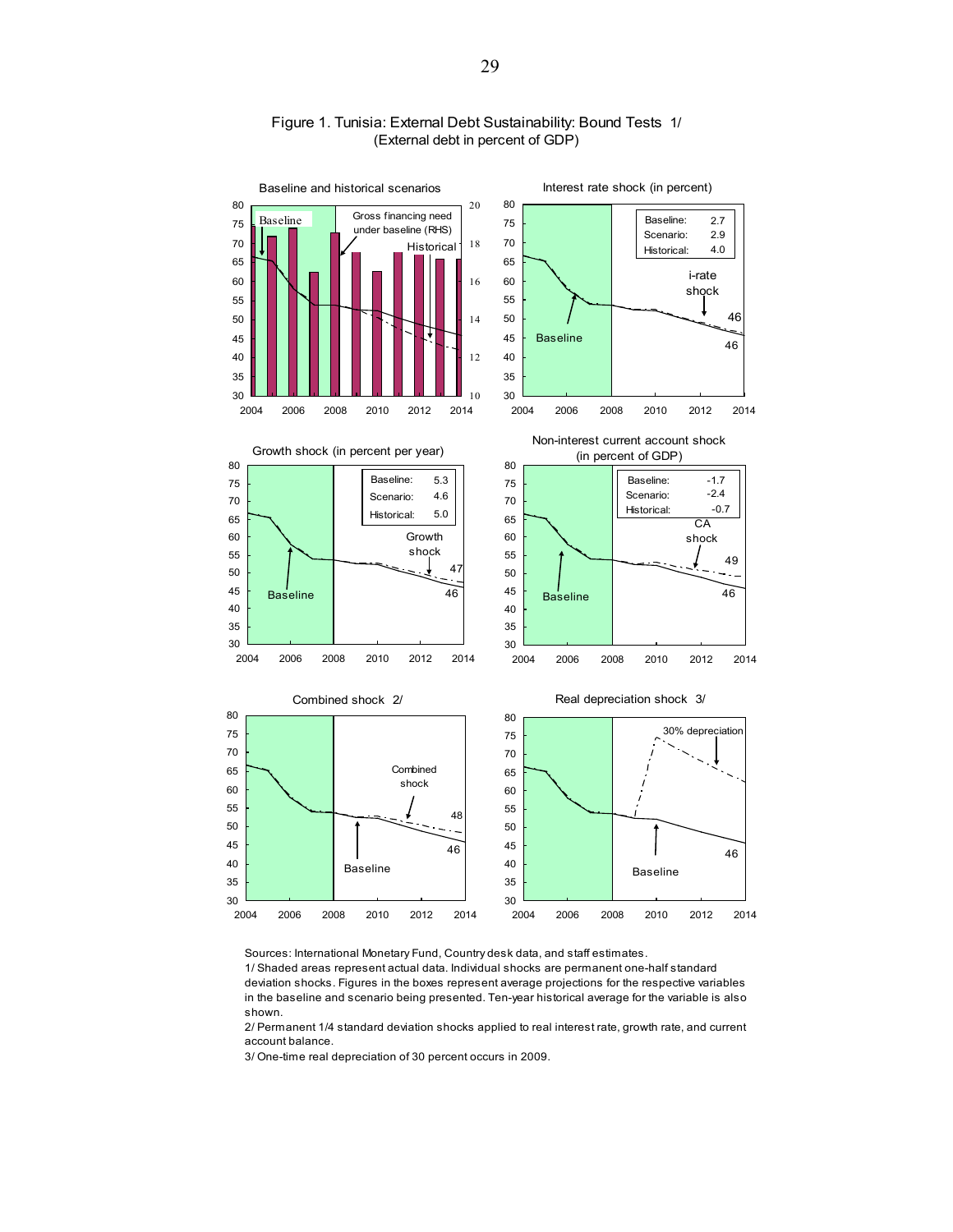

#### Figure 1. Tunisia: External Debt Sustainability: Bound Tests 1/ (External debt in percent of GDP)

Sources: International Monetary Fund, Country desk data, and staff estimates.

1/ Shaded areas represent actual data. Individual shocks are permanent one-half standard deviation shocks. Figures in the boxes represent average projections for the respective variables in the baseline and scenario being presented. Ten-year historical average for the variable is also shown.

2/ Permanent 1/4 standard deviation shocks applied to real interest rate, growth rate, and current account balance.

3/ One-time real depreciation of 30 percent occurs in 2009.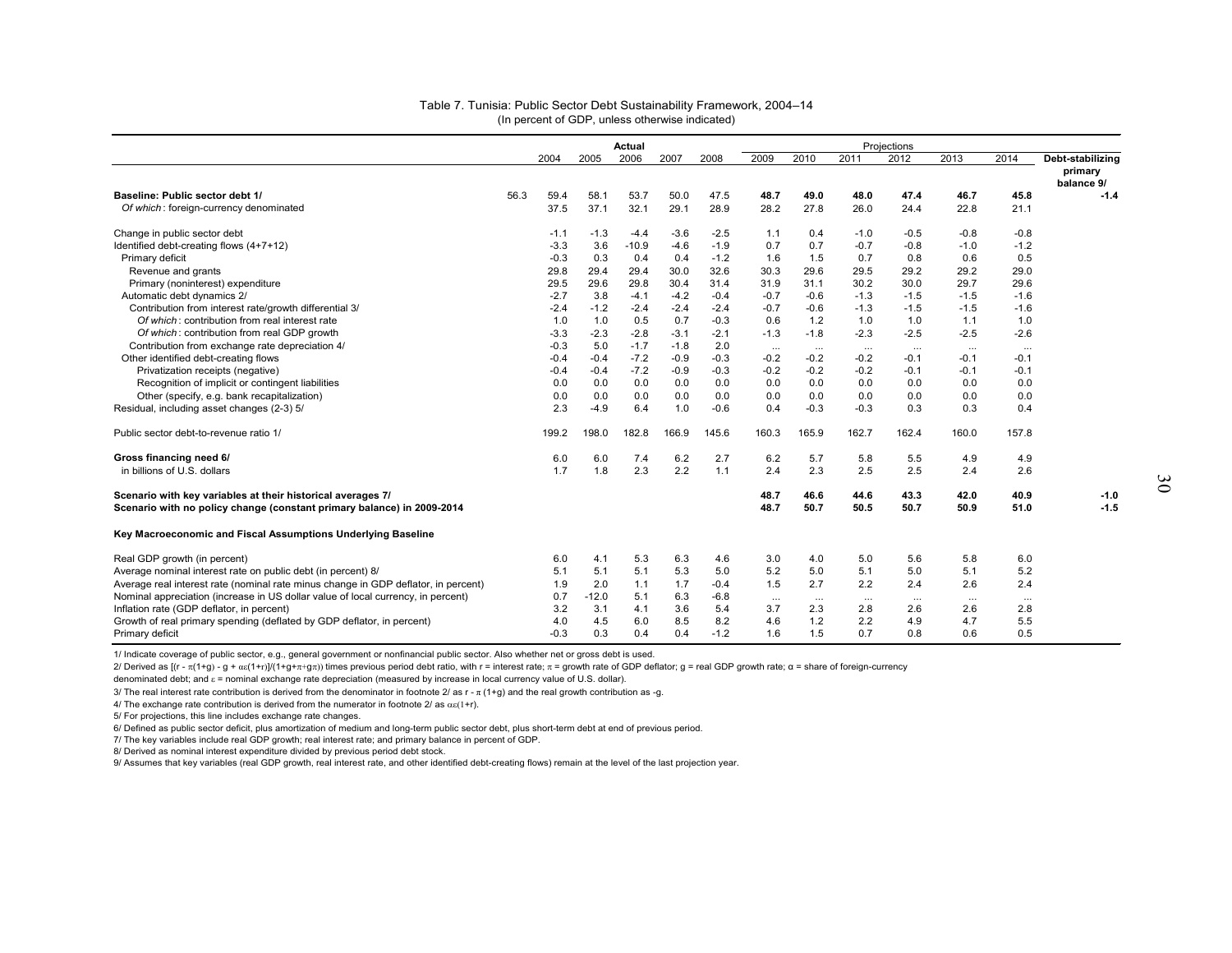|                                                                                    |      |        |         | Actual  |        |        |          |          |          | Projections |          |          |                      |
|------------------------------------------------------------------------------------|------|--------|---------|---------|--------|--------|----------|----------|----------|-------------|----------|----------|----------------------|
|                                                                                    |      | 2004   | 2005    | 2006    | 2007   | 2008   | 2009     | 2010     | 2011     | 2012        | 2013     | 2014     | Debt-stabilizing     |
|                                                                                    |      |        |         |         |        |        |          |          |          |             |          |          | primary              |
| Baseline: Public sector debt 1/                                                    | 56.3 | 59.4   | 58.1    | 53.7    | 50.0   | 47.5   | 48.7     | 49.0     | 48.0     | 47.4        | 46.7     | 45.8     | balance 9/<br>$-1.4$ |
| Of which: foreign-currency denominated                                             |      | 37.5   | 37.1    | 32.1    | 29.1   | 28.9   | 28.2     | 27.8     | 26.0     | 24.4        | 22.8     | 21.1     |                      |
|                                                                                    |      |        |         |         |        |        |          |          |          |             |          |          |                      |
| Change in public sector debt                                                       |      | $-1.1$ | $-1.3$  | $-4.4$  | $-3.6$ | $-2.5$ | 1.1      | 0.4      | $-1.0$   | $-0.5$      | $-0.8$   | $-0.8$   |                      |
| Identified debt-creating flows (4+7+12)                                            |      | $-3.3$ | 3.6     | $-10.9$ | $-4.6$ | $-1.9$ | 0.7      | 0.7      | $-0.7$   | $-0.8$      | $-1.0$   | $-1.2$   |                      |
| Primary deficit                                                                    |      | $-0.3$ | 0.3     | 0.4     | 0.4    | $-1.2$ | 1.6      | 1.5      | 0.7      | 0.8         | 0.6      | 0.5      |                      |
| Revenue and grants                                                                 |      | 29.8   | 29.4    | 29.4    | 30.0   | 32.6   | 30.3     | 29.6     | 29.5     | 29.2        | 29.2     | 29.0     |                      |
| Primary (noninterest) expenditure                                                  |      | 29.5   | 29.6    | 29.8    | 30.4   | 31.4   | 31.9     | 31.1     | 30.2     | 30.0        | 29.7     | 29.6     |                      |
| Automatic debt dynamics 2/                                                         |      | $-2.7$ | 3.8     | $-4.1$  | $-4.2$ | $-0.4$ | $-0.7$   | $-0.6$   | $-1.3$   | $-1.5$      | $-1.5$   | $-1.6$   |                      |
| Contribution from interest rate/growth differential 3/                             |      | $-2.4$ | $-1.2$  | $-2.4$  | $-2.4$ | $-2.4$ | $-0.7$   | $-0.6$   | $-1.3$   | $-1.5$      | $-1.5$   | $-1.6$   |                      |
| Of which: contribution from real interest rate                                     |      | 1.0    | 1.0     | 0.5     | 0.7    | $-0.3$ | 0.6      | 1.2      | 1.0      | 1.0         | 1.1      | 1.0      |                      |
| Of which: contribution from real GDP growth                                        |      | $-3.3$ | $-2.3$  | $-2.8$  | $-3.1$ | $-2.1$ | $-1.3$   | $-1.8$   | $-2.3$   | $-2.5$      | $-2.5$   | $-2.6$   |                      |
| Contribution from exchange rate depreciation 4/                                    |      | $-0.3$ | 5.0     | $-1.7$  | $-1.8$ | 2.0    | $\cdots$ | $\cdots$ | $\cdots$ | $\cdots$    | $\cdots$ | $\cdots$ |                      |
| Other identified debt-creating flows                                               |      | $-0.4$ | $-0.4$  | $-7.2$  | $-0.9$ | $-0.3$ | $-0.2$   | $-0.2$   | $-0.2$   | $-0.1$      | $-0.1$   | $-0.1$   |                      |
| Privatization receipts (negative)                                                  |      | $-0.4$ | $-0.4$  | $-7.2$  | $-0.9$ | $-0.3$ | $-0.2$   | $-0.2$   | $-0.2$   | $-0.1$      | $-0.1$   | $-0.1$   |                      |
| Recognition of implicit or contingent liabilities                                  |      | 0.0    | 0.0     | 0.0     | 0.0    | 0.0    | 0.0      | 0.0      | 0.0      | 0.0         | 0.0      | 0.0      |                      |
| Other (specify, e.g. bank recapitalization)                                        |      | 0.0    | 0.0     | 0.0     | 0.0    | 0.0    | 0.0      | 0.0      | 0.0      | 0.0         | 0.0      | 0.0      |                      |
| Residual, including asset changes (2-3) 5/                                         |      | 2.3    | $-4.9$  | 6.4     | 1.0    | $-0.6$ | 0.4      | $-0.3$   | $-0.3$   | 0.3         | 0.3      | 0.4      |                      |
| Public sector debt-to-revenue ratio 1/                                             |      | 199.2  | 198.0   | 182.8   | 166.9  | 145.6  | 160.3    | 165.9    | 162.7    | 162.4       | 160.0    | 157.8    |                      |
|                                                                                    |      |        |         |         |        |        |          |          |          |             |          |          |                      |
| Gross financing need 6/                                                            |      | 6.0    | 6.0     | 7.4     | 6.2    | 2.7    | 6.2      | 5.7      | 5.8      | 5.5         | 4.9      | 4.9      |                      |
| in billions of U.S. dollars                                                        |      | 1.7    | 1.8     | 2.3     | 2.2    | 1.1    | 2.4      | 2.3      | 2.5      | 2.5         | 2.4      | 2.6      |                      |
| Scenario with key variables at their historical averages 7/                        |      |        |         |         |        |        | 48.7     | 46.6     | 44.6     | 43.3        | 42.0     | 40.9     | $-1.0$               |
| Scenario with no policy change (constant primary balance) in 2009-2014             |      |        |         |         |        |        | 48.7     | 50.7     | 50.5     | 50.7        | 50.9     | 51.0     | $-1.5$               |
| Key Macroeconomic and Fiscal Assumptions Underlying Baseline                       |      |        |         |         |        |        |          |          |          |             |          |          |                      |
| Real GDP growth (in percent)                                                       |      | 6.0    | 4.1     | 5.3     | 6.3    | 4.6    | 3.0      | 4.0      | 5.0      | 5.6         | 5.8      | 6.0      |                      |
| Average nominal interest rate on public debt (in percent) 8/                       |      | 5.1    | 5.1     | 5.1     | 5.3    | 5.0    | 5.2      | 5.0      | 5.1      | 5.0         | 5.1      | 5.2      |                      |
| Average real interest rate (nominal rate minus change in GDP deflator, in percent) |      | 1.9    | 2.0     | 1.1     | 1.7    | $-0.4$ | 1.5      | 2.7      | 2.2      | 2.4         | 2.6      | 2.4      |                      |
| Nominal appreciation (increase in US dollar value of local currency, in percent)   |      | 0.7    | $-12.0$ | 5.1     | 6.3    | $-6.8$ | $\cdots$ | $\cdots$ | $\cdots$ | $\cdots$    | $\cdots$ | $\cdots$ |                      |
| Inflation rate (GDP deflator, in percent)                                          |      | 3.2    | 3.1     | 4.1     | 3.6    | 5.4    | 3.7      | 2.3      | 2.8      | 2.6         | 2.6      | 2.8      |                      |
| Growth of real primary spending (deflated by GDP deflator, in percent)             |      | 4.0    | 4.5     | 6.0     | 8.5    | 8.2    | 4.6      | 1.2      | 2.2      | 4.9         | 4.7      | 5.5      |                      |
| Primary deficit                                                                    |      | $-0.3$ | 0.3     | 0.4     | 0.4    | $-1.2$ | 1.6      | 1.5      | 0.7      | 0.8         | 0.6      | 0.5      |                      |

#### (In percent of GDP, unless otherwise indicated) Table 7. Tunisia: Public Sector Debt Sustainability Framework, 2004–14

1/ Indicate coverage of public sector, e.g., general government or nonfinancial public sector. Also whether net or gross debt is used.

2/ Derived as [(r - π(1+g) - g + αε(1+r)]/(1+g+π+gπ)) times previous period debt ratio, with r = interest rate; π = growth rate of GDP deflator; g = real GDP growth rate; α = share of foreign-currency

denominated debt; and  $\varepsilon$  = nominal exchange rate depreciation (measured by increase in local currency value of U.S. dollar).

3/ The real interest rate contribution is derived from the denominator in footnote 2/ as r -  $\pi$  (1+g) and the real growth contribution as -g.

4/ The exchange rate contribution is derived from the numerator in footnote  $2/\text{ as } \alpha \in (1+r)$ .

5/ For projections, this line includes exchange rate changes.

6/ Defined as public sector deficit, plus amortization of medium and long-term public sector debt, plus short-term debt at end of previous period.

7/ The key variables include real GDP growth; real interest rate; and primary balance in percent of GDP.

8/ Derived as nominal interest expenditure divided by previous period debt stock.

9/ Assumes that key variables (real GDP growth, real interest rate, and other identified debt-creating flows) remain at the level of the last projection year.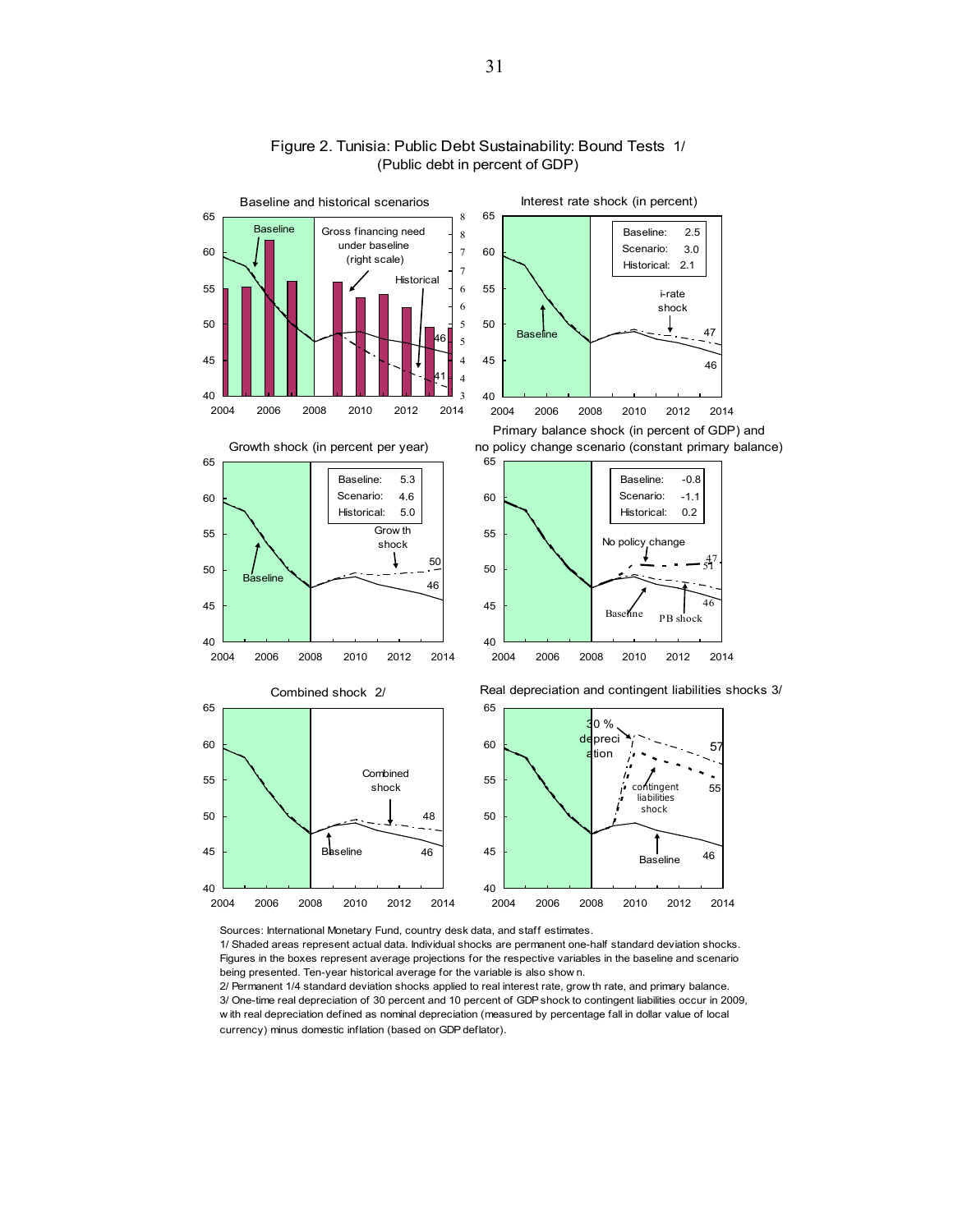

#### Figure 2. Tunisia: Public Debt Sustainability: Bound Tests 1/ (Public debt in percent of GDP)

Sources: International Monetary Fund, country desk data, and staff estimates.

1/ Shaded areas represent actual data. Individual shocks are permanent one-half standard deviation shocks. Figures in the boxes represent average projections for the respective variables in the baseline and scenario being presented. Ten-year historical average for the variable is also show n.

2/ Permanent 1/4 standard deviation shocks applied to real interest rate, grow th rate, and primary balance. 3/ One-time real depreciation of 30 percent and 10 percent of GDP shock to contingent liabilities occur in 2009, w ith real depreciation defined as nominal depreciation (measured by percentage fall in dollar value of local currency) minus domestic inflation (based on GDP deflator).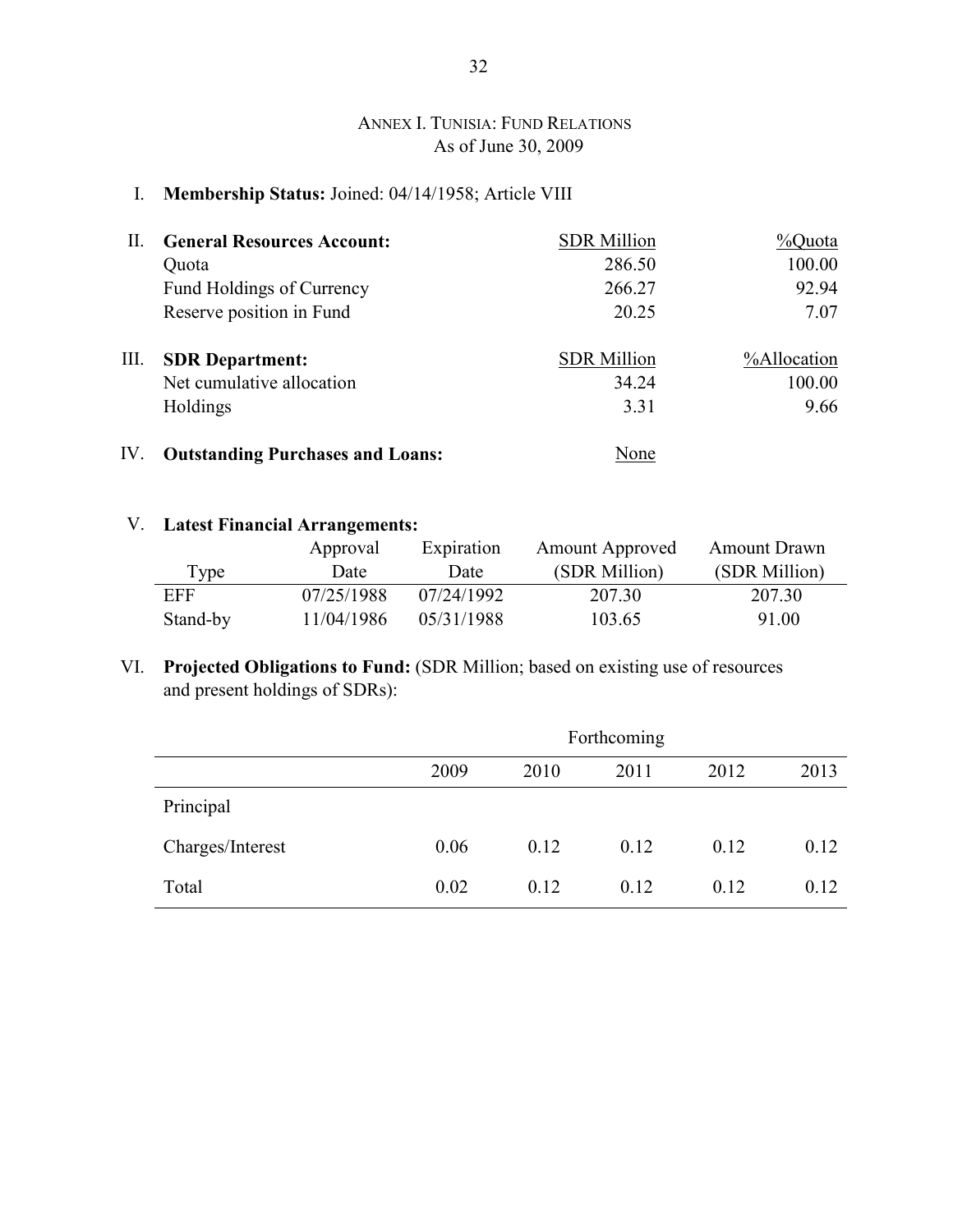## ANNEX I. TUNISIA: FUND RELATIONS As of June 30, 2009

## I. **Membership Status:** Joined: 04/14/1958; Article VIII

| H.  | <b>General Resources Account:</b>       | <b>SDR Million</b> | %Quota      |
|-----|-----------------------------------------|--------------------|-------------|
|     | Quota                                   | 286.50             | 100.00      |
|     | Fund Holdings of Currency               | 266.27             | 92.94       |
|     | Reserve position in Fund                | 20.25              | 7.07        |
| Ш.  | <b>SDR</b> Department:                  | <b>SDR</b> Million | %Allocation |
|     | Net cumulative allocation               | 34.24              | 100.00      |
|     | Holdings                                | 3.31               | 9.66        |
| IV. | <b>Outstanding Purchases and Loans:</b> | None               |             |

## V. **Latest Financial Arrangements:**

|          | Approval   | Expiration | <b>Amount Approved</b> | <b>Amount Drawn</b> |
|----------|------------|------------|------------------------|---------------------|
| Type     | Date       | Date       | (SDR Million)          | (SDR Million)       |
| EFF      | 07/25/1988 | 07/24/1992 | 207.30                 | 207.30              |
| Stand-by | 11/04/1986 | 05/31/1988 | 103.65                 | 91.00               |

## VI. **Projected Obligations to Fund:** (SDR Million; based on existing use of resources and present holdings of SDRs):

|                  | Forthcoming |      |      |      |      |  |  |
|------------------|-------------|------|------|------|------|--|--|
|                  | 2009        | 2010 | 2011 | 2012 | 2013 |  |  |
| Principal        |             |      |      |      |      |  |  |
| Charges/Interest | 0.06        | 0.12 | 0.12 | 0.12 | 0.12 |  |  |
| Total            | 0.02        | 0.12 | 0.12 | 0.12 | 0.12 |  |  |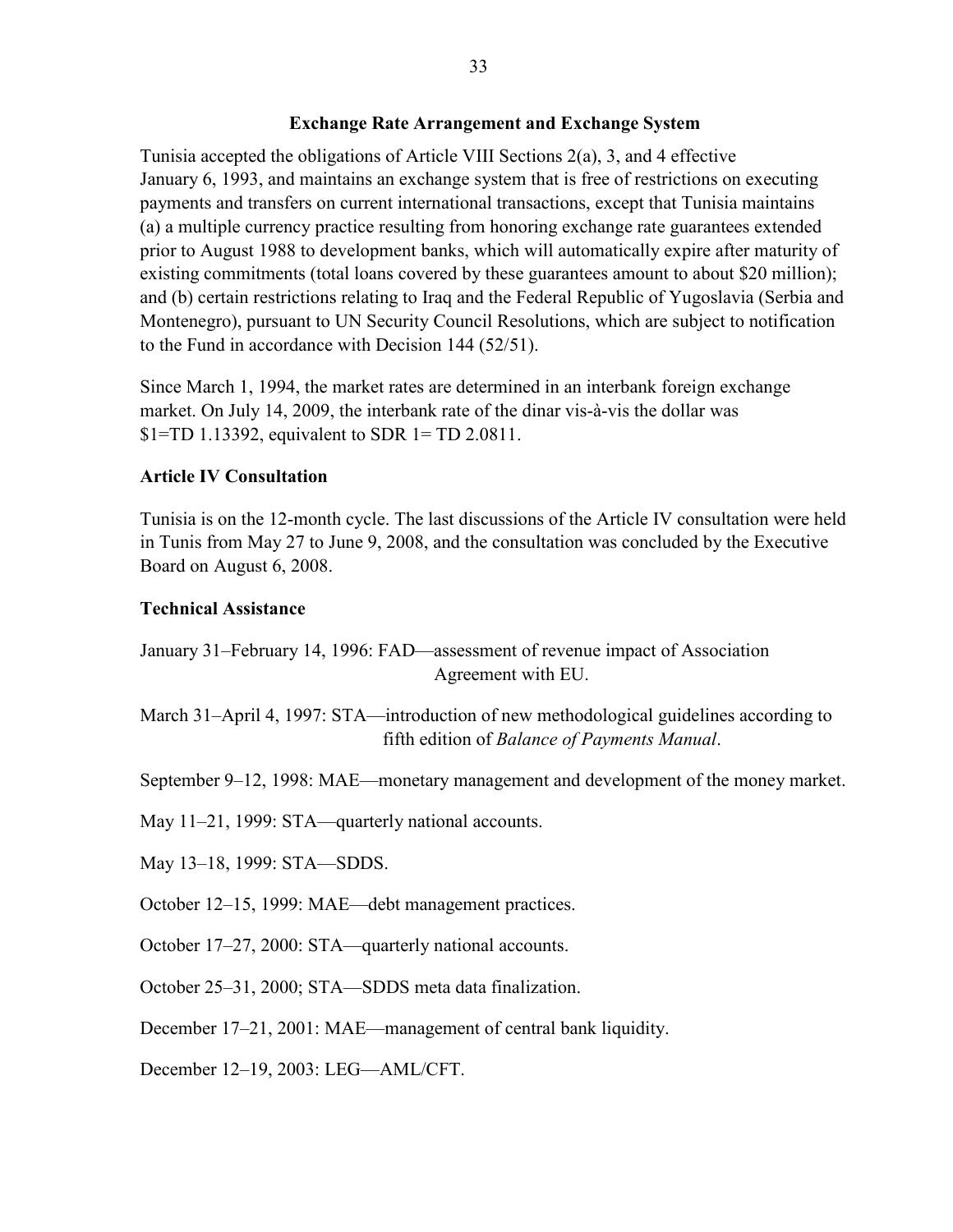#### **Exchange Rate Arrangement and Exchange System**

Tunisia accepted the obligations of Article VIII Sections 2(a), 3, and 4 effective January 6, 1993, and maintains an exchange system that is free of restrictions on executing payments and transfers on current international transactions, except that Tunisia maintains (a) a multiple currency practice resulting from honoring exchange rate guarantees extended prior to August 1988 to development banks, which will automatically expire after maturity of existing commitments (total loans covered by these guarantees amount to about \$20 million); and (b) certain restrictions relating to Iraq and the Federal Republic of Yugoslavia (Serbia and Montenegro), pursuant to UN Security Council Resolutions, which are subject to notification to the Fund in accordance with Decision 144 (52/51).

Since March 1, 1994, the market rates are determined in an interbank foreign exchange market. On July 14, 2009, the interbank rate of the dinar vis-à-vis the dollar was \$1=TD 1.13392, equivalent to SDR 1= TD 2.0811.

## **Article IV Consultation**

Tunisia is on the 12-month cycle. The last discussions of the Article IV consultation were held in Tunis from May 27 to June 9, 2008, and the consultation was concluded by the Executive Board on August 6, 2008.

## **Technical Assistance**

January 31–February 14, 1996: FAD—assessment of revenue impact of Association Agreement with EU.

March 31–April 4, 1997: STA—introduction of new methodological guidelines according to fifth edition of *Balance of Payments Manual*.

September 9–12, 1998: MAE—monetary management and development of the money market.

May 11–21, 1999: STA—quarterly national accounts.

May 13–18, 1999: STA—SDDS.

October 12–15, 1999: MAE—debt management practices.

October 17–27, 2000: STA—quarterly national accounts.

October 25–31, 2000; STA—SDDS meta data finalization.

December 17–21, 2001: MAE—management of central bank liquidity.

December 12–19, 2003: LEG—AML/CFT.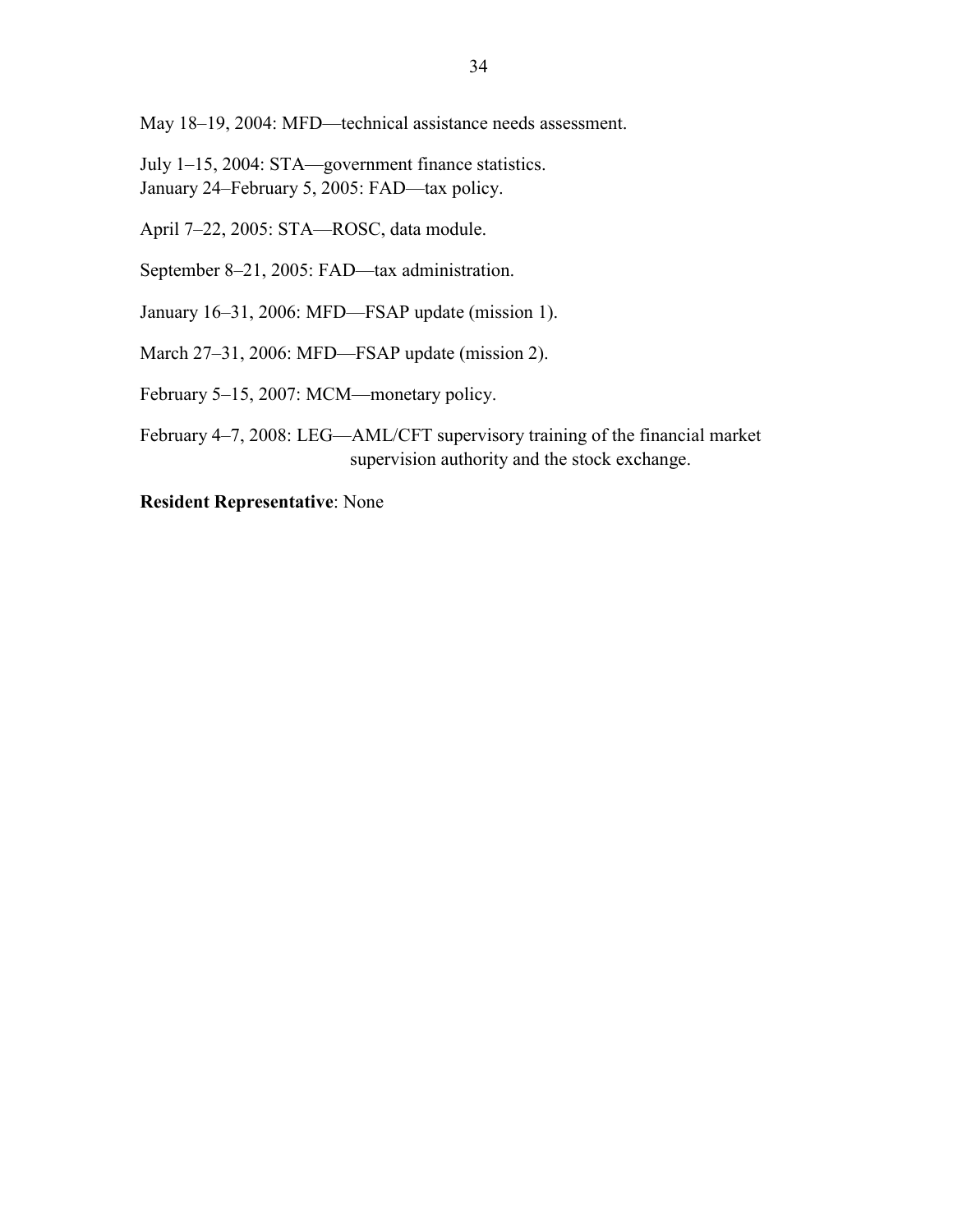May 18–19, 2004: MFD—technical assistance needs assessment.

July 1–15, 2004: STA—government finance statistics. January 24–February 5, 2005: FAD—tax policy.

April 7–22, 2005: STA—ROSC, data module.

September 8–21, 2005: FAD—tax administration.

January 16–31, 2006: MFD—FSAP update (mission 1).

March 27–31, 2006: MFD—FSAP update (mission 2).

February 5–15, 2007: MCM—monetary policy.

February 4–7, 2008: LEG—AML/CFT supervisory training of the financial market supervision authority and the stock exchange.

**Resident Representative**: None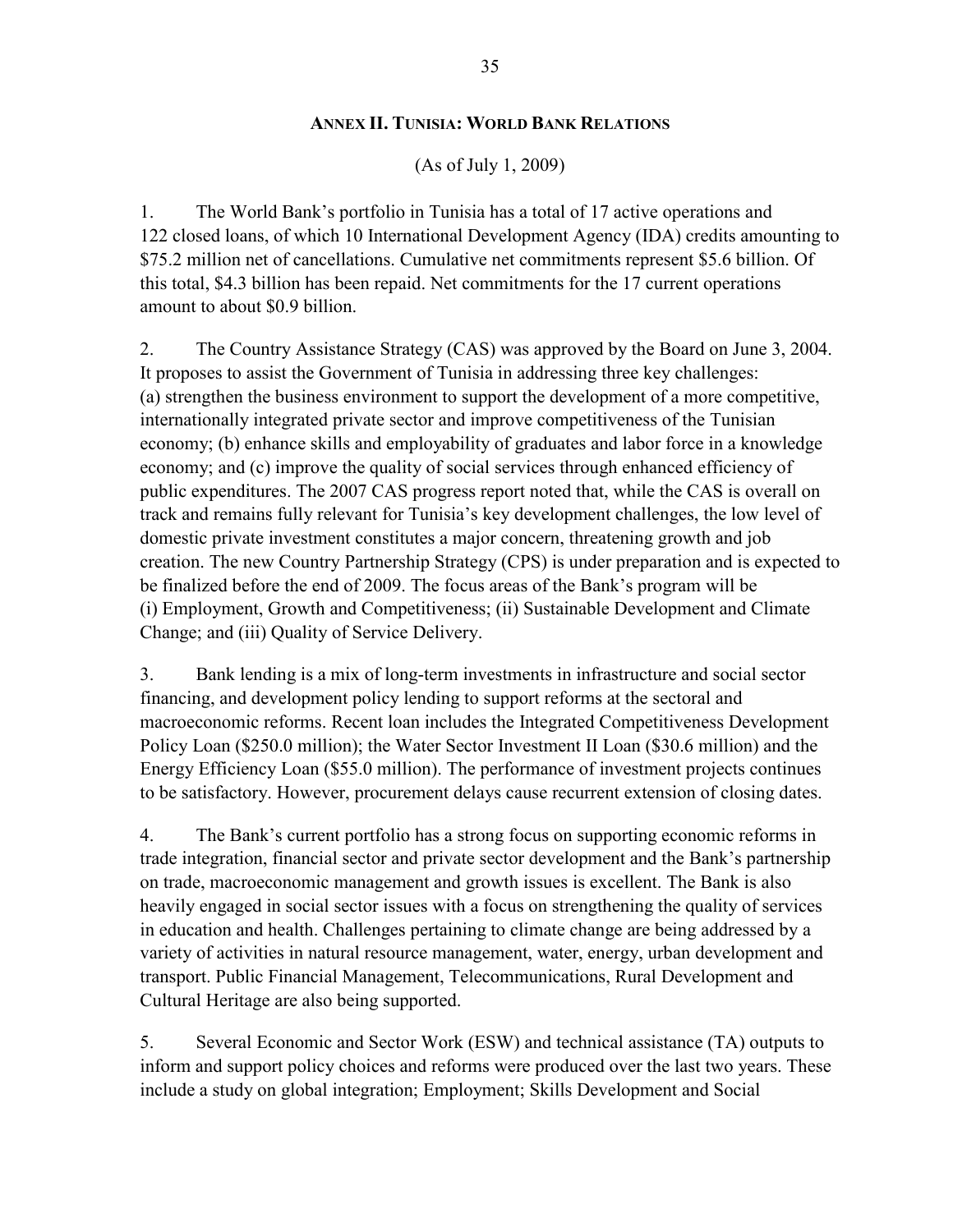### **ANNEX II. TUNISIA: WORLD BANK RELATIONS**

#### (As of July 1, 2009)

1. The World Bank's portfolio in Tunisia has a total of 17 active operations and 122 closed loans, of which 10 International Development Agency (IDA) credits amounting to \$75.2 million net of cancellations. Cumulative net commitments represent \$5.6 billion. Of this total, \$4.3 billion has been repaid. Net commitments for the 17 current operations amount to about \$0.9 billion.

2. The Country Assistance Strategy (CAS) was approved by the Board on June 3, 2004. It proposes to assist the Government of Tunisia in addressing three key challenges: (a) strengthen the business environment to support the development of a more competitive, internationally integrated private sector and improve competitiveness of the Tunisian economy; (b) enhance skills and employability of graduates and labor force in a knowledge economy; and (c) improve the quality of social services through enhanced efficiency of public expenditures. The 2007 CAS progress report noted that, while the CAS is overall on track and remains fully relevant for Tunisia's key development challenges, the low level of domestic private investment constitutes a major concern, threatening growth and job creation. The new Country Partnership Strategy (CPS) is under preparation and is expected to be finalized before the end of 2009. The focus areas of the Bank's program will be (i) Employment, Growth and Competitiveness; (ii) Sustainable Development and Climate Change; and (iii) Quality of Service Delivery.

3. Bank lending is a mix of long-term investments in infrastructure and social sector financing, and development policy lending to support reforms at the sectoral and macroeconomic reforms. Recent loan includes the Integrated Competitiveness Development Policy Loan (\$250.0 million); the Water Sector Investment II Loan (\$30.6 million) and the Energy Efficiency Loan (\$55.0 million). The performance of investment projects continues to be satisfactory. However, procurement delays cause recurrent extension of closing dates.

4. The Bank's current portfolio has a strong focus on supporting economic reforms in trade integration, financial sector and private sector development and the Bank's partnership on trade, macroeconomic management and growth issues is excellent. The Bank is also heavily engaged in social sector issues with a focus on strengthening the quality of services in education and health. Challenges pertaining to climate change are being addressed by a variety of activities in natural resource management, water, energy, urban development and transport. Public Financial Management, Telecommunications, Rural Development and Cultural Heritage are also being supported.

5. Several Economic and Sector Work (ESW) and technical assistance (TA) outputs to inform and support policy choices and reforms were produced over the last two years. These include a study on global integration; Employment; Skills Development and Social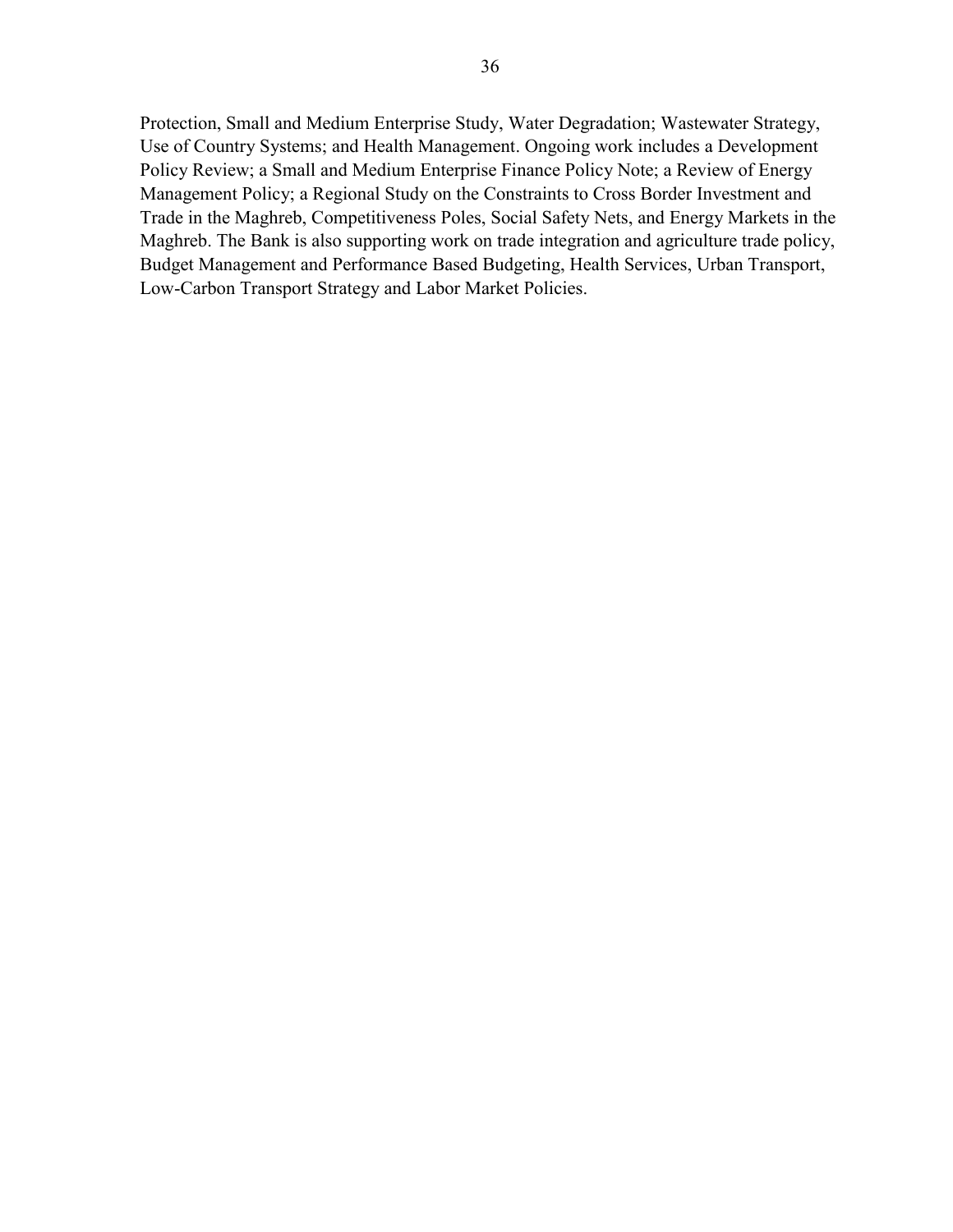Protection, Small and Medium Enterprise Study, Water Degradation; Wastewater Strategy, Use of Country Systems; and Health Management. Ongoing work includes a Development Policy Review; a Small and Medium Enterprise Finance Policy Note; a Review of Energy Management Policy; a Regional Study on the Constraints to Cross Border Investment and Trade in the Maghreb, Competitiveness Poles, Social Safety Nets, and Energy Markets in the Maghreb. The Bank is also supporting work on trade integration and agriculture trade policy, Budget Management and Performance Based Budgeting, Health Services, Urban Transport, Low-Carbon Transport Strategy and Labor Market Policies.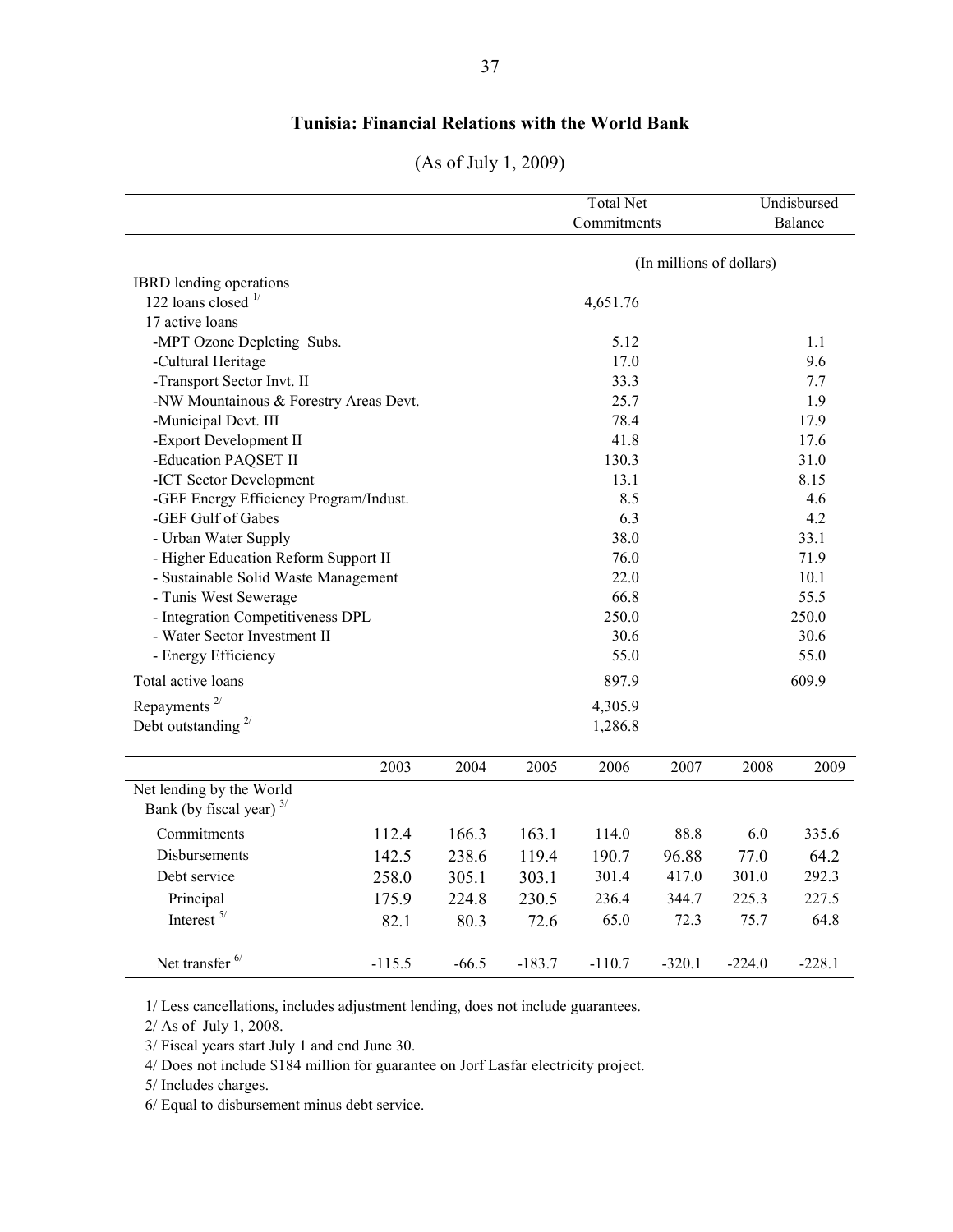## **Tunisia: Financial Relations with the World Bank**

| (As of July 1, 2009) |  |
|----------------------|--|
|----------------------|--|

|                                        |          |         |          | <b>Total Net</b><br>Commitments |                          | Undisbursed<br>Balance |          |  |  |
|----------------------------------------|----------|---------|----------|---------------------------------|--------------------------|------------------------|----------|--|--|
|                                        |          |         |          |                                 |                          |                        |          |  |  |
|                                        |          |         |          |                                 | (In millions of dollars) |                        |          |  |  |
| IBRD lending operations                |          |         |          |                                 |                          |                        |          |  |  |
| 122 loans closed $\frac{1}{2}$         |          |         |          | 4,651.76                        |                          |                        |          |  |  |
| 17 active loans                        |          |         |          |                                 |                          |                        |          |  |  |
| -MPT Ozone Depleting Subs.             |          |         |          | 5.12                            | 1.1                      |                        |          |  |  |
| -Cultural Heritage                     |          |         |          | 17.0                            | 9.6                      |                        |          |  |  |
| -Transport Sector Invt. II             |          |         |          | 33.3                            | 7.7                      |                        |          |  |  |
| -NW Mountainous & Forestry Areas Devt. |          |         |          | 25.7                            |                          | 1.9                    |          |  |  |
| -Municipal Devt. III                   |          |         |          | 78.4                            |                          |                        | 17.9     |  |  |
| -Export Development II                 |          |         |          | 41.8                            |                          |                        | 17.6     |  |  |
| -Education PAQSET II                   |          |         |          | 130.3                           |                          |                        | 31.0     |  |  |
| -ICT Sector Development                |          |         |          | 13.1                            |                          |                        | 8.15     |  |  |
| -GEF Energy Efficiency Program/Indust. |          |         |          | 8.5                             |                          |                        | 4.6      |  |  |
| -GEF Gulf of Gabes                     |          |         |          | 6.3                             |                          | 4.2                    |          |  |  |
| - Urban Water Supply                   |          |         |          | 38.0                            |                          | 33.1                   |          |  |  |
| - Higher Education Reform Support II   |          |         |          | 76.0                            |                          | 71.9                   |          |  |  |
| - Sustainable Solid Waste Management   |          |         |          | 22.0                            |                          | 10.1                   |          |  |  |
| - Tunis West Sewerage                  |          |         |          | 66.8                            |                          |                        | 55.5     |  |  |
| - Integration Competitiveness DPL      |          |         |          | 250.0                           |                          |                        | 250.0    |  |  |
| - Water Sector Investment II           |          |         |          | 30.6                            |                          |                        | 30.6     |  |  |
| - Energy Efficiency                    |          |         |          | 55.0                            |                          |                        | 55.0     |  |  |
| Total active loans                     |          |         |          | 897.9                           |                          | 609.9                  |          |  |  |
| Repayments <sup>2/</sup>               |          |         |          | 4,305.9                         |                          |                        |          |  |  |
| Debt outstanding $2/$                  |          |         | 1,286.8  |                                 |                          |                        |          |  |  |
|                                        |          |         |          |                                 |                          |                        |          |  |  |
|                                        | 2003     | 2004    | 2005     | 2006                            | 2007                     | 2008                   | 2009     |  |  |
| Net lending by the World               |          |         |          |                                 |                          |                        |          |  |  |
| Bank (by fiscal year) $3/$             |          |         |          |                                 |                          |                        |          |  |  |
| Commitments                            | 112.4    | 166.3   | 163.1    | 114.0                           | 88.8                     | 6.0                    | 335.6    |  |  |
| Disbursements                          | 142.5    | 238.6   | 119.4    | 190.7                           | 96.88                    | 77.0                   | 64.2     |  |  |
| Debt service                           | 258.0    | 305.1   | 303.1    | 301.4                           | 417.0                    | 301.0                  | 292.3    |  |  |
| Principal                              | 175.9    | 224.8   | 230.5    | 236.4                           | 344.7                    | 225.3                  | 227.5    |  |  |
| Interest <sup>5/</sup>                 | 82.1     | 80.3    | 72.6     | 65.0                            | 72.3                     | 75.7                   | 64.8     |  |  |
|                                        |          |         |          |                                 |                          |                        |          |  |  |
| Net transfer <sup>6/</sup>             | $-115.5$ | $-66.5$ | $-183.7$ | $-110.7$                        | $-320.1$                 | $-224.0$               | $-228.1$ |  |  |

1/ Less cancellations, includes adjustment lending, does not include guarantees.

2/ As of July 1, 2008.

3/ Fiscal years start July 1 and end June 30.

4/ Does not include \$184 million for guarantee on Jorf Lasfar electricity project.

5/ Includes charges.

6/ Equal to disbursement minus debt service.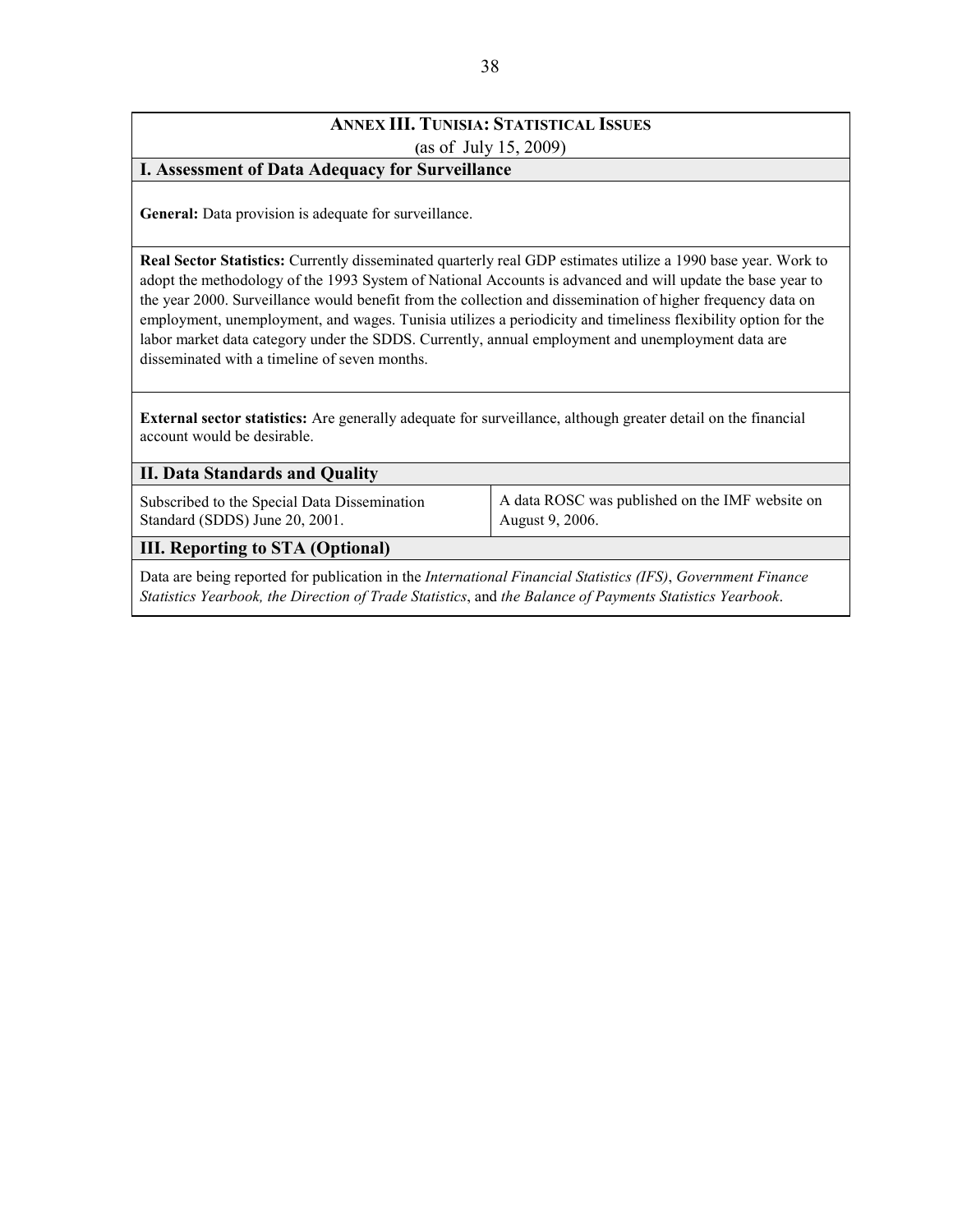## **ANNEX III. TUNISIA: STATISTICAL ISSUES (**as of July 15, 2009)

#### **I. Assessment of Data Adequacy for Surveillance**

**General:** Data provision is adequate for surveillance.

**Real Sector Statistics:** Currently disseminated quarterly real GDP estimates utilize a 1990 base year. Work to adopt the methodology of the 1993 System of National Accounts is advanced and will update the base year to the year 2000. Surveillance would benefit from the collection and dissemination of higher frequency data on employment, unemployment, and wages. Tunisia utilizes a periodicity and timeliness flexibility option for the labor market data category under the SDDS. Currently, annual employment and unemployment data are disseminated with a timeline of seven months.

**External sector statistics:** Are generally adequate for surveillance, although greater detail on the financial account would be desirable.

| <b>II. Data Standards and Quality</b>                                          |                                                                    |
|--------------------------------------------------------------------------------|--------------------------------------------------------------------|
| Subscribed to the Special Data Dissemination<br>Standard (SDDS) June 20, 2001. | A data ROSC was published on the IMF website on<br>August 9, 2006. |
| <b>III. Reporting to STA (Optional)</b>                                        |                                                                    |
|                                                                                |                                                                    |

Data are being reported for publication in the *International Financial Statistics (IFS)*, *Government Finance Statistics Yearbook, the Direction of Trade Statistics*, and *the Balance of Payments Statistics Yearbook*.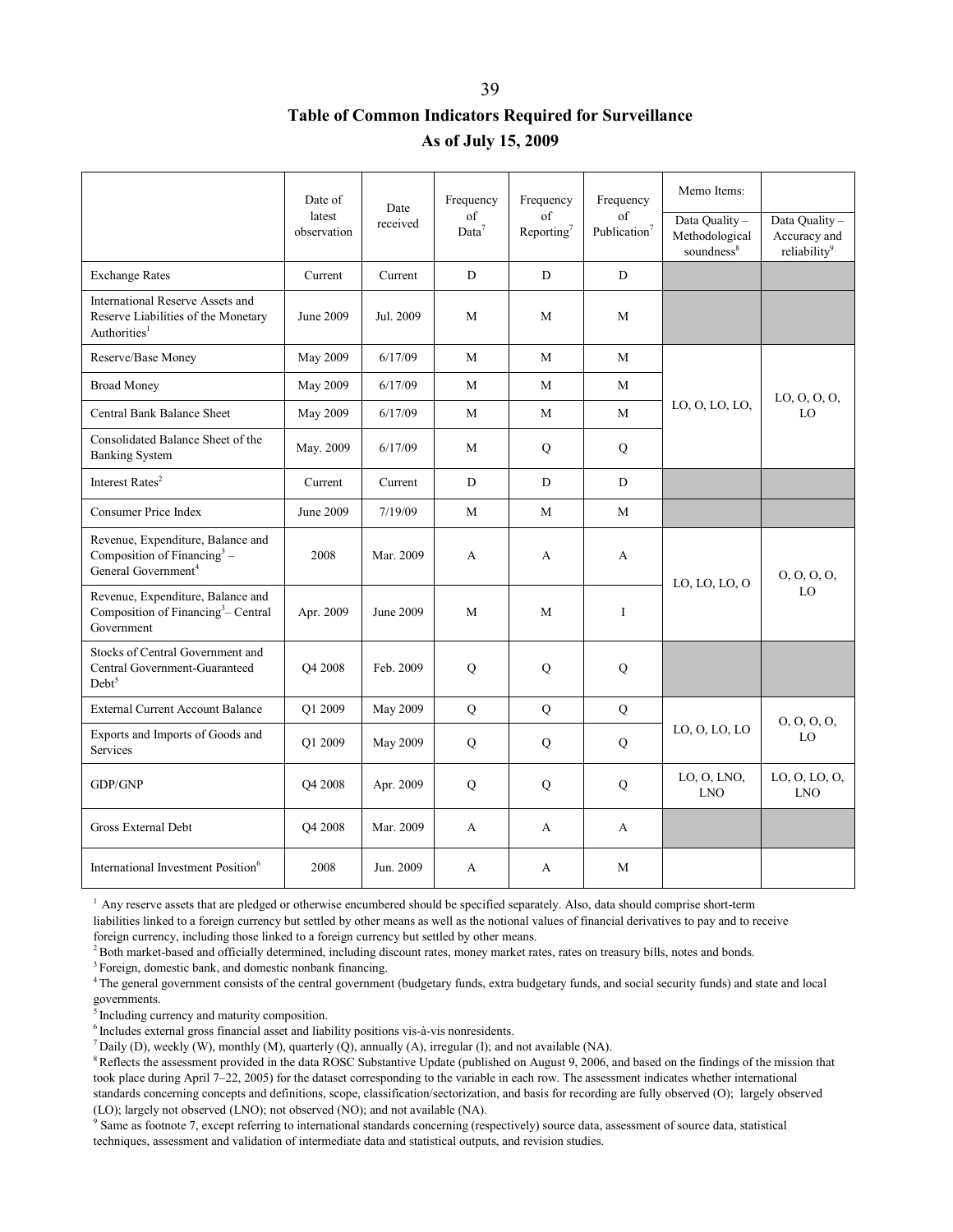# **Table of Common Indicators Required for Surveillance As of July 15, 2009**

|                                                                                                                 | Date of<br>latest<br>observation | Date<br>received | Frequency<br>of<br>Data <sup>7</sup> | Frequency<br>of<br>Reporting <sup>7</sup> | Frequency<br>of<br>Publication <sup>7</sup> | Memo Items:<br>Data Quality-<br>Methodological | Data Quality -<br>Accuracy and |
|-----------------------------------------------------------------------------------------------------------------|----------------------------------|------------------|--------------------------------------|-------------------------------------------|---------------------------------------------|------------------------------------------------|--------------------------------|
| <b>Exchange Rates</b>                                                                                           | Current                          | Current          | D                                    | D                                         | D                                           | soundness <sup>8</sup>                         | reliability <sup>9</sup>       |
| International Reserve Assets and<br>Reserve Liabilities of the Monetary<br>Authorities <sup>1</sup>             | June 2009                        | Jul. 2009        | M                                    | M                                         | M                                           |                                                |                                |
| Reserve/Base Money                                                                                              | May 2009                         | 6/17/09          | M                                    | M                                         | M                                           |                                                |                                |
| <b>Broad Money</b>                                                                                              | May 2009                         | 6/17/09          | M                                    | M                                         | M                                           |                                                | LO, O, O, O,                   |
| Central Bank Balance Sheet                                                                                      | May 2009                         | 6/17/09          | M                                    | M                                         | M                                           | LO, O, LO, LO,                                 | LO                             |
| Consolidated Balance Sheet of the<br><b>Banking System</b>                                                      | May. 2009                        | 6/17/09          | M                                    | Q                                         | ${\bf Q}$                                   |                                                |                                |
| Interest Rates <sup>2</sup>                                                                                     | Current                          | Current          | D                                    | D                                         | D                                           |                                                |                                |
| Consumer Price Index                                                                                            | June 2009                        | 7/19/09          | M                                    | M                                         | M                                           |                                                |                                |
| Revenue, Expenditure, Balance and<br>Composition of Financing <sup>3</sup> –<br>General Government <sup>4</sup> | 2008                             | Mar. 2009        | A                                    | A                                         | A                                           |                                                | 0, 0, 0, 0,                    |
| Revenue, Expenditure, Balance and<br>Composition of Financing <sup>3</sup> – Central<br>Government              | Apr. 2009                        | June 2009        | M                                    | M                                         | I                                           | LO, LO, LO, O                                  | LO                             |
| Stocks of Central Government and<br>Central Government-Guaranteed<br>Debt <sup>5</sup>                          | Q4 2008                          | Feb. 2009        | $\mathbf Q$                          | $\mathbf Q$                               | Q                                           |                                                |                                |
| <b>External Current Account Balance</b>                                                                         | O1 2009                          | May 2009         | Q                                    | Q                                         | Q                                           |                                                | 0, 0, 0, 0,                    |
| Exports and Imports of Goods and<br><b>Services</b>                                                             | Q1 2009                          | May 2009         | Q                                    | Q                                         | ${\bf Q}$                                   | LO, O, LO, LO                                  | LO                             |
| GDP/GNP                                                                                                         | O <sub>4</sub> 2008              | Apr. 2009        | $\mathbf Q$                          | $\mathbf Q$                               | Q                                           | LO, O, LNO,<br><b>LNO</b>                      | LO, O, LO, O,<br><b>LNO</b>    |
| Gross External Debt                                                                                             | Q4 2008                          | Mar. 2009        | A                                    | A                                         | A                                           |                                                |                                |
| International Investment Position <sup>6</sup>                                                                  | 2008                             | Jun. 2009        | A                                    | $\mathsf{A}$                              | M                                           |                                                |                                |

<sup>1</sup> Any reserve assets that are pledged or otherwise encumbered should be specified separately. Also, data should comprise short-term liabilities linked to a foreign currency but settled by other means as well as the notional values of financial derivatives to pay and to receive foreign currency, including those linked to a foreign currency but settled by other means.<br><sup>2</sup> Both market-based and officially determined, including discount rates, money market rates, rates on treasury bills, notes and b

<sup>3</sup> Foreign, domestic bank, and domestic nonbank financing.

<sup>4</sup> The general government consists of the central government (budgetary funds, extra budgetary funds, and social security funds) and state and local governments.

 $<sup>5</sup>$  Including currency and maturity composition.<br> $<sup>6</sup>$  Includes external gross financial asset and liability positions vis-à-vis nonresidents.</sup></sup>

<sup>7</sup> Daily (D), weekly (W), monthly (M), quarterly (Q), annually (A), irregular (I); and not available (NA).

<sup>8</sup> Reflects the assessment provided in the data ROSC Substantive Update (published on August 9, 2006, and based on the findings of the mission that took place during April 7–22, 2005) for the dataset corresponding to the variable in each row. The assessment indicates whether international standards concerning concepts and definitions, scope, classification/sectorization, and basis for recording are fully observed (O); largely observed (LO); largely not observed (LNO); not observed (NO); and not available (NA).

<sup>9</sup> Same as footnote 7, except referring to international standards concerning (respectively) source data, assessment of source data, statistical techniques, assessment and validation of intermediate data and statistical outputs, and revision studies.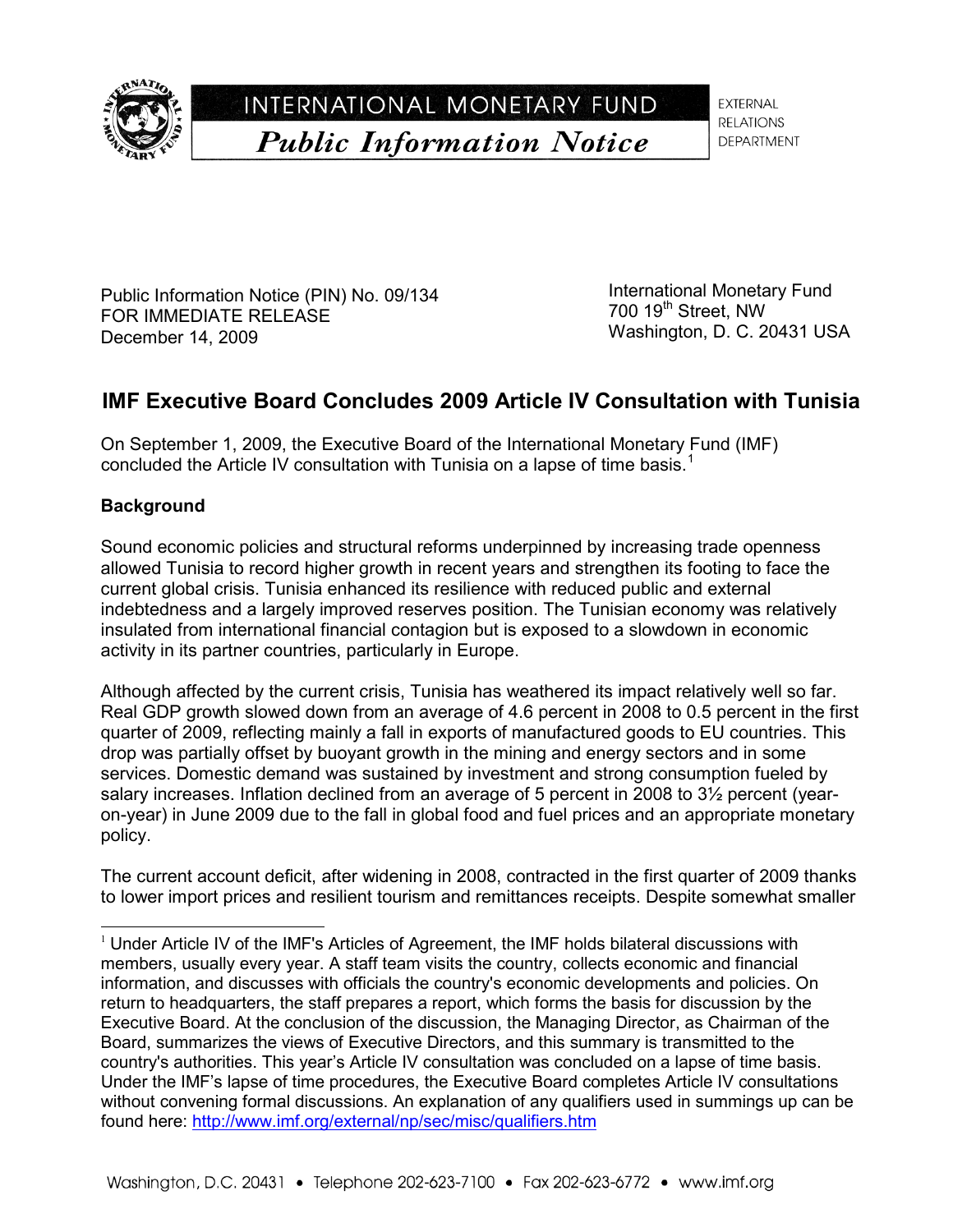

INTERNATIONAL MONETARY FUND **Public Information Notice** 

**EXTERNAL RELATIONS DEPARTMENT** 

Public Information Notice (PIN) No. 09/134 FOR IMMEDIATE RELEASE December 14, 2009

International Monetary Fund 700 19<sup>th</sup> Street, NW Washington, D. C. 20431 USA

# **IMF Executive Board Concludes 2009 Article IV Consultation with Tunisia**

On September 1, 2009, the Executive Board of the International Monetary Fund (IMF) concluded the Article IV consultation with Tunisia on a lapse of time basis.<sup>[1](#page-40-0)</sup>

## **Background**

j

Sound economic policies and structural reforms underpinned by increasing trade openness allowed Tunisia to record higher growth in recent years and strengthen its footing to face the current global crisis. Tunisia enhanced its resilience with reduced public and external indebtedness and a largely improved reserves position. The Tunisian economy was relatively insulated from international financial contagion but is exposed to a slowdown in economic activity in its partner countries, particularly in Europe.

Although affected by the current crisis, Tunisia has weathered its impact relatively well so far. Real GDP growth slowed down from an average of 4.6 percent in 2008 to 0.5 percent in the first quarter of 2009, reflecting mainly a fall in exports of manufactured goods to EU countries. This drop was partially offset by buoyant growth in the mining and energy sectors and in some services. Domestic demand was sustained by investment and strong consumption fueled by salary increases. Inflation declined from an average of 5 percent in 2008 to 3<sup>1/2</sup> percent (yearon-year) in June 2009 due to the fall in global food and fuel prices and an appropriate monetary policy.

The current account deficit, after widening in 2008, contracted in the first quarter of 2009 thanks to lower import prices and resilient tourism and remittances receipts. Despite somewhat smaller

<span id="page-40-0"></span> $1$  Under Article IV of the IMF's Articles of Agreement, the IMF holds bilateral discussions with members, usually every year. A staff team visits the country, collects economic and financial information, and discusses with officials the country's economic developments and policies. On return to headquarters, the staff prepares a report, which forms the basis for discussion by the Executive Board. At the conclusion of the discussion, the Managing Director, as Chairman of the Board, summarizes the views of Executive Directors, and this summary is transmitted to the country's authorities. This year's Article IV consultation was concluded on a lapse of time basis. Under the IMF's lapse of time procedures, the Executive Board completes Article IV consultations without convening formal discussions. An explanation of any qualifiers used in summings up can be found here:<http://www.imf.org/external/np/sec/misc/qualifiers.htm>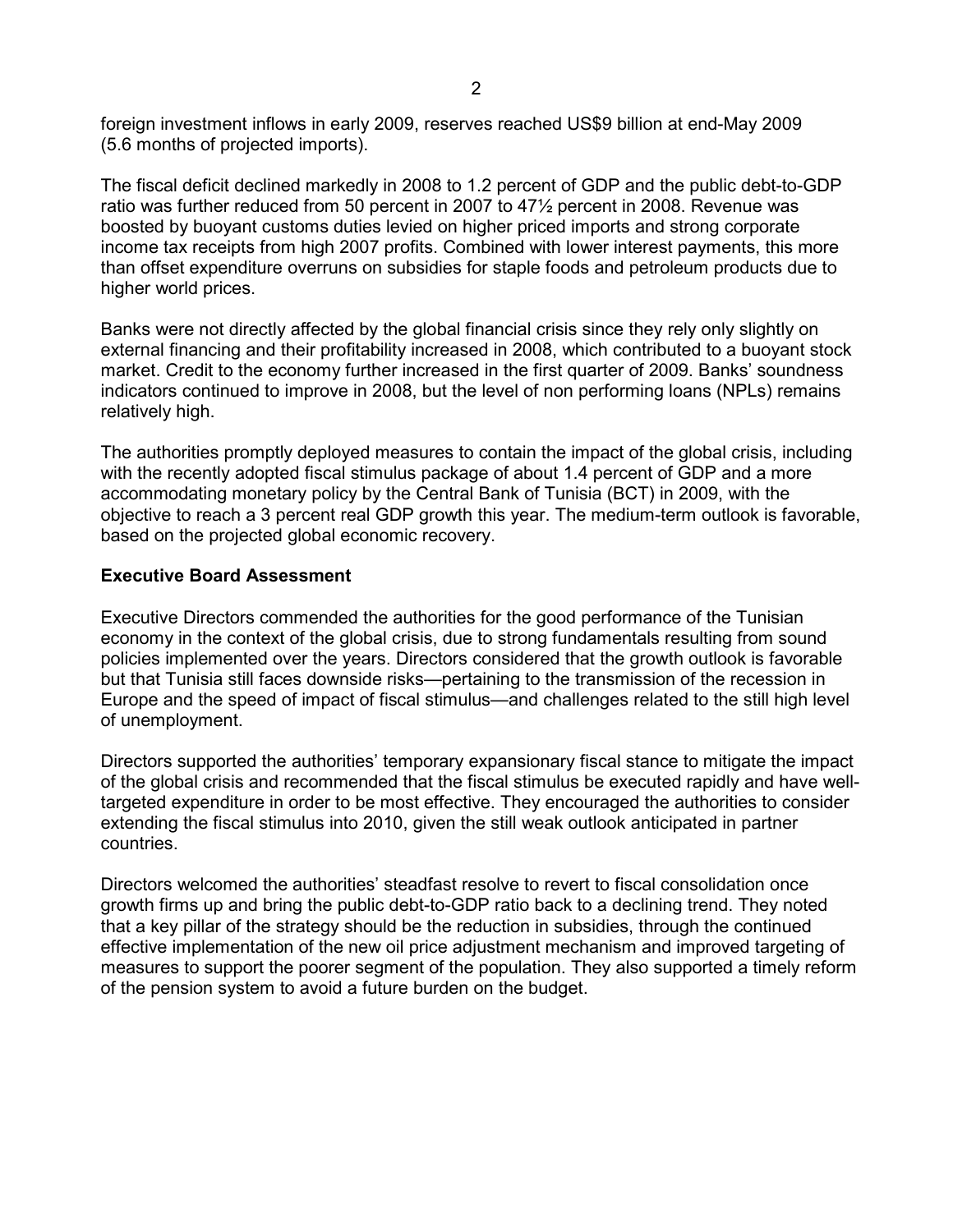foreign investment inflows in early 2009, reserves reached US\$9 billion at end-May 2009 (5.6 months of projected imports).

The fiscal deficit declined markedly in 2008 to 1.2 percent of GDP and the public debt-to-GDP ratio was further reduced from 50 percent in 2007 to 47½ percent in 2008. Revenue was boosted by buoyant customs duties levied on higher priced imports and strong corporate income tax receipts from high 2007 profits. Combined with lower interest payments, this more than offset expenditure overruns on subsidies for staple foods and petroleum products due to higher world prices.

Banks were not directly affected by the global financial crisis since they rely only slightly on external financing and their profitability increased in 2008, which contributed to a buoyant stock market. Credit to the economy further increased in the first quarter of 2009. Banks' soundness indicators continued to improve in 2008, but the level of non performing loans (NPLs) remains relatively high.

The authorities promptly deployed measures to contain the impact of the global crisis, including with the recently adopted fiscal stimulus package of about 1.4 percent of GDP and a more accommodating monetary policy by the Central Bank of Tunisia (BCT) in 2009, with the objective to reach a 3 percent real GDP growth this year. The medium-term outlook is favorable, based on the projected global economic recovery.

### **Executive Board Assessment**

Executive Directors commended the authorities for the good performance of the Tunisian economy in the context of the global crisis, due to strong fundamentals resulting from sound policies implemented over the years. Directors considered that the growth outlook is favorable but that Tunisia still faces downside risks—pertaining to the transmission of the recession in Europe and the speed of impact of fiscal stimulus—and challenges related to the still high level of unemployment.

Directors supported the authorities' temporary expansionary fiscal stance to mitigate the impact of the global crisis and recommended that the fiscal stimulus be executed rapidly and have welltargeted expenditure in order to be most effective. They encouraged the authorities to consider extending the fiscal stimulus into 2010, given the still weak outlook anticipated in partner countries.

Directors welcomed the authorities' steadfast resolve to revert to fiscal consolidation once growth firms up and bring the public debt-to-GDP ratio back to a declining trend. They noted that a key pillar of the strategy should be the reduction in subsidies, through the continued effective implementation of the new oil price adjustment mechanism and improved targeting of measures to support the poorer segment of the population. They also supported a timely reform of the pension system to avoid a future burden on the budget.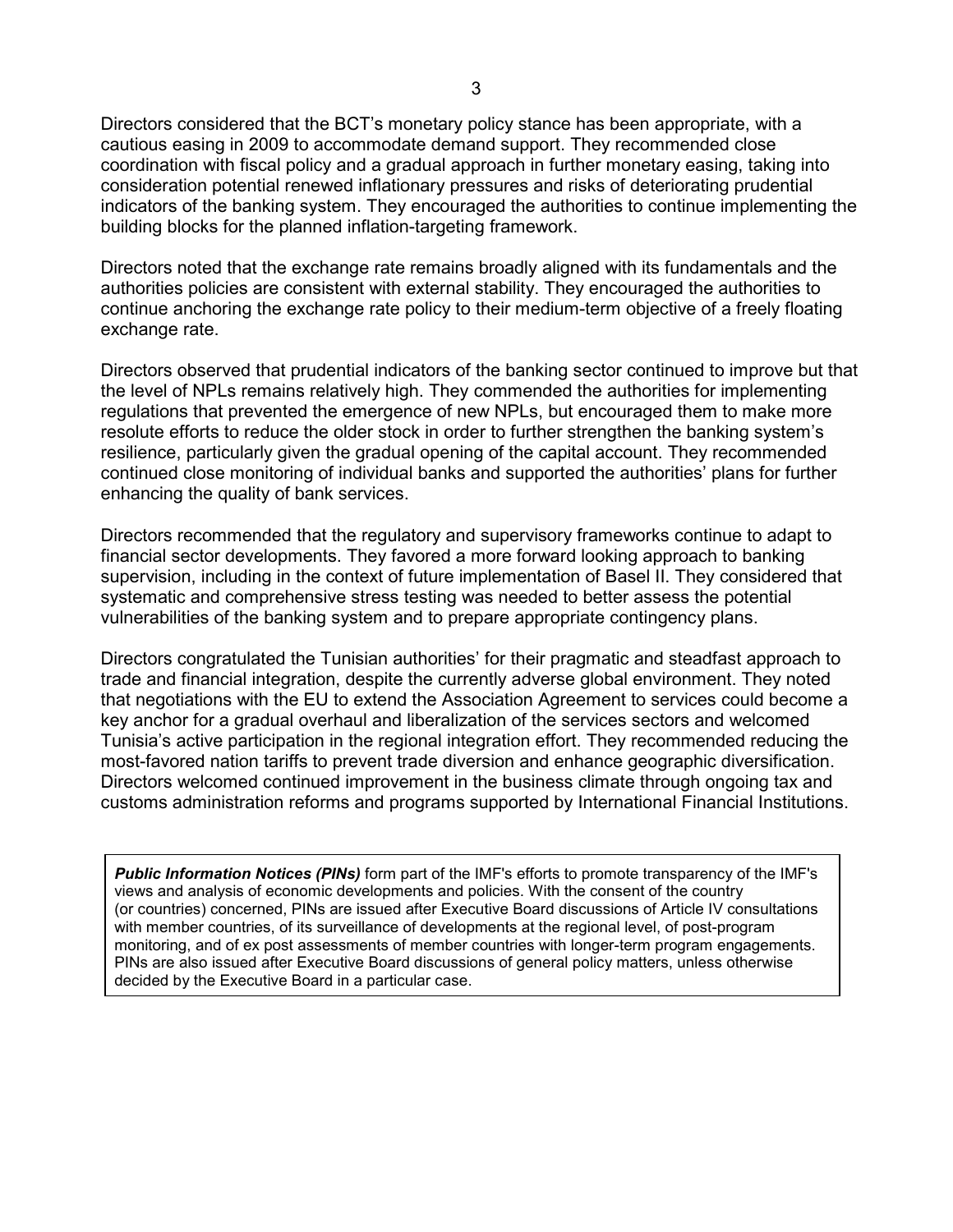Directors considered that the BCT's monetary policy stance has been appropriate, with a cautious easing in 2009 to accommodate demand support. They recommended close coordination with fiscal policy and a gradual approach in further monetary easing, taking into consideration potential renewed inflationary pressures and risks of deteriorating prudential indicators of the banking system. They encouraged the authorities to continue implementing the building blocks for the planned inflation-targeting framework.

Directors noted that the exchange rate remains broadly aligned with its fundamentals and the authorities policies are consistent with external stability. They encouraged the authorities to continue anchoring the exchange rate policy to their medium-term objective of a freely floating exchange rate.

Directors observed that prudential indicators of the banking sector continued to improve but that the level of NPLs remains relatively high. They commended the authorities for implementing regulations that prevented the emergence of new NPLs, but encouraged them to make more resolute efforts to reduce the older stock in order to further strengthen the banking system's resilience, particularly given the gradual opening of the capital account. They recommended continued close monitoring of individual banks and supported the authorities' plans for further enhancing the quality of bank services.

Directors recommended that the regulatory and supervisory frameworks continue to adapt to financial sector developments. They favored a more forward looking approach to banking supervision, including in the context of future implementation of Basel II. They considered that systematic and comprehensive stress testing was needed to better assess the potential vulnerabilities of the banking system and to prepare appropriate contingency plans.

Directors congratulated the Tunisian authorities' for their pragmatic and steadfast approach to trade and financial integration, despite the currently adverse global environment. They noted that negotiations with the EU to extend the Association Agreement to services could become a key anchor for a gradual overhaul and liberalization of the services sectors and welcomed Tunisia's active participation in the regional integration effort. They recommended reducing the most-favored nation tariffs to prevent trade diversion and enhance geographic diversification. Directors welcomed continued improvement in the business climate through ongoing tax and customs administration reforms and programs supported by International Financial Institutions.

*Public Information Notices (PINs)* form part of the IMF's efforts to promote transparency of the IMF's views and analysis of economic developments and policies. With the consent of the country (or countries) concerned, PINs are issued after Executive Board discussions of Article IV consultations with member countries, of its surveillance of developments at the regional level, of post-program monitoring, and of ex post assessments of member countries with longer-term program engagements. PINs are also issued after Executive Board discussions of general policy matters, unless otherwise decided by the Executive Board in a particular case.

 $\overline{a}$